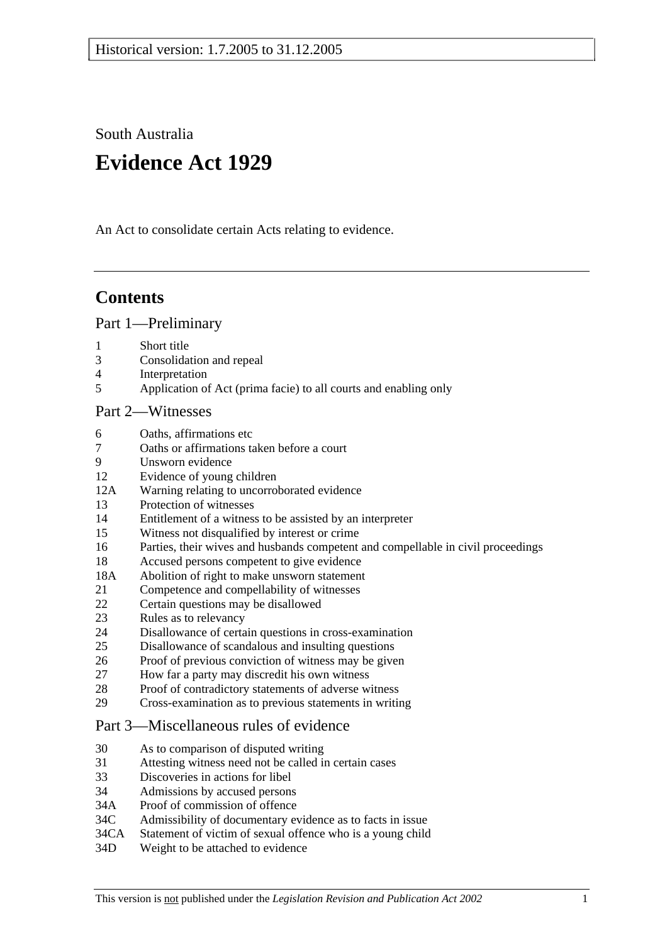South Australia

# **Evidence Act 1929**

An Act to consolidate certain Acts relating to evidence.

## **Contents**

Part 1—Preliminary

- 1 Short title
- 3 Consolidation and repeal
- 4 Interpretation
- 5 Application of Act (prima facie) to all courts and enabling only

## Part 2—Witnesses

- 6 Oaths, affirmations etc
- 7 Oaths or affirmations taken before a court
- 9 Unsworn evidence
- 12 Evidence of young children
- 12A Warning relating to uncorroborated evidence
- 13 Protection of witnesses
- 14 Entitlement of a witness to be assisted by an interpreter
- 15 Witness not disqualified by interest or crime
- 16 Parties, their wives and husbands competent and compellable in civil proceedings
- 18 Accused persons competent to give evidence
- 18A Abolition of right to make unsworn statement
- 21 Competence and compellability of witnesses
- 22 Certain questions may be disallowed
- 23 Rules as to relevancy
- 24 Disallowance of certain questions in cross-examination
- 25 Disallowance of scandalous and insulting questions
- 26 Proof of previous conviction of witness may be given
- 27 How far a party may discredit his own witness
- 28 Proof of contradictory statements of adverse witness
- 29 Cross-examination as to previous statements in writing

#### Part 3—Miscellaneous rules of evidence

- 30 As to comparison of disputed writing
- 31 Attesting witness need not be called in certain cases
- 33 Discoveries in actions for libel
- 34 Admissions by accused persons
- 34A Proof of commission of offence
- 34C Admissibility of documentary evidence as to facts in issue
- 34CA Statement of victim of sexual offence who is a young child
- 34D Weight to be attached to evidence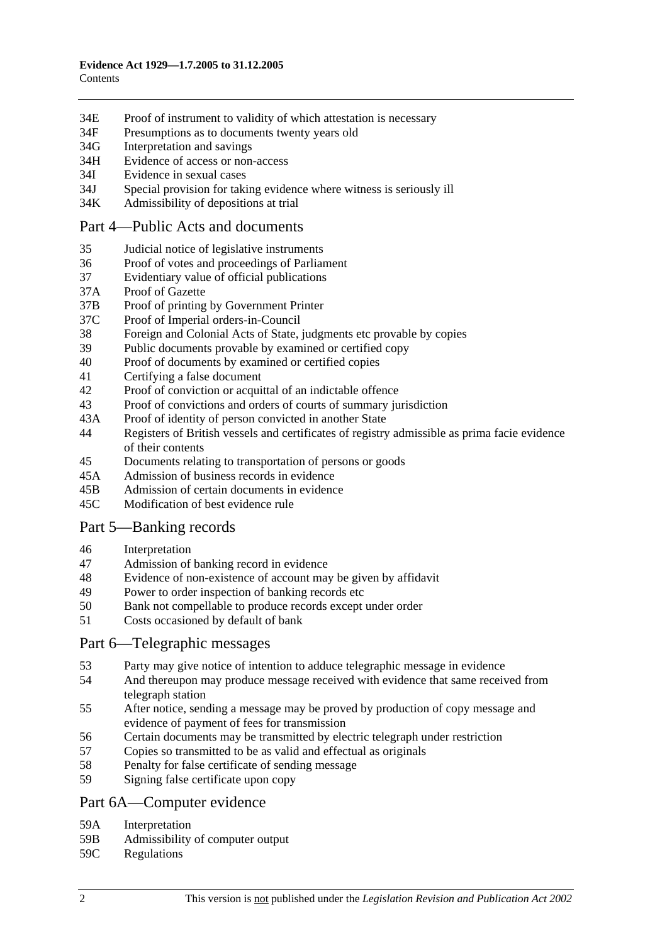- 34E Proof of instrument to validity of which attestation is necessary
- 34F Presumptions as to documents twenty years old
- 34G Interpretation and savings
- 34H Evidence of access or non-access
- 34I Evidence in sexual cases
- 34J Special provision for taking evidence where witness is seriously ill
- 34K Admissibility of depositions at trial

#### Part 4—Public Acts and documents

- 35 Judicial notice of legislative instruments
- 36 Proof of votes and proceedings of Parliament
- 37 Evidentiary value of official publications
- 37A Proof of Gazette
- 37B Proof of printing by Government Printer
- 37C Proof of Imperial orders-in-Council
- 38 Foreign and Colonial Acts of State, judgments etc provable by copies
- 39 Public documents provable by examined or certified copy
- 40 Proof of documents by examined or certified copies
- 41 Certifying a false document
- 42 Proof of conviction or acquittal of an indictable offence
- 43 Proof of convictions and orders of courts of summary jurisdiction
- 43A Proof of identity of person convicted in another State
- 44 Registers of British vessels and certificates of registry admissible as prima facie evidence of their contents
- 45 Documents relating to transportation of persons or goods
- 45A Admission of business records in evidence
- 45B Admission of certain documents in evidence
- 45C Modification of best evidence rule

## Part 5—Banking records

- 46 Interpretation
- 47 Admission of banking record in evidence
- 48 Evidence of non-existence of account may be given by affidavit
- 49 Power to order inspection of banking records etc
- 50 Bank not compellable to produce records except under order
- 51 Costs occasioned by default of bank

#### Part 6—Telegraphic messages

- 53 Party may give notice of intention to adduce telegraphic message in evidence
- 54 And thereupon may produce message received with evidence that same received from telegraph station
- 55 After notice, sending a message may be proved by production of copy message and evidence of payment of fees for transmission
- 56 Certain documents may be transmitted by electric telegraph under restriction
- 57 Copies so transmitted to be as valid and effectual as originals
- 58 Penalty for false certificate of sending message
- 59 Signing false certificate upon copy

#### Part 6A—Computer evidence

- 59A Interpretation
- 59B Admissibility of computer output
- 59C Regulations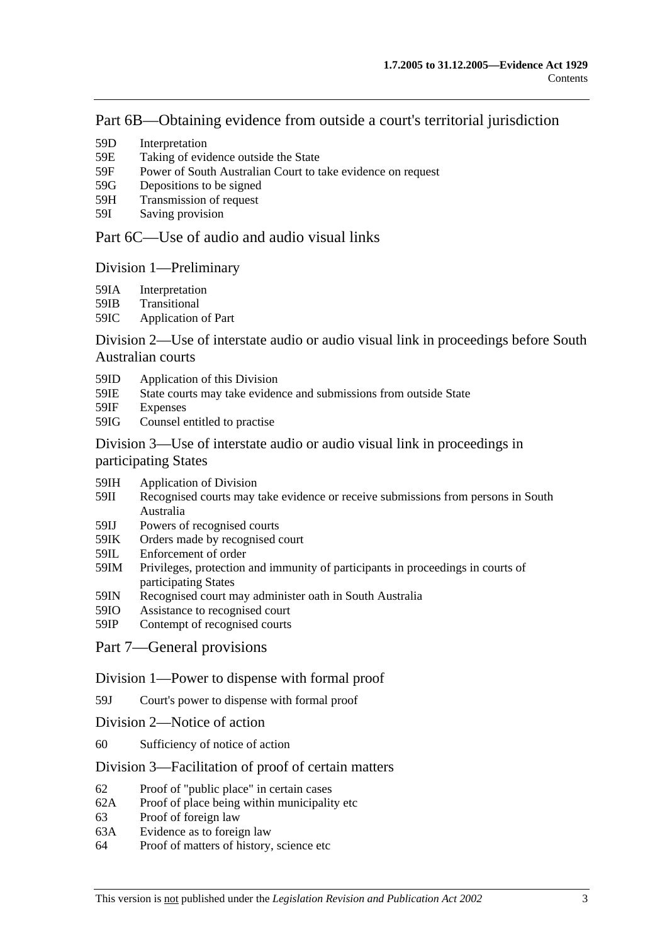## Part 6B—Obtaining evidence from outside a court's territorial jurisdiction

- 59D Interpretation
- 59E Taking of evidence outside the State
- 59F Power of South Australian Court to take evidence on request
- 59G Depositions to be signed
- 59H Transmission of request
- 59I Saving provision

## Part 6C—Use of audio and audio visual links

## Division 1—Preliminary

- 59IA Interpretation
- 59IB Transitional
- 59IC Application of Part

## Division 2—Use of interstate audio or audio visual link in proceedings before South Australian courts

- 59ID Application of this Division
- 59IE State courts may take evidence and submissions from outside State
- 59IF Expenses
- 59IG Counsel entitled to practise

## Division 3—Use of interstate audio or audio visual link in proceedings in participating States

- 59IH Application of Division
- 59II Recognised courts may take evidence or receive submissions from persons in South Australia
- 59IJ Powers of recognised courts<br>59IK Orders made by recognised
- Orders made by recognised court
- 59IL Enforcement of order
- 59IM Privileges, protection and immunity of participants in proceedings in courts of participating States
- 59IN Recognised court may administer oath in South Australia
- 59IO Assistance to recognised court
- 59IP Contempt of recognised courts
- Part 7—General provisions

#### Division 1—Power to dispense with formal proof

- 59J Court's power to dispense with formal proof
- Division 2—Notice of action
- 60 Sufficiency of notice of action

#### Division 3—Facilitation of proof of certain matters

- 62 Proof of "public place" in certain cases
- 62A Proof of place being within municipality etc
- 63 Proof of foreign law
- 63A Evidence as to foreign law
- 64 Proof of matters of history, science etc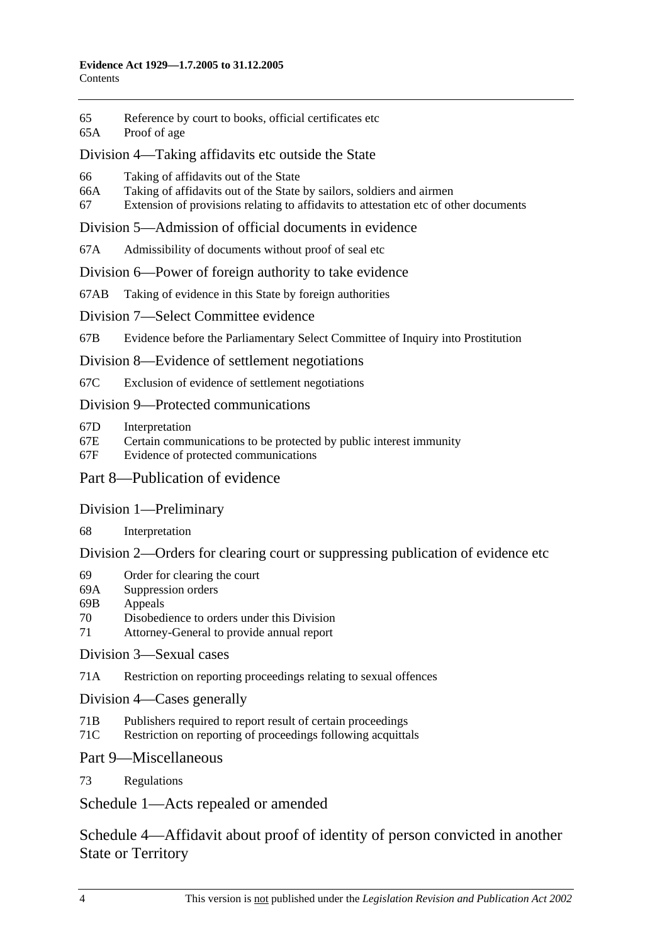- 65 Reference by court to books, official certificates etc
- 65A Proof of age

## Division 4—Taking affidavits etc outside the State

- 66 Taking of affidavits out of the State
- 66A Taking of affidavits out of the State by sailors, soldiers and airmen
- 67 Extension of provisions relating to affidavits to attestation etc of other documents

## Division 5—Admission of official documents in evidence

67A Admissibility of documents without proof of seal etc

## Division 6—Power of foreign authority to take evidence

- 67AB Taking of evidence in this State by foreign authorities
- Division 7—Select Committee evidence

67B Evidence before the Parliamentary Select Committee of Inquiry into Prostitution

Division 8—Evidence of settlement negotiations

67C Exclusion of evidence of settlement negotiations

## Division 9—Protected communications

- 67D Interpretation
- 67E Certain communications to be protected by public interest immunity
- 67F Evidence of protected communications

## Part 8—Publication of evidence

## Division 1—Preliminary

68 Interpretation

## Division 2—Orders for clearing court or suppressing publication of evidence etc

- 69 Order for clearing the court
- 69A Suppression orders
- 69B Appeals
- 70 Disobedience to orders under this Division
- 71 Attorney-General to provide annual report

## Division 3—Sexual cases

71A Restriction on reporting proceedings relating to sexual offences

Division 4—Cases generally

- 71B Publishers required to report result of certain proceedings
- 71C Restriction on reporting of proceedings following acquittals

## Part 9—Miscellaneous

73 Regulations

Schedule 1—Acts repealed or amended

Schedule 4—Affidavit about proof of identity of person convicted in another State or Territory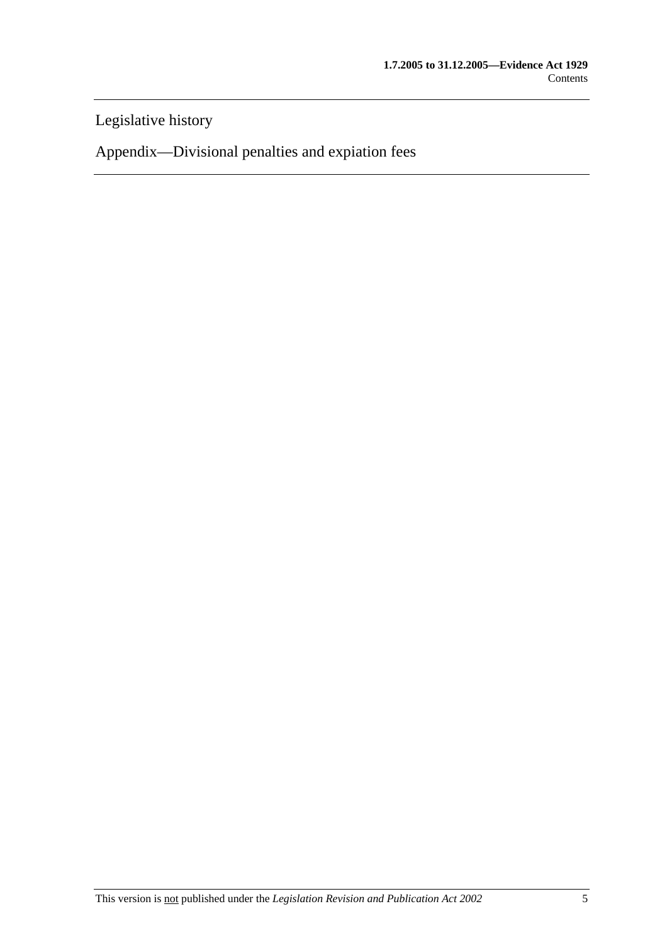Legislative history

Appendix—Divisional penalties and expiation fees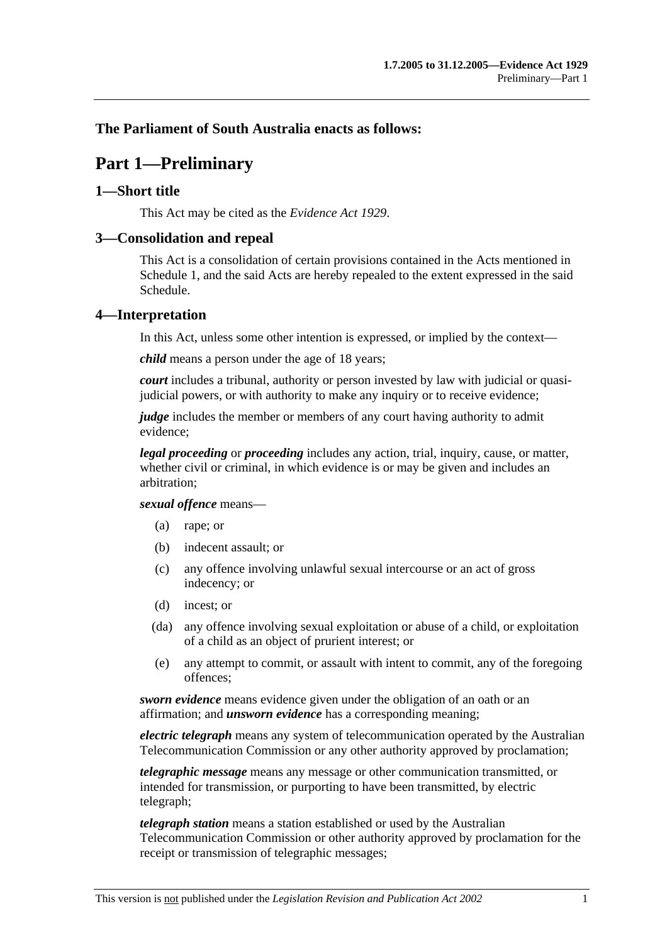## **The Parliament of South Australia enacts as follows:**

## **Part 1—Preliminary**

### **1—Short title**

This Act may be cited as the *Evidence Act 1929*.

### **3—Consolidation and repeal**

This Act is a consolidation of certain provisions contained in the Acts mentioned in Schedule 1, and the said Acts are hereby repealed to the extent expressed in the said Schedule.

#### **4—Interpretation**

In this Act, unless some other intention is expressed, or implied by the context—

*child* means a person under the age of 18 years;

*court* includes a tribunal, authority or person invested by law with judicial or quasijudicial powers, or with authority to make any inquiry or to receive evidence;

*judge* includes the member or members of any court having authority to admit evidence;

*legal proceeding* or *proceeding* includes any action, trial, inquiry, cause, or matter, whether civil or criminal, in which evidence is or may be given and includes an arbitration;

#### *sexual offence* means—

- (a) rape; or
- (b) indecent assault; or
- (c) any offence involving unlawful sexual intercourse or an act of gross indecency; or
- (d) incest; or
- (da) any offence involving sexual exploitation or abuse of a child, or exploitation of a child as an object of prurient interest; or
- (e) any attempt to commit, or assault with intent to commit, any of the foregoing offences;

*sworn evidence* means evidence given under the obligation of an oath or an affirmation; and *unsworn evidence* has a corresponding meaning;

*electric telegraph* means any system of telecommunication operated by the Australian Telecommunication Commission or any other authority approved by proclamation;

*telegraphic message* means any message or other communication transmitted, or intended for transmission, or purporting to have been transmitted, by electric telegraph;

*telegraph station* means a station established or used by the Australian Telecommunication Commission or other authority approved by proclamation for the receipt or transmission of telegraphic messages;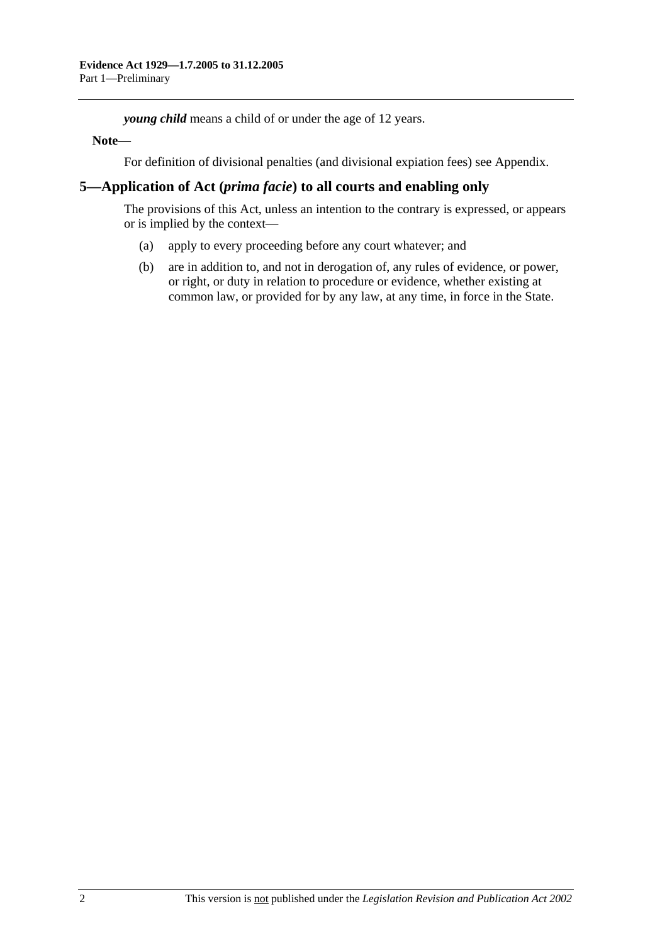*young child* means a child of or under the age of 12 years.

#### **Note—**

For definition of divisional penalties (and divisional expiation fees) see Appendix.

## **5—Application of Act (***prima facie***) to all courts and enabling only**

The provisions of this Act, unless an intention to the contrary is expressed, or appears or is implied by the context—

- (a) apply to every proceeding before any court whatever; and
- (b) are in addition to, and not in derogation of, any rules of evidence, or power, or right, or duty in relation to procedure or evidence, whether existing at common law, or provided for by any law, at any time, in force in the State.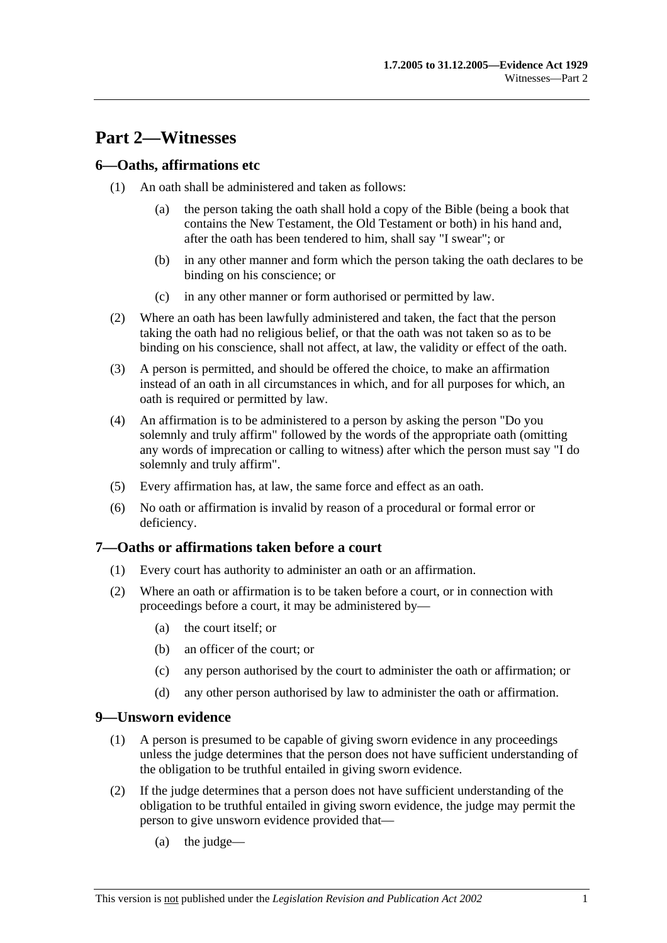## **Part 2—Witnesses**

## **6—Oaths, affirmations etc**

- (1) An oath shall be administered and taken as follows:
	- (a) the person taking the oath shall hold a copy of the Bible (being a book that contains the New Testament, the Old Testament or both) in his hand and, after the oath has been tendered to him, shall say "I swear"; or
	- (b) in any other manner and form which the person taking the oath declares to be binding on his conscience; or
	- (c) in any other manner or form authorised or permitted by law.
- (2) Where an oath has been lawfully administered and taken, the fact that the person taking the oath had no religious belief, or that the oath was not taken so as to be binding on his conscience, shall not affect, at law, the validity or effect of the oath.
- (3) A person is permitted, and should be offered the choice, to make an affirmation instead of an oath in all circumstances in which, and for all purposes for which, an oath is required or permitted by law.
- (4) An affirmation is to be administered to a person by asking the person "Do you solemnly and truly affirm" followed by the words of the appropriate oath (omitting any words of imprecation or calling to witness) after which the person must say "I do solemnly and truly affirm".
- (5) Every affirmation has, at law, the same force and effect as an oath.
- (6) No oath or affirmation is invalid by reason of a procedural or formal error or deficiency.

#### **7—Oaths or affirmations taken before a court**

- (1) Every court has authority to administer an oath or an affirmation.
- (2) Where an oath or affirmation is to be taken before a court, or in connection with proceedings before a court, it may be administered by—
	- (a) the court itself; or
	- (b) an officer of the court; or
	- (c) any person authorised by the court to administer the oath or affirmation; or
	- (d) any other person authorised by law to administer the oath or affirmation.

#### **9—Unsworn evidence**

- (1) A person is presumed to be capable of giving sworn evidence in any proceedings unless the judge determines that the person does not have sufficient understanding of the obligation to be truthful entailed in giving sworn evidence.
- (2) If the judge determines that a person does not have sufficient understanding of the obligation to be truthful entailed in giving sworn evidence, the judge may permit the person to give unsworn evidence provided that—
	- (a) the judge—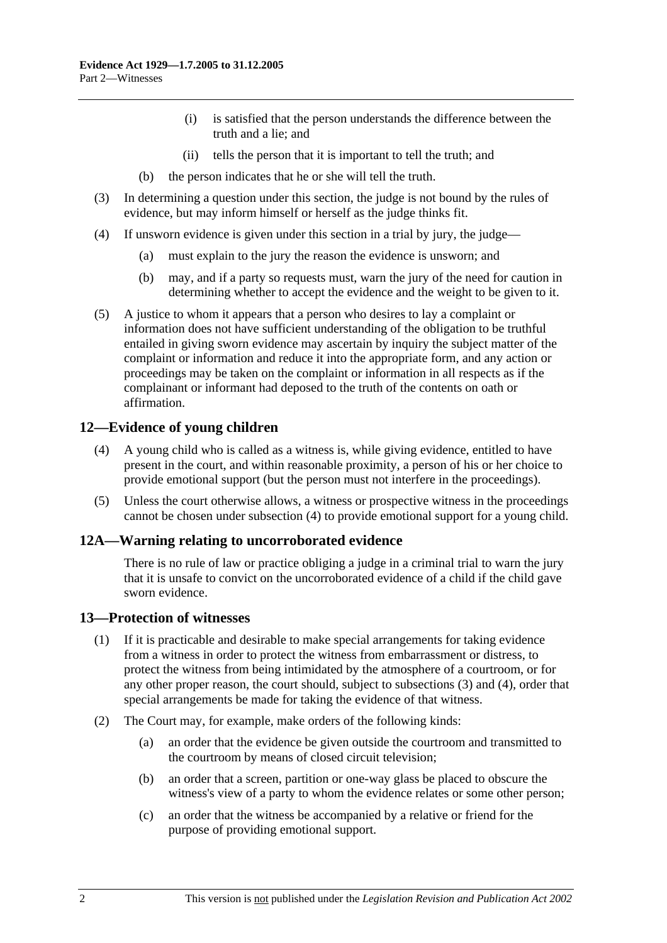- (i) is satisfied that the person understands the difference between the truth and a lie; and
- (ii) tells the person that it is important to tell the truth; and
- (b) the person indicates that he or she will tell the truth.
- (3) In determining a question under this section, the judge is not bound by the rules of evidence, but may inform himself or herself as the judge thinks fit.
- (4) If unsworn evidence is given under this section in a trial by jury, the judge—
	- (a) must explain to the jury the reason the evidence is unsworn; and
	- (b) may, and if a party so requests must, warn the jury of the need for caution in determining whether to accept the evidence and the weight to be given to it.
- (5) A justice to whom it appears that a person who desires to lay a complaint or information does not have sufficient understanding of the obligation to be truthful entailed in giving sworn evidence may ascertain by inquiry the subject matter of the complaint or information and reduce it into the appropriate form, and any action or proceedings may be taken on the complaint or information in all respects as if the complainant or informant had deposed to the truth of the contents on oath or affirmation.

## **12—Evidence of young children**

- (4) A young child who is called as a witness is, while giving evidence, entitled to have present in the court, and within reasonable proximity, a person of his or her choice to provide emotional support (but the person must not interfere in the proceedings).
- (5) Unless the court otherwise allows, a witness or prospective witness in the proceedings cannot be chosen under subsection (4) to provide emotional support for a young child.

## **12A—Warning relating to uncorroborated evidence**

There is no rule of law or practice obliging a judge in a criminal trial to warn the jury that it is unsafe to convict on the uncorroborated evidence of a child if the child gave sworn evidence.

#### **13—Protection of witnesses**

- (1) If it is practicable and desirable to make special arrangements for taking evidence from a witness in order to protect the witness from embarrassment or distress, to protect the witness from being intimidated by the atmosphere of a courtroom, or for any other proper reason, the court should, subject to subsections (3) and (4), order that special arrangements be made for taking the evidence of that witness.
- (2) The Court may, for example, make orders of the following kinds:
	- (a) an order that the evidence be given outside the courtroom and transmitted to the courtroom by means of closed circuit television;
	- (b) an order that a screen, partition or one-way glass be placed to obscure the witness's view of a party to whom the evidence relates or some other person;
	- (c) an order that the witness be accompanied by a relative or friend for the purpose of providing emotional support.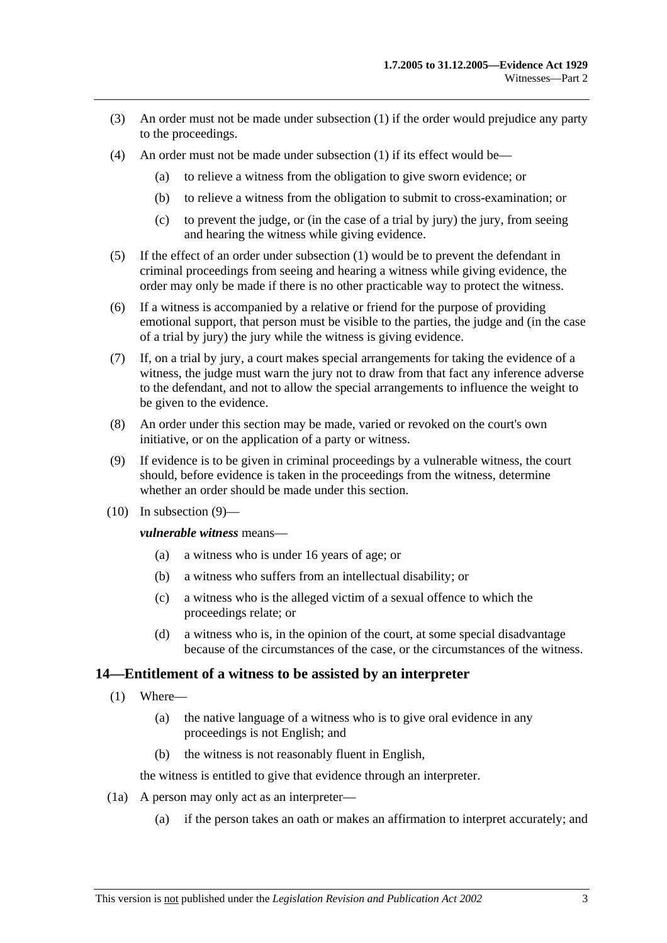- (3) An order must not be made under subsection (1) if the order would prejudice any party to the proceedings.
- (4) An order must not be made under subsection (1) if its effect would be—
	- (a) to relieve a witness from the obligation to give sworn evidence; or
	- (b) to relieve a witness from the obligation to submit to cross-examination; or
	- (c) to prevent the judge, or (in the case of a trial by jury) the jury, from seeing and hearing the witness while giving evidence.
- (5) If the effect of an order under subsection (1) would be to prevent the defendant in criminal proceedings from seeing and hearing a witness while giving evidence, the order may only be made if there is no other practicable way to protect the witness.
- (6) If a witness is accompanied by a relative or friend for the purpose of providing emotional support, that person must be visible to the parties, the judge and (in the case of a trial by jury) the jury while the witness is giving evidence.
- (7) If, on a trial by jury, a court makes special arrangements for taking the evidence of a witness, the judge must warn the jury not to draw from that fact any inference adverse to the defendant, and not to allow the special arrangements to influence the weight to be given to the evidence.
- (8) An order under this section may be made, varied or revoked on the court's own initiative, or on the application of a party or witness.
- (9) If evidence is to be given in criminal proceedings by a vulnerable witness, the court should, before evidence is taken in the proceedings from the witness, determine whether an order should be made under this section.
- $(10)$  In subsection  $(9)$ —

*vulnerable witness* means—

- (a) a witness who is under 16 years of age; or
- (b) a witness who suffers from an intellectual disability; or
- (c) a witness who is the alleged victim of a sexual offence to which the proceedings relate; or
- (d) a witness who is, in the opinion of the court, at some special disadvantage because of the circumstances of the case, or the circumstances of the witness.

#### **14—Entitlement of a witness to be assisted by an interpreter**

- (1) Where—
	- (a) the native language of a witness who is to give oral evidence in any proceedings is not English; and
	- (b) the witness is not reasonably fluent in English,

the witness is entitled to give that evidence through an interpreter.

- (1a) A person may only act as an interpreter—
	- (a) if the person takes an oath or makes an affirmation to interpret accurately; and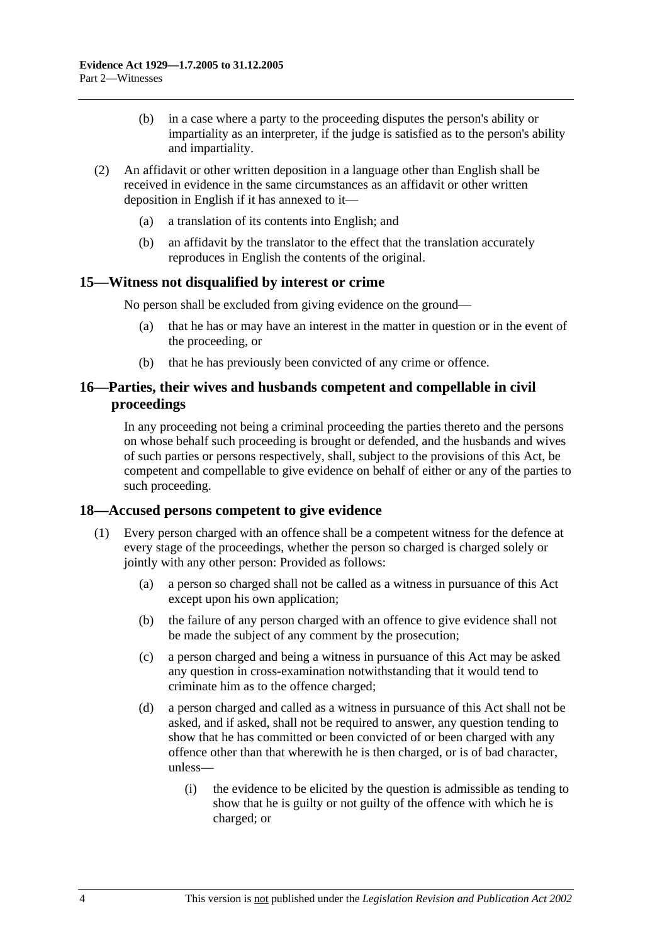- (b) in a case where a party to the proceeding disputes the person's ability or impartiality as an interpreter, if the judge is satisfied as to the person's ability and impartiality.
- (2) An affidavit or other written deposition in a language other than English shall be received in evidence in the same circumstances as an affidavit or other written deposition in English if it has annexed to it—
	- (a) a translation of its contents into English; and
	- (b) an affidavit by the translator to the effect that the translation accurately reproduces in English the contents of the original.

## **15—Witness not disqualified by interest or crime**

No person shall be excluded from giving evidence on the ground—

- (a) that he has or may have an interest in the matter in question or in the event of the proceeding, or
- (b) that he has previously been convicted of any crime or offence.

### **16—Parties, their wives and husbands competent and compellable in civil proceedings**

In any proceeding not being a criminal proceeding the parties thereto and the persons on whose behalf such proceeding is brought or defended, and the husbands and wives of such parties or persons respectively, shall, subject to the provisions of this Act, be competent and compellable to give evidence on behalf of either or any of the parties to such proceeding.

#### **18—Accused persons competent to give evidence**

- (1) Every person charged with an offence shall be a competent witness for the defence at every stage of the proceedings, whether the person so charged is charged solely or jointly with any other person: Provided as follows:
	- (a) a person so charged shall not be called as a witness in pursuance of this Act except upon his own application;
	- (b) the failure of any person charged with an offence to give evidence shall not be made the subject of any comment by the prosecution;
	- (c) a person charged and being a witness in pursuance of this Act may be asked any question in cross-examination notwithstanding that it would tend to criminate him as to the offence charged;
	- (d) a person charged and called as a witness in pursuance of this Act shall not be asked, and if asked, shall not be required to answer, any question tending to show that he has committed or been convicted of or been charged with any offence other than that wherewith he is then charged, or is of bad character, unless—
		- (i) the evidence to be elicited by the question is admissible as tending to show that he is guilty or not guilty of the offence with which he is charged; or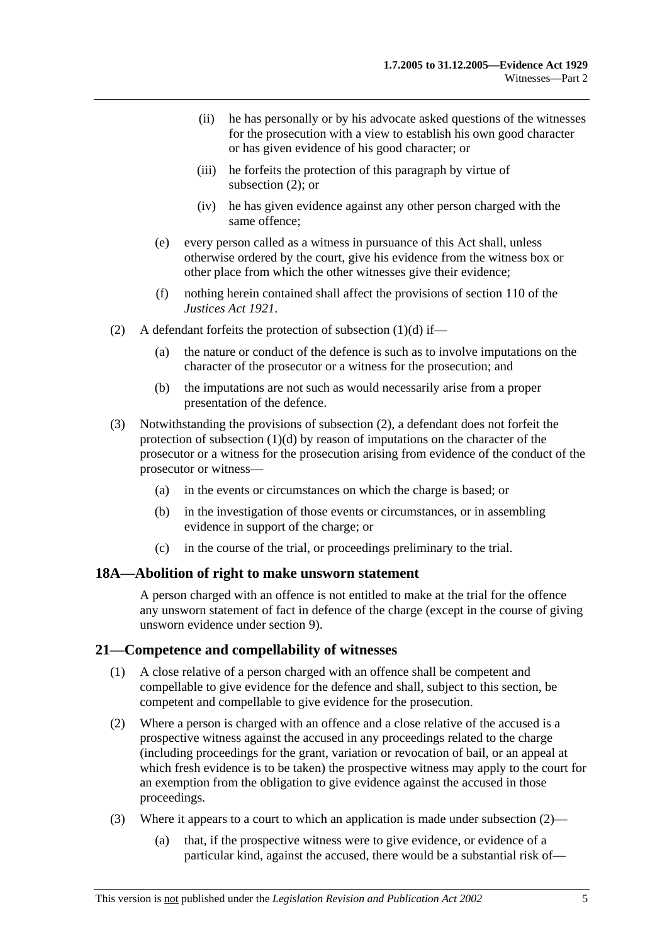- (ii) he has personally or by his advocate asked questions of the witnesses for the prosecution with a view to establish his own good character or has given evidence of his good character; or
- (iii) he forfeits the protection of this paragraph by virtue of subsection (2); or
- (iv) he has given evidence against any other person charged with the same offence;
- (e) every person called as a witness in pursuance of this Act shall, unless otherwise ordered by the court, give his evidence from the witness box or other place from which the other witnesses give their evidence;
- (f) nothing herein contained shall affect the provisions of section 110 of the *Justices Act 1921*.
- (2) A defendant forfeits the protection of subsection  $(1)(d)$  if—
	- (a) the nature or conduct of the defence is such as to involve imputations on the character of the prosecutor or a witness for the prosecution; and
	- (b) the imputations are not such as would necessarily arise from a proper presentation of the defence.
- (3) Notwithstanding the provisions of subsection (2), a defendant does not forfeit the protection of subsection  $(1)(d)$  by reason of imputations on the character of the prosecutor or a witness for the prosecution arising from evidence of the conduct of the prosecutor or witness—
	- (a) in the events or circumstances on which the charge is based; or
	- (b) in the investigation of those events or circumstances, or in assembling evidence in support of the charge; or
	- (c) in the course of the trial, or proceedings preliminary to the trial.

#### **18A—Abolition of right to make unsworn statement**

A person charged with an offence is not entitled to make at the trial for the offence any unsworn statement of fact in defence of the charge (except in the course of giving unsworn evidence under section 9).

## **21—Competence and compellability of witnesses**

- (1) A close relative of a person charged with an offence shall be competent and compellable to give evidence for the defence and shall, subject to this section, be competent and compellable to give evidence for the prosecution.
- (2) Where a person is charged with an offence and a close relative of the accused is a prospective witness against the accused in any proceedings related to the charge (including proceedings for the grant, variation or revocation of bail, or an appeal at which fresh evidence is to be taken) the prospective witness may apply to the court for an exemption from the obligation to give evidence against the accused in those proceedings.
- (3) Where it appears to a court to which an application is made under subsection (2)—
	- (a) that, if the prospective witness were to give evidence, or evidence of a particular kind, against the accused, there would be a substantial risk of—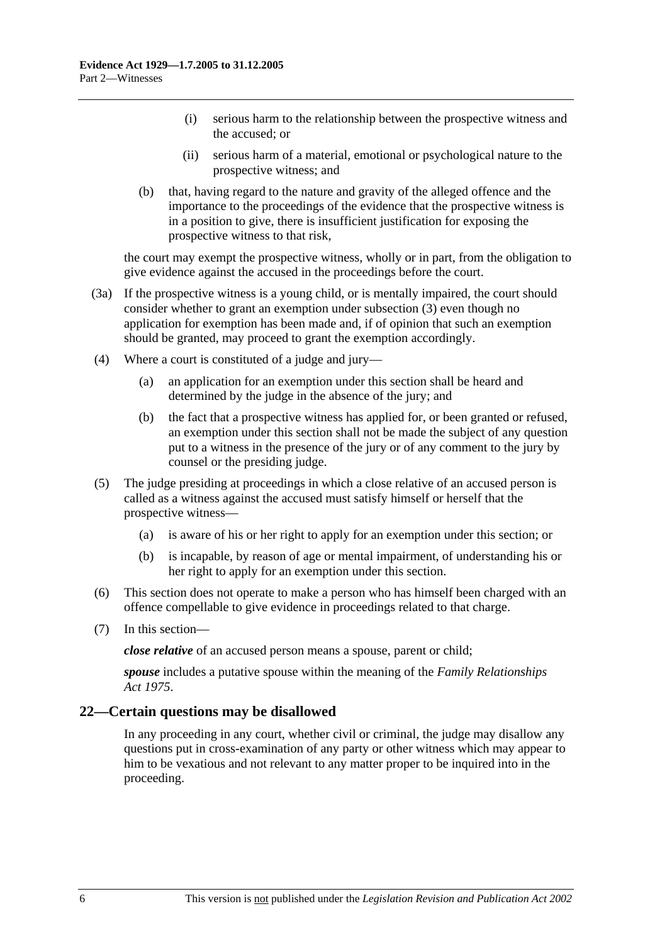- (i) serious harm to the relationship between the prospective witness and the accused; or
- (ii) serious harm of a material, emotional or psychological nature to the prospective witness; and
- (b) that, having regard to the nature and gravity of the alleged offence and the importance to the proceedings of the evidence that the prospective witness is in a position to give, there is insufficient justification for exposing the prospective witness to that risk,

the court may exempt the prospective witness, wholly or in part, from the obligation to give evidence against the accused in the proceedings before the court.

- (3a) If the prospective witness is a young child, or is mentally impaired, the court should consider whether to grant an exemption under subsection (3) even though no application for exemption has been made and, if of opinion that such an exemption should be granted, may proceed to grant the exemption accordingly.
- (4) Where a court is constituted of a judge and jury—
	- (a) an application for an exemption under this section shall be heard and determined by the judge in the absence of the jury; and
	- (b) the fact that a prospective witness has applied for, or been granted or refused, an exemption under this section shall not be made the subject of any question put to a witness in the presence of the jury or of any comment to the jury by counsel or the presiding judge.
- (5) The judge presiding at proceedings in which a close relative of an accused person is called as a witness against the accused must satisfy himself or herself that the prospective witness—
	- (a) is aware of his or her right to apply for an exemption under this section; or
	- (b) is incapable, by reason of age or mental impairment, of understanding his or her right to apply for an exemption under this section.
- (6) This section does not operate to make a person who has himself been charged with an offence compellable to give evidence in proceedings related to that charge.
- (7) In this section—

*close relative* of an accused person means a spouse, parent or child;

*spouse* includes a putative spouse within the meaning of the *Family Relationships Act 1975*.

#### **22—Certain questions may be disallowed**

In any proceeding in any court, whether civil or criminal, the judge may disallow any questions put in cross-examination of any party or other witness which may appear to him to be vexatious and not relevant to any matter proper to be inquired into in the proceeding.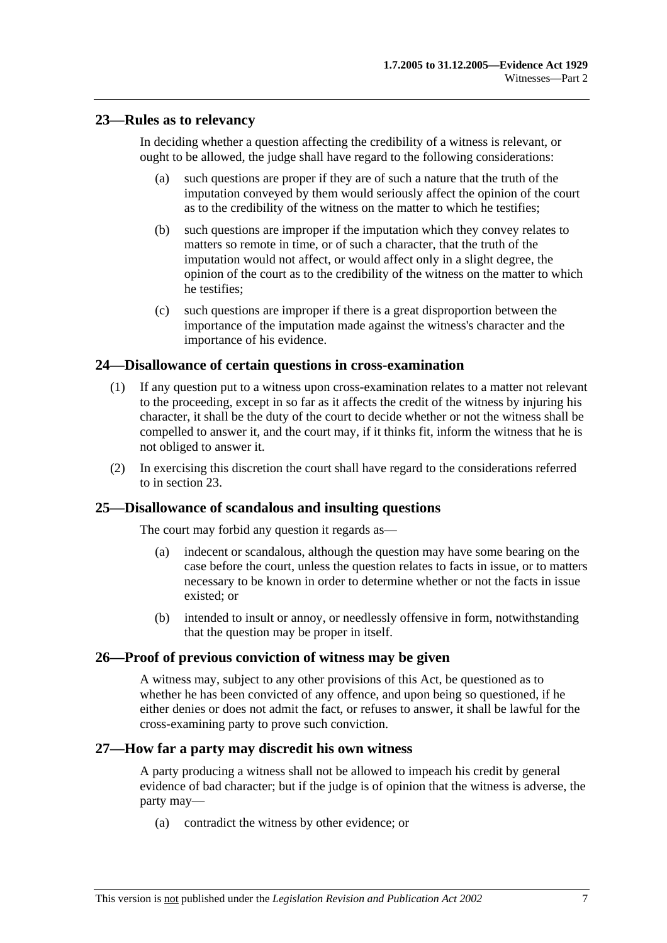## **23—Rules as to relevancy**

In deciding whether a question affecting the credibility of a witness is relevant, or ought to be allowed, the judge shall have regard to the following considerations:

- (a) such questions are proper if they are of such a nature that the truth of the imputation conveyed by them would seriously affect the opinion of the court as to the credibility of the witness on the matter to which he testifies;
- (b) such questions are improper if the imputation which they convey relates to matters so remote in time, or of such a character, that the truth of the imputation would not affect, or would affect only in a slight degree, the opinion of the court as to the credibility of the witness on the matter to which he testifies;
- (c) such questions are improper if there is a great disproportion between the importance of the imputation made against the witness's character and the importance of his evidence.

#### **24—Disallowance of certain questions in cross-examination**

- (1) If any question put to a witness upon cross-examination relates to a matter not relevant to the proceeding, except in so far as it affects the credit of the witness by injuring his character, it shall be the duty of the court to decide whether or not the witness shall be compelled to answer it, and the court may, if it thinks fit, inform the witness that he is not obliged to answer it.
- (2) In exercising this discretion the court shall have regard to the considerations referred to in section 23.

#### **25—Disallowance of scandalous and insulting questions**

The court may forbid any question it regards as—

- (a) indecent or scandalous, although the question may have some bearing on the case before the court, unless the question relates to facts in issue, or to matters necessary to be known in order to determine whether or not the facts in issue existed; or
- (b) intended to insult or annoy, or needlessly offensive in form, notwithstanding that the question may be proper in itself.

#### **26—Proof of previous conviction of witness may be given**

A witness may, subject to any other provisions of this Act, be questioned as to whether he has been convicted of any offence, and upon being so questioned, if he either denies or does not admit the fact, or refuses to answer, it shall be lawful for the cross-examining party to prove such conviction.

#### **27—How far a party may discredit his own witness**

A party producing a witness shall not be allowed to impeach his credit by general evidence of bad character; but if the judge is of opinion that the witness is adverse, the party may—

(a) contradict the witness by other evidence; or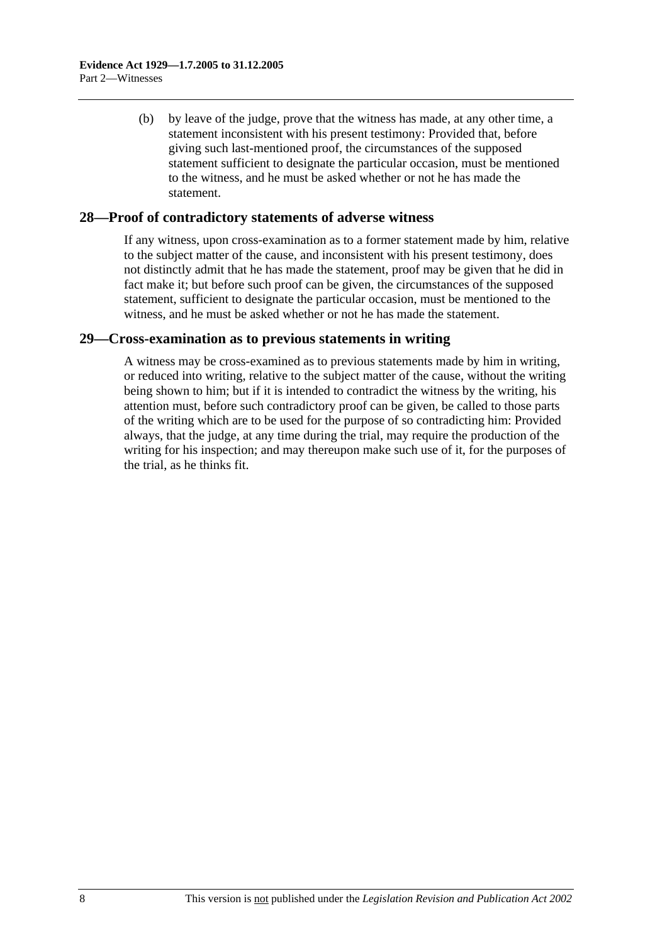(b) by leave of the judge, prove that the witness has made, at any other time, a statement inconsistent with his present testimony: Provided that, before giving such last-mentioned proof, the circumstances of the supposed statement sufficient to designate the particular occasion, must be mentioned to the witness, and he must be asked whether or not he has made the statement.

#### **28—Proof of contradictory statements of adverse witness**

If any witness, upon cross-examination as to a former statement made by him, relative to the subject matter of the cause, and inconsistent with his present testimony, does not distinctly admit that he has made the statement, proof may be given that he did in fact make it; but before such proof can be given, the circumstances of the supposed statement, sufficient to designate the particular occasion, must be mentioned to the witness, and he must be asked whether or not he has made the statement.

#### **29—Cross-examination as to previous statements in writing**

A witness may be cross-examined as to previous statements made by him in writing, or reduced into writing, relative to the subject matter of the cause, without the writing being shown to him; but if it is intended to contradict the witness by the writing, his attention must, before such contradictory proof can be given, be called to those parts of the writing which are to be used for the purpose of so contradicting him: Provided always, that the judge, at any time during the trial, may require the production of the writing for his inspection; and may thereupon make such use of it, for the purposes of the trial, as he thinks fit.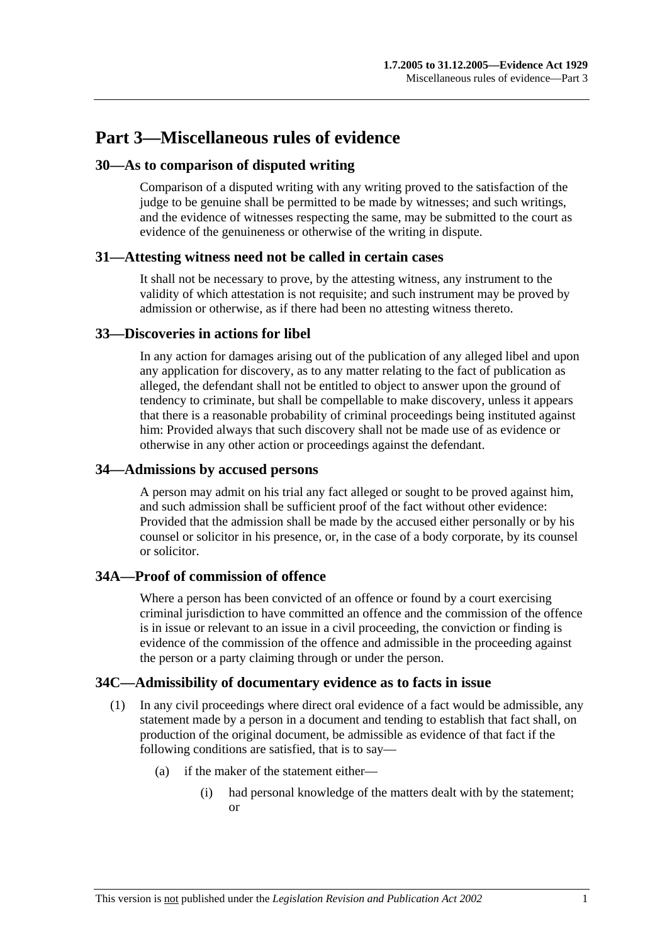## **Part 3—Miscellaneous rules of evidence**

## **30—As to comparison of disputed writing**

Comparison of a disputed writing with any writing proved to the satisfaction of the judge to be genuine shall be permitted to be made by witnesses; and such writings, and the evidence of witnesses respecting the same, may be submitted to the court as evidence of the genuineness or otherwise of the writing in dispute.

#### **31—Attesting witness need not be called in certain cases**

It shall not be necessary to prove, by the attesting witness, any instrument to the validity of which attestation is not requisite; and such instrument may be proved by admission or otherwise, as if there had been no attesting witness thereto.

#### **33—Discoveries in actions for libel**

In any action for damages arising out of the publication of any alleged libel and upon any application for discovery, as to any matter relating to the fact of publication as alleged, the defendant shall not be entitled to object to answer upon the ground of tendency to criminate, but shall be compellable to make discovery, unless it appears that there is a reasonable probability of criminal proceedings being instituted against him: Provided always that such discovery shall not be made use of as evidence or otherwise in any other action or proceedings against the defendant.

#### **34—Admissions by accused persons**

A person may admit on his trial any fact alleged or sought to be proved against him, and such admission shall be sufficient proof of the fact without other evidence: Provided that the admission shall be made by the accused either personally or by his counsel or solicitor in his presence, or, in the case of a body corporate, by its counsel or solicitor.

#### **34A—Proof of commission of offence**

Where a person has been convicted of an offence or found by a court exercising criminal jurisdiction to have committed an offence and the commission of the offence is in issue or relevant to an issue in a civil proceeding, the conviction or finding is evidence of the commission of the offence and admissible in the proceeding against the person or a party claiming through or under the person.

#### **34C—Admissibility of documentary evidence as to facts in issue**

- (1) In any civil proceedings where direct oral evidence of a fact would be admissible, any statement made by a person in a document and tending to establish that fact shall, on production of the original document, be admissible as evidence of that fact if the following conditions are satisfied, that is to say—
	- (a) if the maker of the statement either—
		- (i) had personal knowledge of the matters dealt with by the statement; or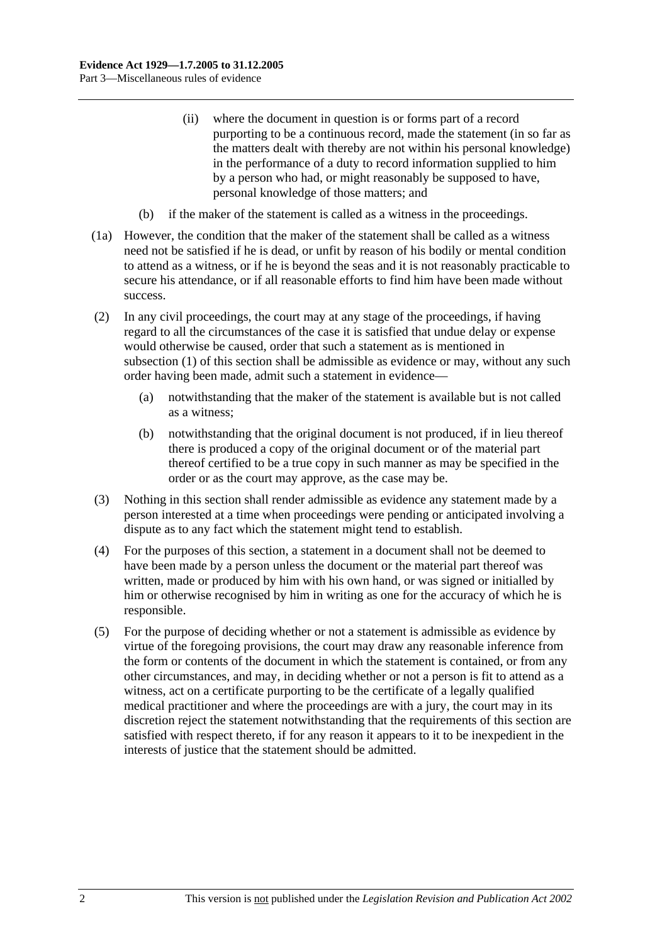- (ii) where the document in question is or forms part of a record purporting to be a continuous record, made the statement (in so far as the matters dealt with thereby are not within his personal knowledge) in the performance of a duty to record information supplied to him by a person who had, or might reasonably be supposed to have, personal knowledge of those matters; and
- (b) if the maker of the statement is called as a witness in the proceedings.
- (1a) However, the condition that the maker of the statement shall be called as a witness need not be satisfied if he is dead, or unfit by reason of his bodily or mental condition to attend as a witness, or if he is beyond the seas and it is not reasonably practicable to secure his attendance, or if all reasonable efforts to find him have been made without success.
- (2) In any civil proceedings, the court may at any stage of the proceedings, if having regard to all the circumstances of the case it is satisfied that undue delay or expense would otherwise be caused, order that such a statement as is mentioned in subsection (1) of this section shall be admissible as evidence or may, without any such order having been made, admit such a statement in evidence—
	- (a) notwithstanding that the maker of the statement is available but is not called as a witness;
	- (b) notwithstanding that the original document is not produced, if in lieu thereof there is produced a copy of the original document or of the material part thereof certified to be a true copy in such manner as may be specified in the order or as the court may approve, as the case may be.
- (3) Nothing in this section shall render admissible as evidence any statement made by a person interested at a time when proceedings were pending or anticipated involving a dispute as to any fact which the statement might tend to establish.
- (4) For the purposes of this section, a statement in a document shall not be deemed to have been made by a person unless the document or the material part thereof was written, made or produced by him with his own hand, or was signed or initialled by him or otherwise recognised by him in writing as one for the accuracy of which he is responsible.
- (5) For the purpose of deciding whether or not a statement is admissible as evidence by virtue of the foregoing provisions, the court may draw any reasonable inference from the form or contents of the document in which the statement is contained, or from any other circumstances, and may, in deciding whether or not a person is fit to attend as a witness, act on a certificate purporting to be the certificate of a legally qualified medical practitioner and where the proceedings are with a jury, the court may in its discretion reject the statement notwithstanding that the requirements of this section are satisfied with respect thereto, if for any reason it appears to it to be inexpedient in the interests of justice that the statement should be admitted.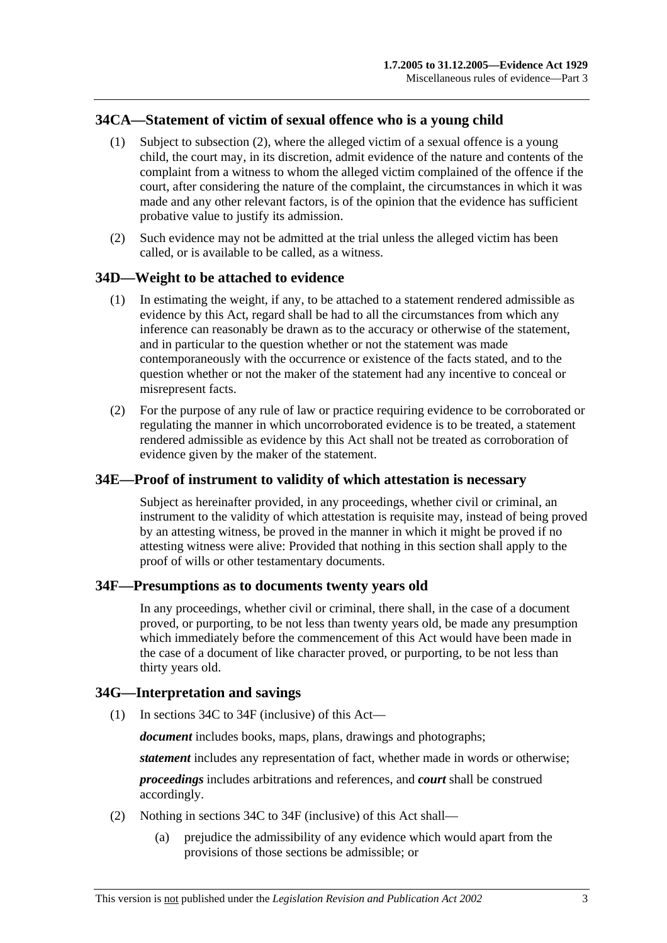## **34CA—Statement of victim of sexual offence who is a young child**

- (1) Subject to subsection (2), where the alleged victim of a sexual offence is a young child, the court may, in its discretion, admit evidence of the nature and contents of the complaint from a witness to whom the alleged victim complained of the offence if the court, after considering the nature of the complaint, the circumstances in which it was made and any other relevant factors, is of the opinion that the evidence has sufficient probative value to justify its admission.
- (2) Such evidence may not be admitted at the trial unless the alleged victim has been called, or is available to be called, as a witness.

#### **34D—Weight to be attached to evidence**

- (1) In estimating the weight, if any, to be attached to a statement rendered admissible as evidence by this Act, regard shall be had to all the circumstances from which any inference can reasonably be drawn as to the accuracy or otherwise of the statement, and in particular to the question whether or not the statement was made contemporaneously with the occurrence or existence of the facts stated, and to the question whether or not the maker of the statement had any incentive to conceal or misrepresent facts.
- (2) For the purpose of any rule of law or practice requiring evidence to be corroborated or regulating the manner in which uncorroborated evidence is to be treated, a statement rendered admissible as evidence by this Act shall not be treated as corroboration of evidence given by the maker of the statement.

## **34E—Proof of instrument to validity of which attestation is necessary**

Subject as hereinafter provided, in any proceedings, whether civil or criminal, an instrument to the validity of which attestation is requisite may, instead of being proved by an attesting witness, be proved in the manner in which it might be proved if no attesting witness were alive: Provided that nothing in this section shall apply to the proof of wills or other testamentary documents.

#### **34F—Presumptions as to documents twenty years old**

In any proceedings, whether civil or criminal, there shall, in the case of a document proved, or purporting, to be not less than twenty years old, be made any presumption which immediately before the commencement of this Act would have been made in the case of a document of like character proved, or purporting, to be not less than thirty years old.

#### **34G—Interpretation and savings**

(1) In sections 34C to 34F (inclusive) of this Act—

*document* includes books, maps, plans, drawings and photographs;

*statement* includes any representation of fact, whether made in words or otherwise;

*proceedings* includes arbitrations and references, and *court* shall be construed accordingly.

- (2) Nothing in sections 34C to 34F (inclusive) of this Act shall—
	- (a) prejudice the admissibility of any evidence which would apart from the provisions of those sections be admissible; or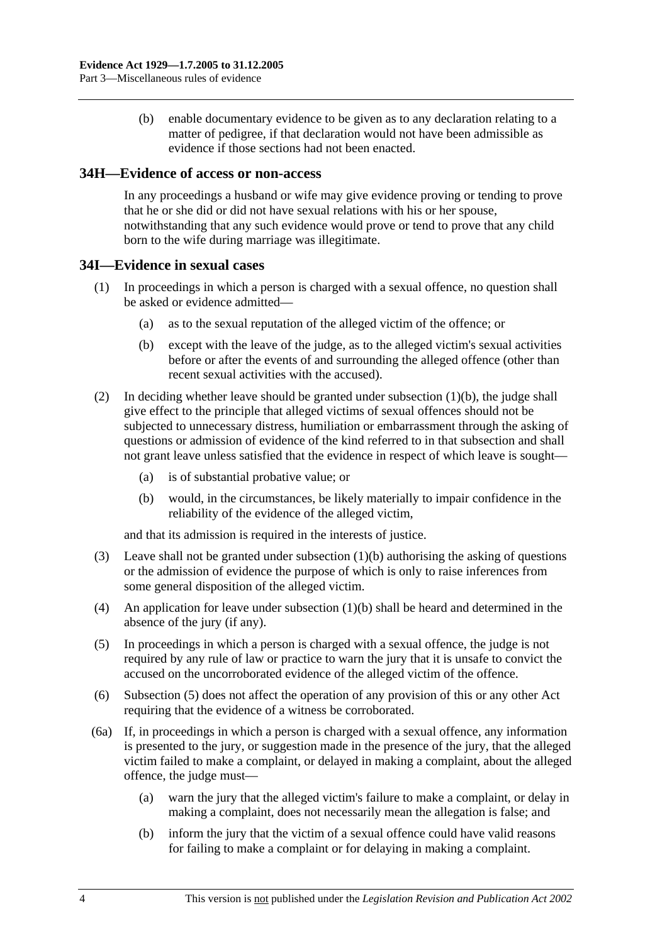(b) enable documentary evidence to be given as to any declaration relating to a matter of pedigree, if that declaration would not have been admissible as evidence if those sections had not been enacted.

#### **34H—Evidence of access or non-access**

In any proceedings a husband or wife may give evidence proving or tending to prove that he or she did or did not have sexual relations with his or her spouse, notwithstanding that any such evidence would prove or tend to prove that any child born to the wife during marriage was illegitimate.

#### **34I—Evidence in sexual cases**

- (1) In proceedings in which a person is charged with a sexual offence, no question shall be asked or evidence admitted—
	- (a) as to the sexual reputation of the alleged victim of the offence; or
	- (b) except with the leave of the judge, as to the alleged victim's sexual activities before or after the events of and surrounding the alleged offence (other than recent sexual activities with the accused).
- (2) In deciding whether leave should be granted under subsection (1)(b), the judge shall give effect to the principle that alleged victims of sexual offences should not be subjected to unnecessary distress, humiliation or embarrassment through the asking of questions or admission of evidence of the kind referred to in that subsection and shall not grant leave unless satisfied that the evidence in respect of which leave is sought—
	- (a) is of substantial probative value; or
	- (b) would, in the circumstances, be likely materially to impair confidence in the reliability of the evidence of the alleged victim,

and that its admission is required in the interests of justice.

- (3) Leave shall not be granted under subsection (1)(b) authorising the asking of questions or the admission of evidence the purpose of which is only to raise inferences from some general disposition of the alleged victim.
- (4) An application for leave under subsection (1)(b) shall be heard and determined in the absence of the jury (if any).
- (5) In proceedings in which a person is charged with a sexual offence, the judge is not required by any rule of law or practice to warn the jury that it is unsafe to convict the accused on the uncorroborated evidence of the alleged victim of the offence.
- (6) Subsection (5) does not affect the operation of any provision of this or any other Act requiring that the evidence of a witness be corroborated.
- (6a) If, in proceedings in which a person is charged with a sexual offence, any information is presented to the jury, or suggestion made in the presence of the jury, that the alleged victim failed to make a complaint, or delayed in making a complaint, about the alleged offence, the judge must—
	- (a) warn the jury that the alleged victim's failure to make a complaint, or delay in making a complaint, does not necessarily mean the allegation is false; and
	- (b) inform the jury that the victim of a sexual offence could have valid reasons for failing to make a complaint or for delaying in making a complaint.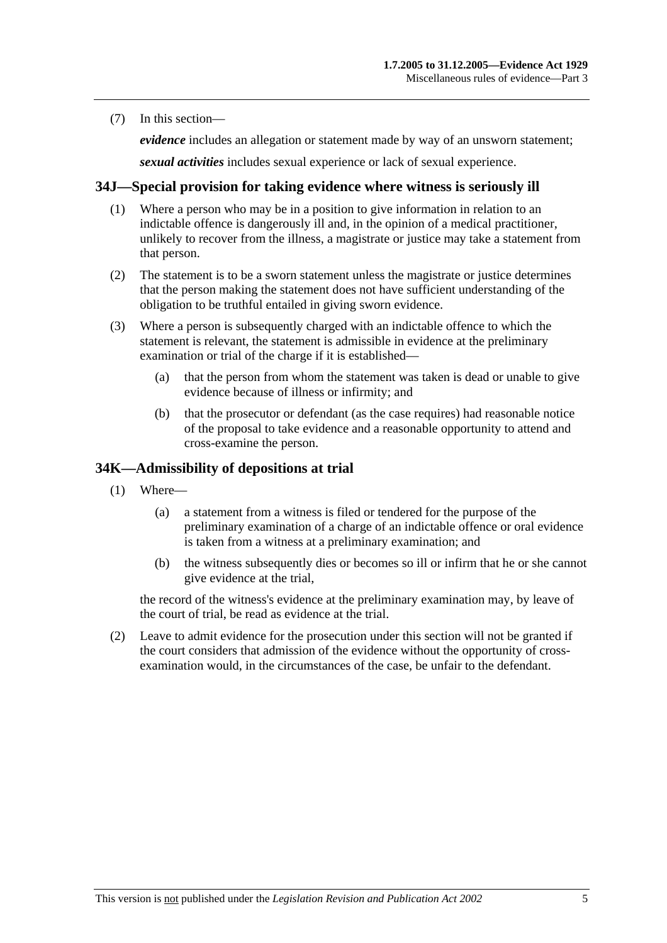(7) In this section—

*evidence* includes an allegation or statement made by way of an unsworn statement;

*sexual activities* includes sexual experience or lack of sexual experience.

#### **34J—Special provision for taking evidence where witness is seriously ill**

- (1) Where a person who may be in a position to give information in relation to an indictable offence is dangerously ill and, in the opinion of a medical practitioner, unlikely to recover from the illness, a magistrate or justice may take a statement from that person.
- (2) The statement is to be a sworn statement unless the magistrate or justice determines that the person making the statement does not have sufficient understanding of the obligation to be truthful entailed in giving sworn evidence.
- (3) Where a person is subsequently charged with an indictable offence to which the statement is relevant, the statement is admissible in evidence at the preliminary examination or trial of the charge if it is established—
	- (a) that the person from whom the statement was taken is dead or unable to give evidence because of illness or infirmity; and
	- (b) that the prosecutor or defendant (as the case requires) had reasonable notice of the proposal to take evidence and a reasonable opportunity to attend and cross-examine the person.

#### **34K—Admissibility of depositions at trial**

- (1) Where—
	- (a) a statement from a witness is filed or tendered for the purpose of the preliminary examination of a charge of an indictable offence or oral evidence is taken from a witness at a preliminary examination; and
	- (b) the witness subsequently dies or becomes so ill or infirm that he or she cannot give evidence at the trial,

the record of the witness's evidence at the preliminary examination may, by leave of the court of trial, be read as evidence at the trial.

 (2) Leave to admit evidence for the prosecution under this section will not be granted if the court considers that admission of the evidence without the opportunity of crossexamination would, in the circumstances of the case, be unfair to the defendant.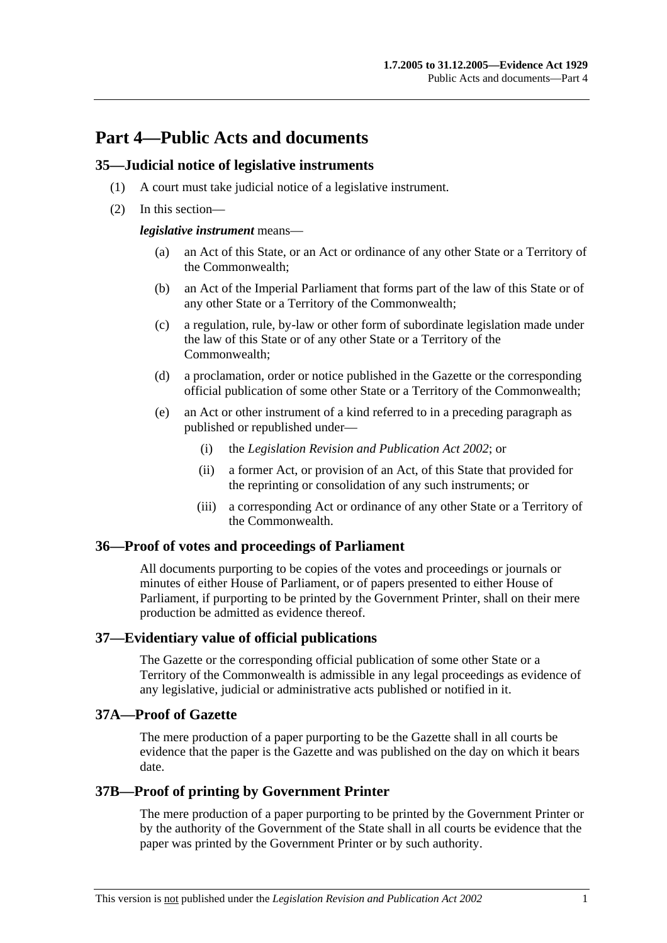## **Part 4—Public Acts and documents**

## **35—Judicial notice of legislative instruments**

- (1) A court must take judicial notice of a legislative instrument.
- (2) In this section—

*legislative instrument* means—

- (a) an Act of this State, or an Act or ordinance of any other State or a Territory of the Commonwealth;
- (b) an Act of the Imperial Parliament that forms part of the law of this State or of any other State or a Territory of the Commonwealth;
- (c) a regulation, rule, by-law or other form of subordinate legislation made under the law of this State or of any other State or a Territory of the Commonwealth;
- (d) a proclamation, order or notice published in the Gazette or the corresponding official publication of some other State or a Territory of the Commonwealth;
- (e) an Act or other instrument of a kind referred to in a preceding paragraph as published or republished under—
	- (i) the *Legislation Revision and Publication Act 2002*; or
	- (ii) a former Act, or provision of an Act, of this State that provided for the reprinting or consolidation of any such instruments; or
	- (iii) a corresponding Act or ordinance of any other State or a Territory of the Commonwealth.

## **36—Proof of votes and proceedings of Parliament**

All documents purporting to be copies of the votes and proceedings or journals or minutes of either House of Parliament, or of papers presented to either House of Parliament, if purporting to be printed by the Government Printer, shall on their mere production be admitted as evidence thereof.

#### **37—Evidentiary value of official publications**

The Gazette or the corresponding official publication of some other State or a Territory of the Commonwealth is admissible in any legal proceedings as evidence of any legislative, judicial or administrative acts published or notified in it.

## **37A—Proof of Gazette**

The mere production of a paper purporting to be the Gazette shall in all courts be evidence that the paper is the Gazette and was published on the day on which it bears date.

## **37B—Proof of printing by Government Printer**

The mere production of a paper purporting to be printed by the Government Printer or by the authority of the Government of the State shall in all courts be evidence that the paper was printed by the Government Printer or by such authority.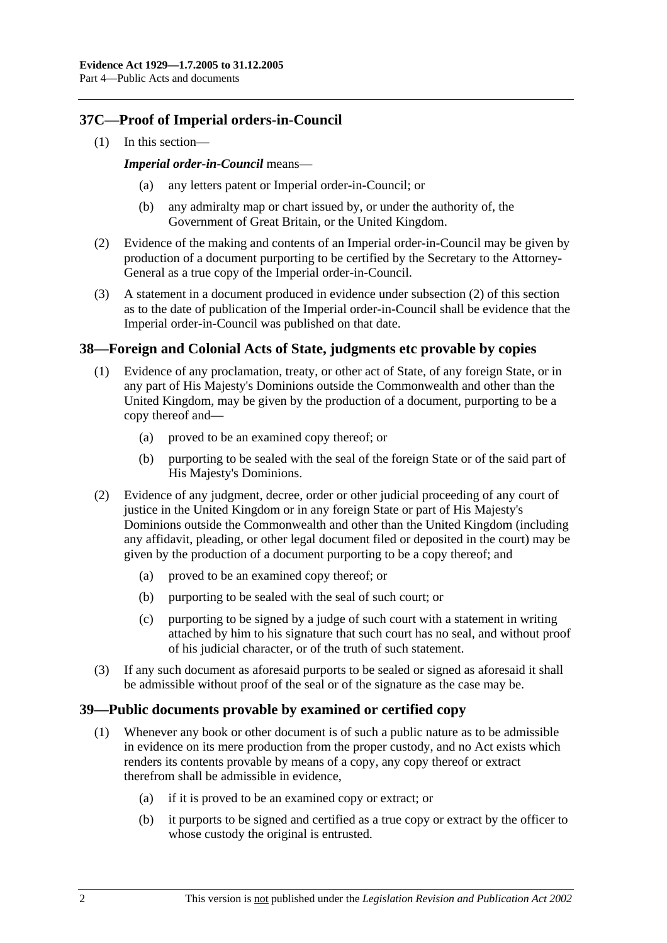## **37C—Proof of Imperial orders-in-Council**

(1) In this section—

#### *Imperial order-in-Council* means—

- any letters patent or Imperial order-in-Council; or
- (b) any admiralty map or chart issued by, or under the authority of, the Government of Great Britain, or the United Kingdom.
- (2) Evidence of the making and contents of an Imperial order-in-Council may be given by production of a document purporting to be certified by the Secretary to the Attorney-General as a true copy of the Imperial order-in-Council.
- (3) A statement in a document produced in evidence under subsection (2) of this section as to the date of publication of the Imperial order-in-Council shall be evidence that the Imperial order-in-Council was published on that date.

#### **38—Foreign and Colonial Acts of State, judgments etc provable by copies**

- (1) Evidence of any proclamation, treaty, or other act of State, of any foreign State, or in any part of His Majesty's Dominions outside the Commonwealth and other than the United Kingdom, may be given by the production of a document, purporting to be a copy thereof and—
	- (a) proved to be an examined copy thereof; or
	- (b) purporting to be sealed with the seal of the foreign State or of the said part of His Majesty's Dominions.
- (2) Evidence of any judgment, decree, order or other judicial proceeding of any court of justice in the United Kingdom or in any foreign State or part of His Majesty's Dominions outside the Commonwealth and other than the United Kingdom (including any affidavit, pleading, or other legal document filed or deposited in the court) may be given by the production of a document purporting to be a copy thereof; and
	- (a) proved to be an examined copy thereof; or
	- (b) purporting to be sealed with the seal of such court; or
	- (c) purporting to be signed by a judge of such court with a statement in writing attached by him to his signature that such court has no seal, and without proof of his judicial character, or of the truth of such statement.
- (3) If any such document as aforesaid purports to be sealed or signed as aforesaid it shall be admissible without proof of the seal or of the signature as the case may be.

#### **39—Public documents provable by examined or certified copy**

- (1) Whenever any book or other document is of such a public nature as to be admissible in evidence on its mere production from the proper custody, and no Act exists which renders its contents provable by means of a copy, any copy thereof or extract therefrom shall be admissible in evidence,
	- (a) if it is proved to be an examined copy or extract; or
	- (b) it purports to be signed and certified as a true copy or extract by the officer to whose custody the original is entrusted.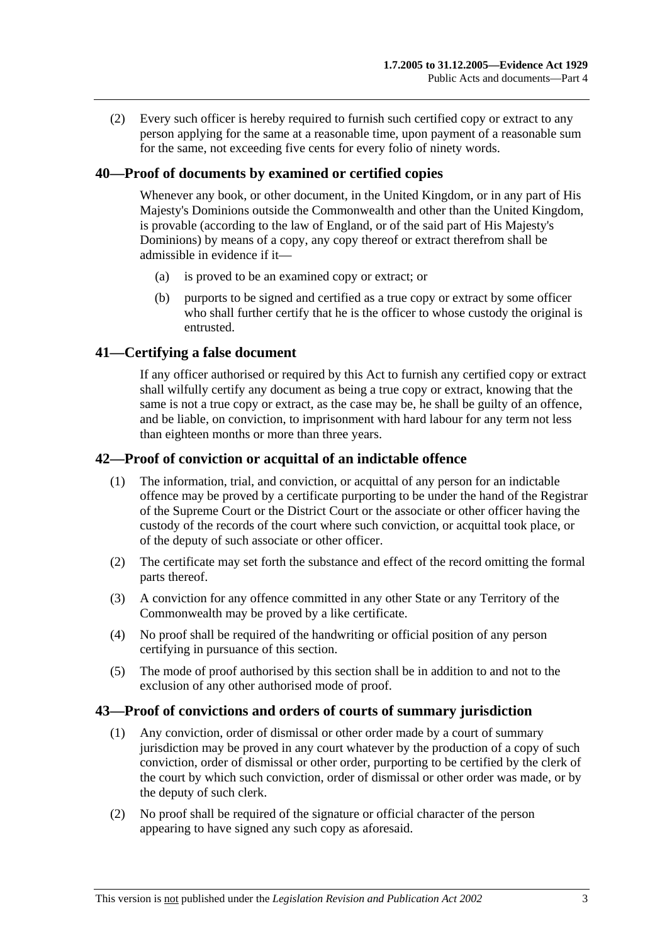(2) Every such officer is hereby required to furnish such certified copy or extract to any person applying for the same at a reasonable time, upon payment of a reasonable sum for the same, not exceeding five cents for every folio of ninety words.

## **40—Proof of documents by examined or certified copies**

Whenever any book, or other document, in the United Kingdom, or in any part of His Majesty's Dominions outside the Commonwealth and other than the United Kingdom, is provable (according to the law of England, or of the said part of His Majesty's Dominions) by means of a copy, any copy thereof or extract therefrom shall be admissible in evidence if it—

- (a) is proved to be an examined copy or extract; or
- (b) purports to be signed and certified as a true copy or extract by some officer who shall further certify that he is the officer to whose custody the original is entrusted.

#### **41—Certifying a false document**

If any officer authorised or required by this Act to furnish any certified copy or extract shall wilfully certify any document as being a true copy or extract, knowing that the same is not a true copy or extract, as the case may be, he shall be guilty of an offence, and be liable, on conviction, to imprisonment with hard labour for any term not less than eighteen months or more than three years.

#### **42—Proof of conviction or acquittal of an indictable offence**

- (1) The information, trial, and conviction, or acquittal of any person for an indictable offence may be proved by a certificate purporting to be under the hand of the Registrar of the Supreme Court or the District Court or the associate or other officer having the custody of the records of the court where such conviction, or acquittal took place, or of the deputy of such associate or other officer.
- (2) The certificate may set forth the substance and effect of the record omitting the formal parts thereof.
- (3) A conviction for any offence committed in any other State or any Territory of the Commonwealth may be proved by a like certificate.
- (4) No proof shall be required of the handwriting or official position of any person certifying in pursuance of this section.
- (5) The mode of proof authorised by this section shall be in addition to and not to the exclusion of any other authorised mode of proof.

#### **43—Proof of convictions and orders of courts of summary jurisdiction**

- (1) Any conviction, order of dismissal or other order made by a court of summary jurisdiction may be proved in any court whatever by the production of a copy of such conviction, order of dismissal or other order, purporting to be certified by the clerk of the court by which such conviction, order of dismissal or other order was made, or by the deputy of such clerk.
- (2) No proof shall be required of the signature or official character of the person appearing to have signed any such copy as aforesaid.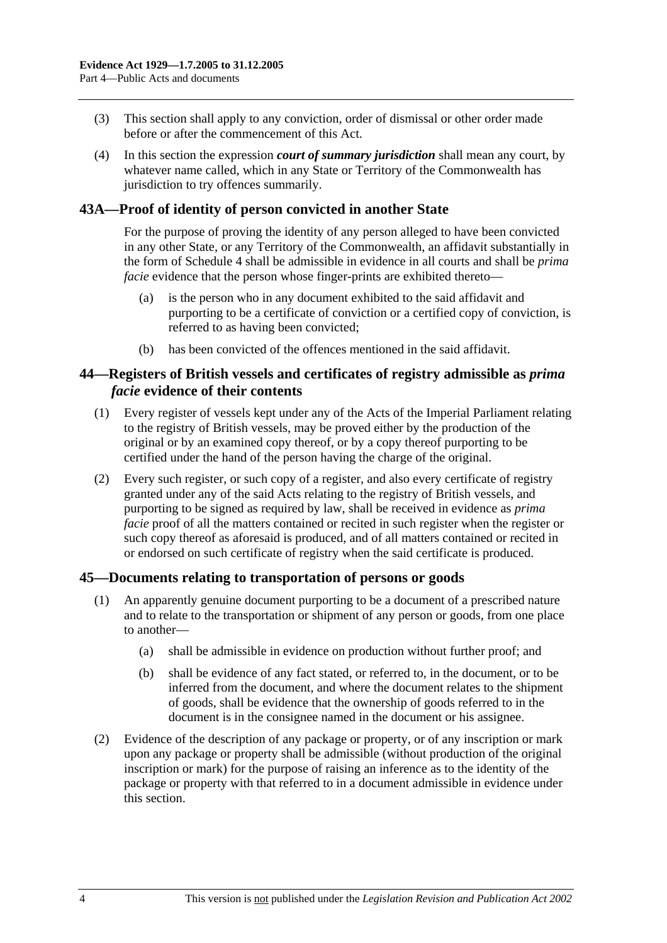- (3) This section shall apply to any conviction, order of dismissal or other order made before or after the commencement of this Act.
- (4) In this section the expression *court of summary jurisdiction* shall mean any court, by whatever name called, which in any State or Territory of the Commonwealth has jurisdiction to try offences summarily.

## **43A—Proof of identity of person convicted in another State**

For the purpose of proving the identity of any person alleged to have been convicted in any other State, or any Territory of the Commonwealth, an affidavit substantially in the form of Schedule 4 shall be admissible in evidence in all courts and shall be *prima facie* evidence that the person whose finger-prints are exhibited thereto—

- (a) is the person who in any document exhibited to the said affidavit and purporting to be a certificate of conviction or a certified copy of conviction, is referred to as having been convicted;
- (b) has been convicted of the offences mentioned in the said affidavit.

## **44—Registers of British vessels and certificates of registry admissible as** *prima facie* **evidence of their contents**

- (1) Every register of vessels kept under any of the Acts of the Imperial Parliament relating to the registry of British vessels, may be proved either by the production of the original or by an examined copy thereof, or by a copy thereof purporting to be certified under the hand of the person having the charge of the original.
- (2) Every such register, or such copy of a register, and also every certificate of registry granted under any of the said Acts relating to the registry of British vessels, and purporting to be signed as required by law, shall be received in evidence as *prima facie* proof of all the matters contained or recited in such register when the register or such copy thereof as aforesaid is produced, and of all matters contained or recited in or endorsed on such certificate of registry when the said certificate is produced.

## **45—Documents relating to transportation of persons or goods**

- (1) An apparently genuine document purporting to be a document of a prescribed nature and to relate to the transportation or shipment of any person or goods, from one place to another—
	- (a) shall be admissible in evidence on production without further proof; and
	- (b) shall be evidence of any fact stated, or referred to, in the document, or to be inferred from the document, and where the document relates to the shipment of goods, shall be evidence that the ownership of goods referred to in the document is in the consignee named in the document or his assignee.
- (2) Evidence of the description of any package or property, or of any inscription or mark upon any package or property shall be admissible (without production of the original inscription or mark) for the purpose of raising an inference as to the identity of the package or property with that referred to in a document admissible in evidence under this section.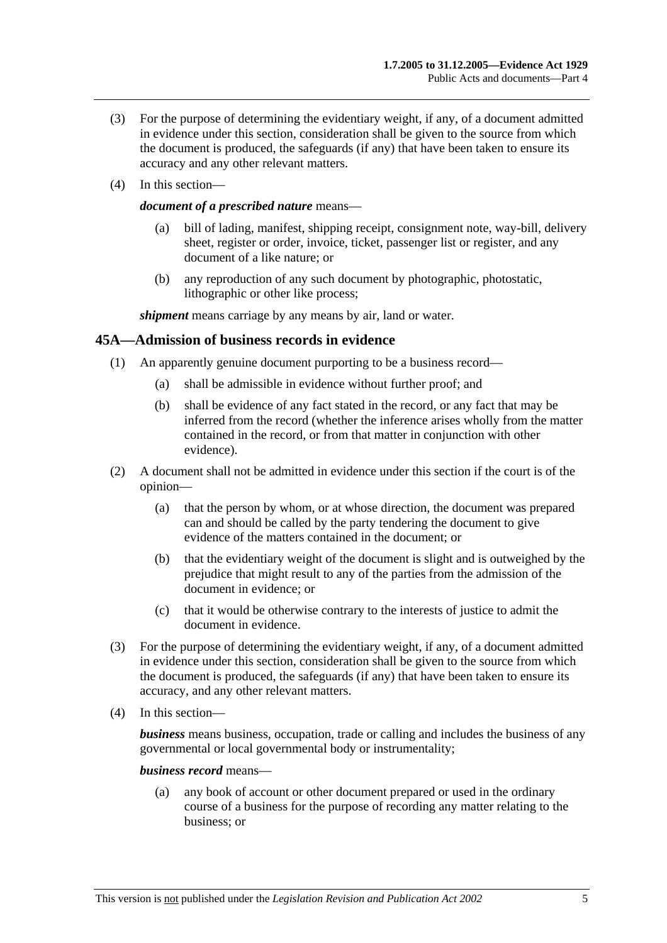- (3) For the purpose of determining the evidentiary weight, if any, of a document admitted in evidence under this section, consideration shall be given to the source from which the document is produced, the safeguards (if any) that have been taken to ensure its accuracy and any other relevant matters.
- (4) In this section—

#### *document of a prescribed nature* means—

- (a) bill of lading, manifest, shipping receipt, consignment note, way-bill, delivery sheet, register or order, invoice, ticket, passenger list or register, and any document of a like nature; or
- (b) any reproduction of any such document by photographic, photostatic, lithographic or other like process;

*shipment* means carriage by any means by air, land or water.

#### **45A—Admission of business records in evidence**

- (1) An apparently genuine document purporting to be a business record—
	- (a) shall be admissible in evidence without further proof; and
	- (b) shall be evidence of any fact stated in the record, or any fact that may be inferred from the record (whether the inference arises wholly from the matter contained in the record, or from that matter in conjunction with other evidence).
- (2) A document shall not be admitted in evidence under this section if the court is of the opinion—
	- (a) that the person by whom, or at whose direction, the document was prepared can and should be called by the party tendering the document to give evidence of the matters contained in the document; or
	- (b) that the evidentiary weight of the document is slight and is outweighed by the prejudice that might result to any of the parties from the admission of the document in evidence; or
	- (c) that it would be otherwise contrary to the interests of justice to admit the document in evidence.
- (3) For the purpose of determining the evidentiary weight, if any, of a document admitted in evidence under this section, consideration shall be given to the source from which the document is produced, the safeguards (if any) that have been taken to ensure its accuracy, and any other relevant matters.
- (4) In this section—

*business* means business, occupation, trade or calling and includes the business of any governmental or local governmental body or instrumentality;

#### *business record* means—

 (a) any book of account or other document prepared or used in the ordinary course of a business for the purpose of recording any matter relating to the business; or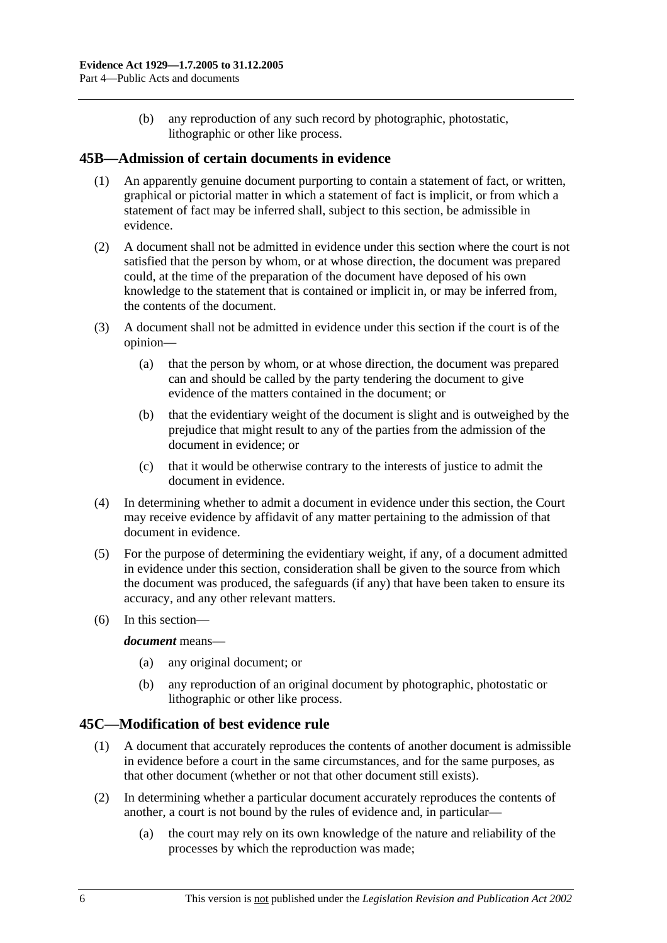(b) any reproduction of any such record by photographic, photostatic, lithographic or other like process.

## **45B—Admission of certain documents in evidence**

- (1) An apparently genuine document purporting to contain a statement of fact, or written, graphical or pictorial matter in which a statement of fact is implicit, or from which a statement of fact may be inferred shall, subject to this section, be admissible in evidence.
- (2) A document shall not be admitted in evidence under this section where the court is not satisfied that the person by whom, or at whose direction, the document was prepared could, at the time of the preparation of the document have deposed of his own knowledge to the statement that is contained or implicit in, or may be inferred from, the contents of the document.
- (3) A document shall not be admitted in evidence under this section if the court is of the opinion—
	- (a) that the person by whom, or at whose direction, the document was prepared can and should be called by the party tendering the document to give evidence of the matters contained in the document; or
	- (b) that the evidentiary weight of the document is slight and is outweighed by the prejudice that might result to any of the parties from the admission of the document in evidence; or
	- (c) that it would be otherwise contrary to the interests of justice to admit the document in evidence.
- (4) In determining whether to admit a document in evidence under this section, the Court may receive evidence by affidavit of any matter pertaining to the admission of that document in evidence.
- (5) For the purpose of determining the evidentiary weight, if any, of a document admitted in evidence under this section, consideration shall be given to the source from which the document was produced, the safeguards (if any) that have been taken to ensure its accuracy, and any other relevant matters.
- (6) In this section—

#### *document* means—

- (a) any original document; or
- (b) any reproduction of an original document by photographic, photostatic or lithographic or other like process.

## **45C—Modification of best evidence rule**

- (1) A document that accurately reproduces the contents of another document is admissible in evidence before a court in the same circumstances, and for the same purposes, as that other document (whether or not that other document still exists).
- (2) In determining whether a particular document accurately reproduces the contents of another, a court is not bound by the rules of evidence and, in particular—
	- (a) the court may rely on its own knowledge of the nature and reliability of the processes by which the reproduction was made;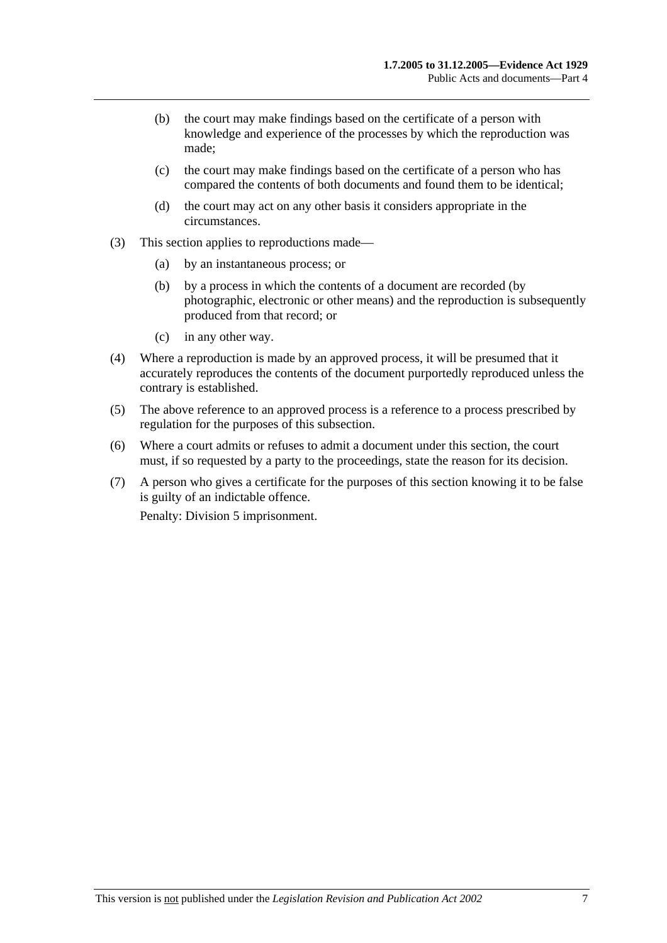- (b) the court may make findings based on the certificate of a person with knowledge and experience of the processes by which the reproduction was made;
- (c) the court may make findings based on the certificate of a person who has compared the contents of both documents and found them to be identical;
- (d) the court may act on any other basis it considers appropriate in the circumstances.
- (3) This section applies to reproductions made—
	- (a) by an instantaneous process; or
	- (b) by a process in which the contents of a document are recorded (by photographic, electronic or other means) and the reproduction is subsequently produced from that record; or
	- (c) in any other way.
- (4) Where a reproduction is made by an approved process, it will be presumed that it accurately reproduces the contents of the document purportedly reproduced unless the contrary is established.
- (5) The above reference to an approved process is a reference to a process prescribed by regulation for the purposes of this subsection.
- (6) Where a court admits or refuses to admit a document under this section, the court must, if so requested by a party to the proceedings, state the reason for its decision.
- (7) A person who gives a certificate for the purposes of this section knowing it to be false is guilty of an indictable offence.

Penalty: Division 5 imprisonment.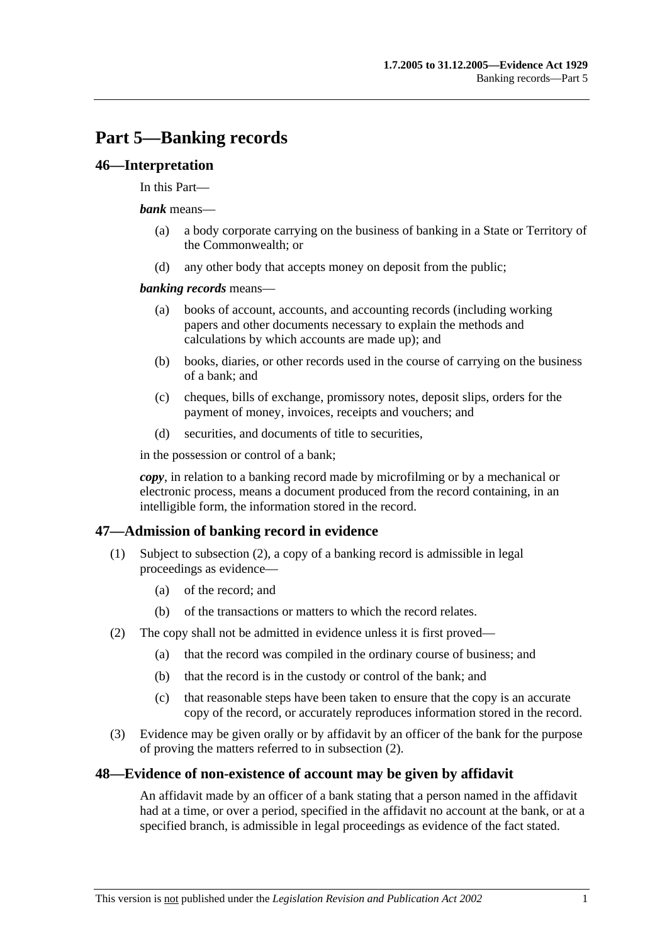## **Part 5—Banking records**

### **46—Interpretation**

In this Part—

#### *bank* means—

- (a) a body corporate carrying on the business of banking in a State or Territory of the Commonwealth; or
- (d) any other body that accepts money on deposit from the public;

#### *banking records* means—

- (a) books of account, accounts, and accounting records (including working papers and other documents necessary to explain the methods and calculations by which accounts are made up); and
- (b) books, diaries, or other records used in the course of carrying on the business of a bank; and
- (c) cheques, bills of exchange, promissory notes, deposit slips, orders for the payment of money, invoices, receipts and vouchers; and
- (d) securities, and documents of title to securities,

in the possession or control of a bank;

*copy*, in relation to a banking record made by microfilming or by a mechanical or electronic process, means a document produced from the record containing, in an intelligible form, the information stored in the record.

## **47—Admission of banking record in evidence**

- (1) Subject to subsection (2), a copy of a banking record is admissible in legal proceedings as evidence—
	- (a) of the record; and
	- (b) of the transactions or matters to which the record relates.
- (2) The copy shall not be admitted in evidence unless it is first proved—
	- (a) that the record was compiled in the ordinary course of business; and
	- (b) that the record is in the custody or control of the bank; and
	- (c) that reasonable steps have been taken to ensure that the copy is an accurate copy of the record, or accurately reproduces information stored in the record.
- (3) Evidence may be given orally or by affidavit by an officer of the bank for the purpose of proving the matters referred to in subsection (2).

#### **48—Evidence of non-existence of account may be given by affidavit**

An affidavit made by an officer of a bank stating that a person named in the affidavit had at a time, or over a period, specified in the affidavit no account at the bank, or at a specified branch, is admissible in legal proceedings as evidence of the fact stated.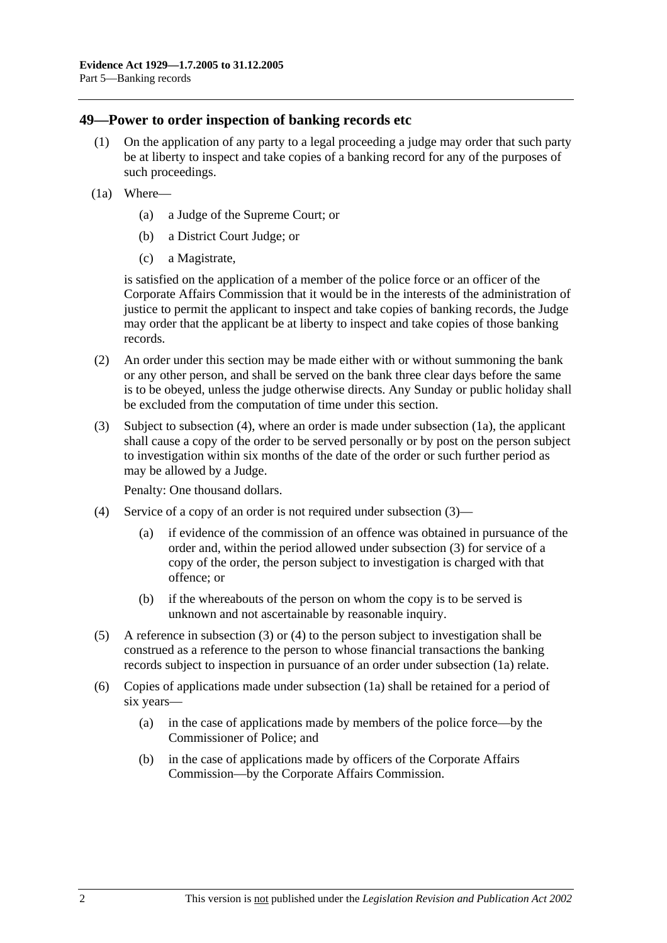### **49—Power to order inspection of banking records etc**

- (1) On the application of any party to a legal proceeding a judge may order that such party be at liberty to inspect and take copies of a banking record for any of the purposes of such proceedings.
- (1a) Where—
	- (a) a Judge of the Supreme Court; or
	- (b) a District Court Judge; or
	- (c) a Magistrate,

is satisfied on the application of a member of the police force or an officer of the Corporate Affairs Commission that it would be in the interests of the administration of justice to permit the applicant to inspect and take copies of banking records, the Judge may order that the applicant be at liberty to inspect and take copies of those banking records.

- (2) An order under this section may be made either with or without summoning the bank or any other person, and shall be served on the bank three clear days before the same is to be obeyed, unless the judge otherwise directs. Any Sunday or public holiday shall be excluded from the computation of time under this section.
- (3) Subject to subsection (4), where an order is made under subsection (1a), the applicant shall cause a copy of the order to be served personally or by post on the person subject to investigation within six months of the date of the order or such further period as may be allowed by a Judge.

Penalty: One thousand dollars.

- (4) Service of a copy of an order is not required under subsection (3)—
	- (a) if evidence of the commission of an offence was obtained in pursuance of the order and, within the period allowed under subsection (3) for service of a copy of the order, the person subject to investigation is charged with that offence; or
	- (b) if the whereabouts of the person on whom the copy is to be served is unknown and not ascertainable by reasonable inquiry.
- (5) A reference in subsection (3) or (4) to the person subject to investigation shall be construed as a reference to the person to whose financial transactions the banking records subject to inspection in pursuance of an order under subsection (1a) relate.
- (6) Copies of applications made under subsection (1a) shall be retained for a period of six years—
	- (a) in the case of applications made by members of the police force—by the Commissioner of Police; and
	- (b) in the case of applications made by officers of the Corporate Affairs Commission—by the Corporate Affairs Commission.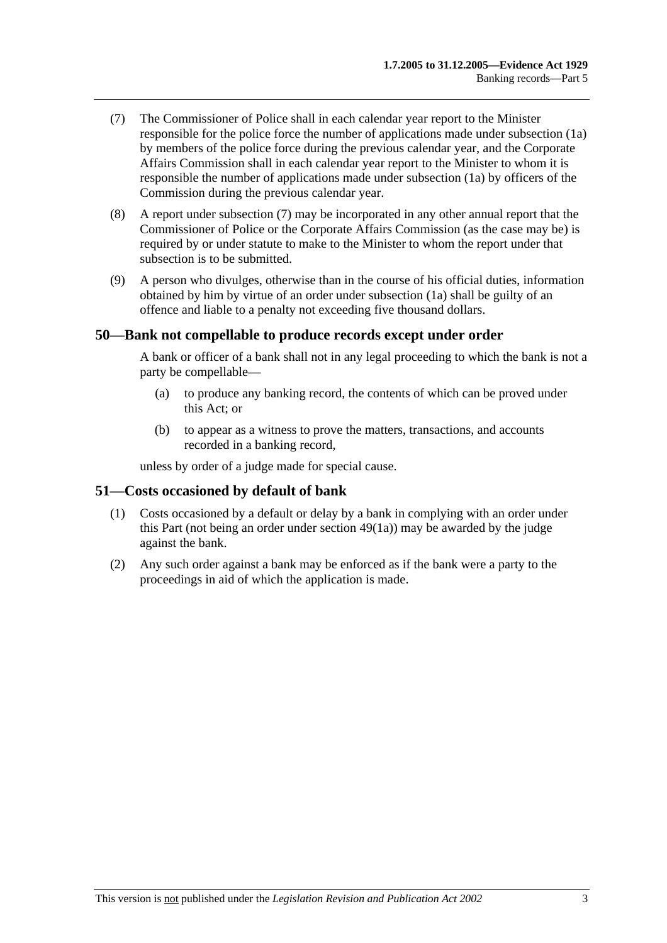- (7) The Commissioner of Police shall in each calendar year report to the Minister responsible for the police force the number of applications made under subsection (1a) by members of the police force during the previous calendar year, and the Corporate Affairs Commission shall in each calendar year report to the Minister to whom it is responsible the number of applications made under subsection (1a) by officers of the Commission during the previous calendar year.
- (8) A report under subsection (7) may be incorporated in any other annual report that the Commissioner of Police or the Corporate Affairs Commission (as the case may be) is required by or under statute to make to the Minister to whom the report under that subsection is to be submitted.
- (9) A person who divulges, otherwise than in the course of his official duties, information obtained by him by virtue of an order under subsection (1a) shall be guilty of an offence and liable to a penalty not exceeding five thousand dollars.

#### **50—Bank not compellable to produce records except under order**

A bank or officer of a bank shall not in any legal proceeding to which the bank is not a party be compellable—

- (a) to produce any banking record, the contents of which can be proved under this Act; or
- (b) to appear as a witness to prove the matters, transactions, and accounts recorded in a banking record,

unless by order of a judge made for special cause.

#### **51—Costs occasioned by default of bank**

- (1) Costs occasioned by a default or delay by a bank in complying with an order under this Part (not being an order under section 49(1a)) may be awarded by the judge against the bank.
- (2) Any such order against a bank may be enforced as if the bank were a party to the proceedings in aid of which the application is made.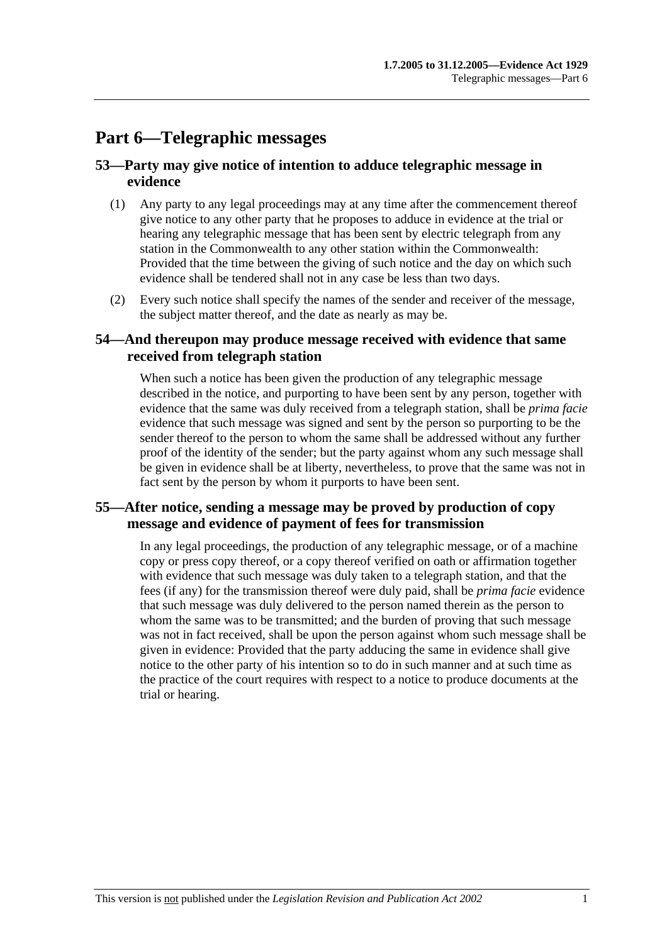## **Part 6—Telegraphic messages**

## **53—Party may give notice of intention to adduce telegraphic message in evidence**

- (1) Any party to any legal proceedings may at any time after the commencement thereof give notice to any other party that he proposes to adduce in evidence at the trial or hearing any telegraphic message that has been sent by electric telegraph from any station in the Commonwealth to any other station within the Commonwealth: Provided that the time between the giving of such notice and the day on which such evidence shall be tendered shall not in any case be less than two days.
- (2) Every such notice shall specify the names of the sender and receiver of the message, the subject matter thereof, and the date as nearly as may be.

## **54—And thereupon may produce message received with evidence that same received from telegraph station**

When such a notice has been given the production of any telegraphic message described in the notice, and purporting to have been sent by any person, together with evidence that the same was duly received from a telegraph station, shall be *prima facie* evidence that such message was signed and sent by the person so purporting to be the sender thereof to the person to whom the same shall be addressed without any further proof of the identity of the sender; but the party against whom any such message shall be given in evidence shall be at liberty, nevertheless, to prove that the same was not in fact sent by the person by whom it purports to have been sent.

## **55—After notice, sending a message may be proved by production of copy message and evidence of payment of fees for transmission**

In any legal proceedings, the production of any telegraphic message, or of a machine copy or press copy thereof, or a copy thereof verified on oath or affirmation together with evidence that such message was duly taken to a telegraph station, and that the fees (if any) for the transmission thereof were duly paid, shall be *prima facie* evidence that such message was duly delivered to the person named therein as the person to whom the same was to be transmitted; and the burden of proving that such message was not in fact received, shall be upon the person against whom such message shall be given in evidence: Provided that the party adducing the same in evidence shall give notice to the other party of his intention so to do in such manner and at such time as the practice of the court requires with respect to a notice to produce documents at the trial or hearing.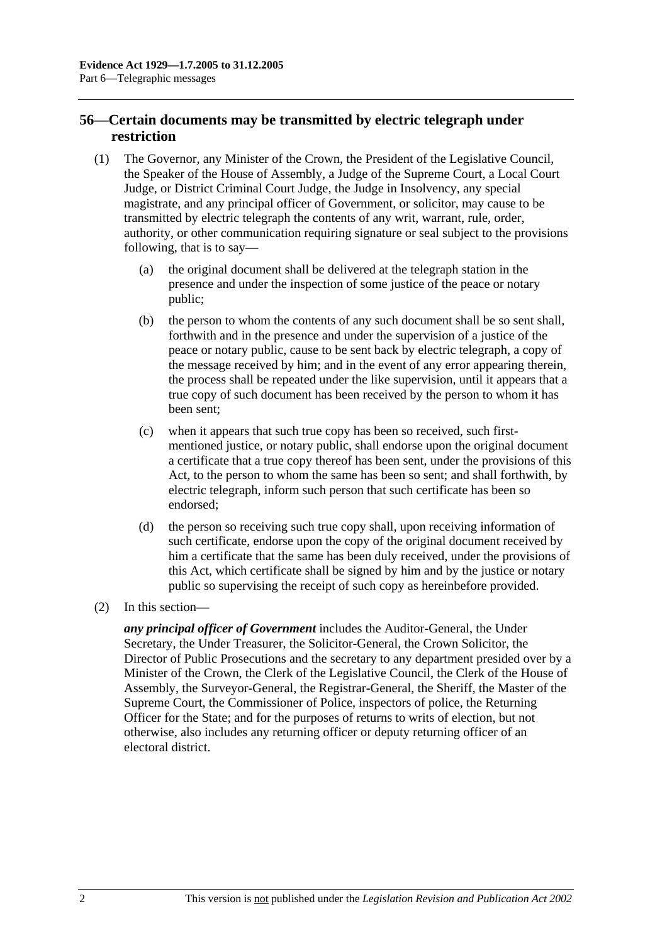## **56—Certain documents may be transmitted by electric telegraph under restriction**

- (1) The Governor, any Minister of the Crown, the President of the Legislative Council, the Speaker of the House of Assembly, a Judge of the Supreme Court, a Local Court Judge, or District Criminal Court Judge, the Judge in Insolvency, any special magistrate, and any principal officer of Government, or solicitor, may cause to be transmitted by electric telegraph the contents of any writ, warrant, rule, order, authority, or other communication requiring signature or seal subject to the provisions following, that is to say—
	- (a) the original document shall be delivered at the telegraph station in the presence and under the inspection of some justice of the peace or notary public;
	- (b) the person to whom the contents of any such document shall be so sent shall, forthwith and in the presence and under the supervision of a justice of the peace or notary public, cause to be sent back by electric telegraph, a copy of the message received by him; and in the event of any error appearing therein, the process shall be repeated under the like supervision, until it appears that a true copy of such document has been received by the person to whom it has been sent;
	- (c) when it appears that such true copy has been so received, such firstmentioned justice, or notary public, shall endorse upon the original document a certificate that a true copy thereof has been sent, under the provisions of this Act, to the person to whom the same has been so sent; and shall forthwith, by electric telegraph, inform such person that such certificate has been so endorsed;
	- (d) the person so receiving such true copy shall, upon receiving information of such certificate, endorse upon the copy of the original document received by him a certificate that the same has been duly received, under the provisions of this Act, which certificate shall be signed by him and by the justice or notary public so supervising the receipt of such copy as hereinbefore provided.
- (2) In this section—

*any principal officer of Government* includes the Auditor-General, the Under Secretary, the Under Treasurer, the Solicitor-General, the Crown Solicitor, the Director of Public Prosecutions and the secretary to any department presided over by a Minister of the Crown, the Clerk of the Legislative Council, the Clerk of the House of Assembly, the Surveyor-General, the Registrar-General, the Sheriff, the Master of the Supreme Court, the Commissioner of Police, inspectors of police, the Returning Officer for the State; and for the purposes of returns to writs of election, but not otherwise, also includes any returning officer or deputy returning officer of an electoral district.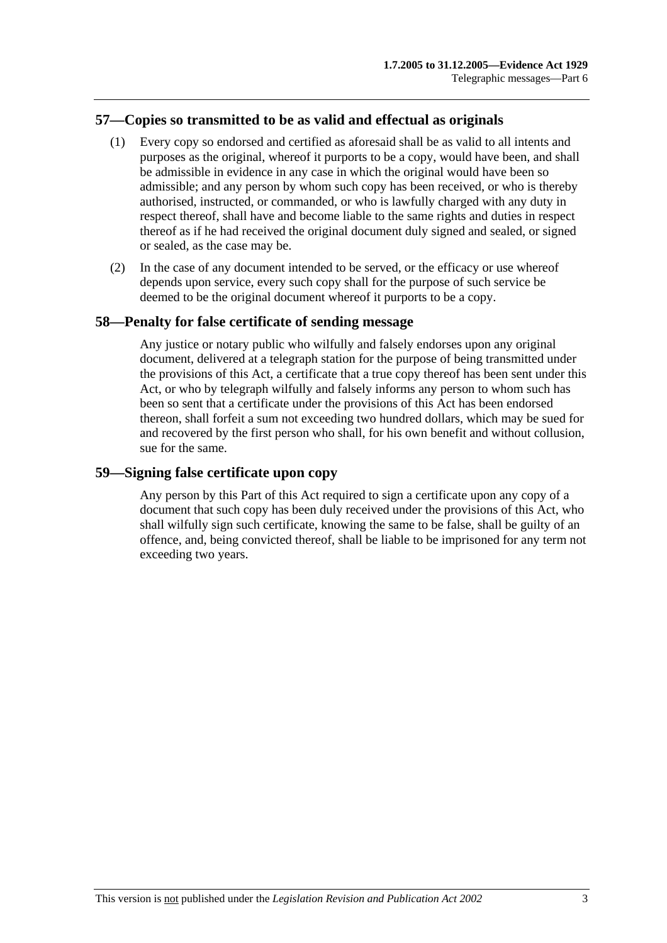### **57—Copies so transmitted to be as valid and effectual as originals**

- (1) Every copy so endorsed and certified as aforesaid shall be as valid to all intents and purposes as the original, whereof it purports to be a copy, would have been, and shall be admissible in evidence in any case in which the original would have been so admissible; and any person by whom such copy has been received, or who is thereby authorised, instructed, or commanded, or who is lawfully charged with any duty in respect thereof, shall have and become liable to the same rights and duties in respect thereof as if he had received the original document duly signed and sealed, or signed or sealed, as the case may be.
- (2) In the case of any document intended to be served, or the efficacy or use whereof depends upon service, every such copy shall for the purpose of such service be deemed to be the original document whereof it purports to be a copy.

#### **58—Penalty for false certificate of sending message**

Any justice or notary public who wilfully and falsely endorses upon any original document, delivered at a telegraph station for the purpose of being transmitted under the provisions of this Act, a certificate that a true copy thereof has been sent under this Act, or who by telegraph wilfully and falsely informs any person to whom such has been so sent that a certificate under the provisions of this Act has been endorsed thereon, shall forfeit a sum not exceeding two hundred dollars, which may be sued for and recovered by the first person who shall, for his own benefit and without collusion, sue for the same.

#### **59—Signing false certificate upon copy**

Any person by this Part of this Act required to sign a certificate upon any copy of a document that such copy has been duly received under the provisions of this Act, who shall wilfully sign such certificate, knowing the same to be false, shall be guilty of an offence, and, being convicted thereof, shall be liable to be imprisoned for any term not exceeding two years.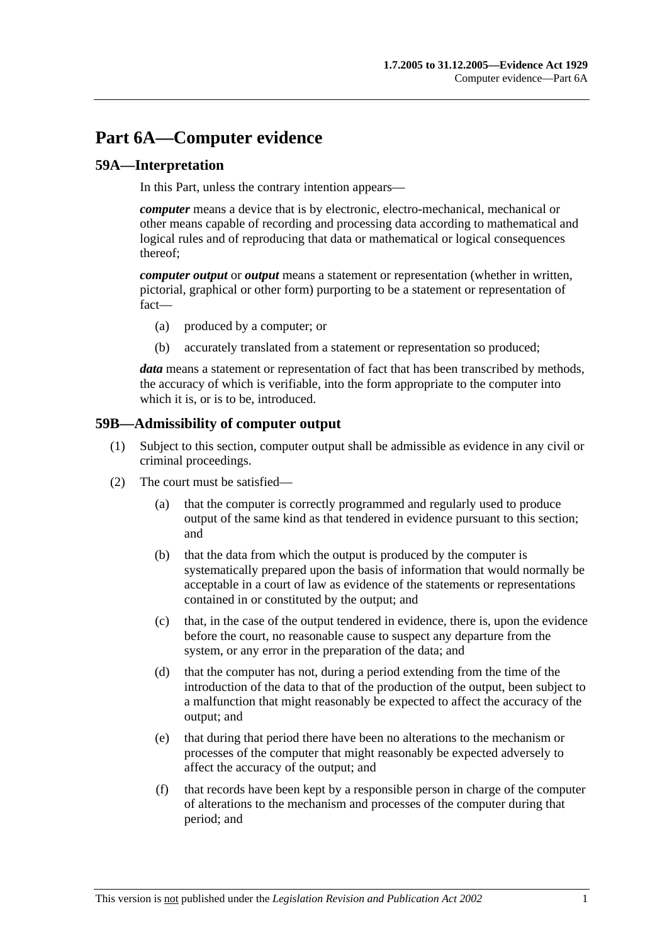# **Part 6A—Computer evidence**

#### **59A—Interpretation**

In this Part, unless the contrary intention appears—

*computer* means a device that is by electronic, electro-mechanical, mechanical or other means capable of recording and processing data according to mathematical and logical rules and of reproducing that data or mathematical or logical consequences thereof;

*computer output* or *output* means a statement or representation (whether in written, pictorial, graphical or other form) purporting to be a statement or representation of fact—

- (a) produced by a computer; or
- (b) accurately translated from a statement or representation so produced;

*data* means a statement or representation of fact that has been transcribed by methods, the accuracy of which is verifiable, into the form appropriate to the computer into which it is, or is to be, introduced.

#### **59B—Admissibility of computer output**

- (1) Subject to this section, computer output shall be admissible as evidence in any civil or criminal proceedings.
- (2) The court must be satisfied—
	- (a) that the computer is correctly programmed and regularly used to produce output of the same kind as that tendered in evidence pursuant to this section; and
	- (b) that the data from which the output is produced by the computer is systematically prepared upon the basis of information that would normally be acceptable in a court of law as evidence of the statements or representations contained in or constituted by the output; and
	- (c) that, in the case of the output tendered in evidence, there is, upon the evidence before the court, no reasonable cause to suspect any departure from the system, or any error in the preparation of the data; and
	- (d) that the computer has not, during a period extending from the time of the introduction of the data to that of the production of the output, been subject to a malfunction that might reasonably be expected to affect the accuracy of the output; and
	- (e) that during that period there have been no alterations to the mechanism or processes of the computer that might reasonably be expected adversely to affect the accuracy of the output; and
	- (f) that records have been kept by a responsible person in charge of the computer of alterations to the mechanism and processes of the computer during that period; and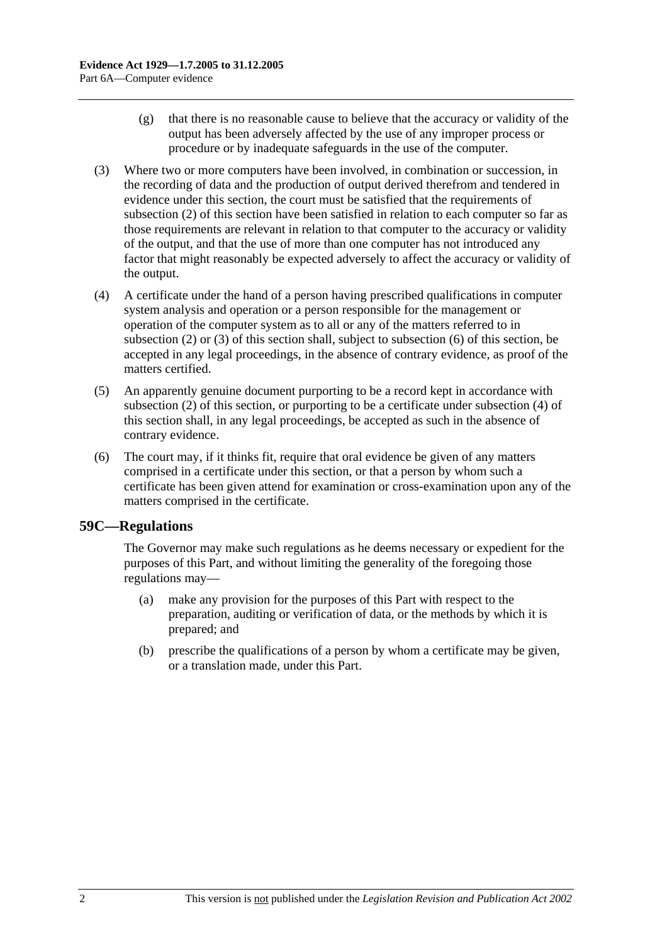- (g) that there is no reasonable cause to believe that the accuracy or validity of the output has been adversely affected by the use of any improper process or procedure or by inadequate safeguards in the use of the computer.
- (3) Where two or more computers have been involved, in combination or succession, in the recording of data and the production of output derived therefrom and tendered in evidence under this section, the court must be satisfied that the requirements of subsection (2) of this section have been satisfied in relation to each computer so far as those requirements are relevant in relation to that computer to the accuracy or validity of the output, and that the use of more than one computer has not introduced any factor that might reasonably be expected adversely to affect the accuracy or validity of the output.
- (4) A certificate under the hand of a person having prescribed qualifications in computer system analysis and operation or a person responsible for the management or operation of the computer system as to all or any of the matters referred to in subsection (2) or (3) of this section shall, subject to subsection (6) of this section, be accepted in any legal proceedings, in the absence of contrary evidence, as proof of the matters certified.
- (5) An apparently genuine document purporting to be a record kept in accordance with subsection (2) of this section, or purporting to be a certificate under subsection (4) of this section shall, in any legal proceedings, be accepted as such in the absence of contrary evidence.
- (6) The court may, if it thinks fit, require that oral evidence be given of any matters comprised in a certificate under this section, or that a person by whom such a certificate has been given attend for examination or cross-examination upon any of the matters comprised in the certificate.

#### **59C—Regulations**

The Governor may make such regulations as he deems necessary or expedient for the purposes of this Part, and without limiting the generality of the foregoing those regulations may—

- (a) make any provision for the purposes of this Part with respect to the preparation, auditing or verification of data, or the methods by which it is prepared; and
- (b) prescribe the qualifications of a person by whom a certificate may be given, or a translation made, under this Part.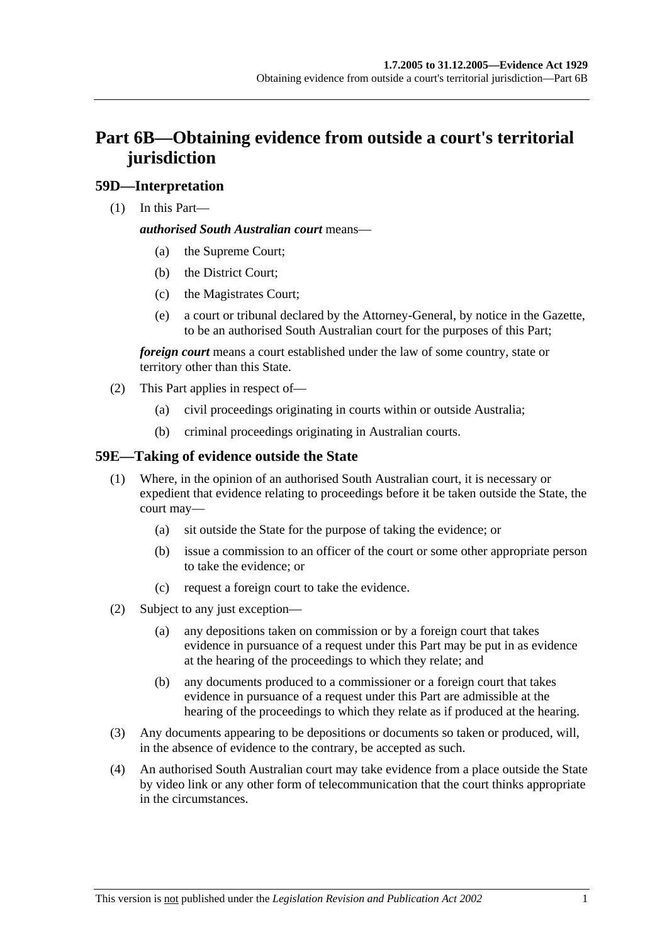# **Part 6B—Obtaining evidence from outside a court's territorial jurisdiction**

## **59D—Interpretation**

(1) In this Part—

#### *authorised South Australian court* means—

- (a) the Supreme Court;
- (b) the District Court;
- (c) the Magistrates Court;
- (e) a court or tribunal declared by the Attorney-General, by notice in the Gazette, to be an authorised South Australian court for the purposes of this Part;

*foreign court* means a court established under the law of some country, state or territory other than this State.

- (2) This Part applies in respect of—
	- (a) civil proceedings originating in courts within or outside Australia;
	- (b) criminal proceedings originating in Australian courts.

#### **59E—Taking of evidence outside the State**

- (1) Where, in the opinion of an authorised South Australian court, it is necessary or expedient that evidence relating to proceedings before it be taken outside the State, the court may—
	- (a) sit outside the State for the purpose of taking the evidence; or
	- (b) issue a commission to an officer of the court or some other appropriate person to take the evidence; or
	- (c) request a foreign court to take the evidence.
- (2) Subject to any just exception—
	- (a) any depositions taken on commission or by a foreign court that takes evidence in pursuance of a request under this Part may be put in as evidence at the hearing of the proceedings to which they relate; and
	- (b) any documents produced to a commissioner or a foreign court that takes evidence in pursuance of a request under this Part are admissible at the hearing of the proceedings to which they relate as if produced at the hearing.
- (3) Any documents appearing to be depositions or documents so taken or produced, will, in the absence of evidence to the contrary, be accepted as such.
- (4) An authorised South Australian court may take evidence from a place outside the State by video link or any other form of telecommunication that the court thinks appropriate in the circumstances.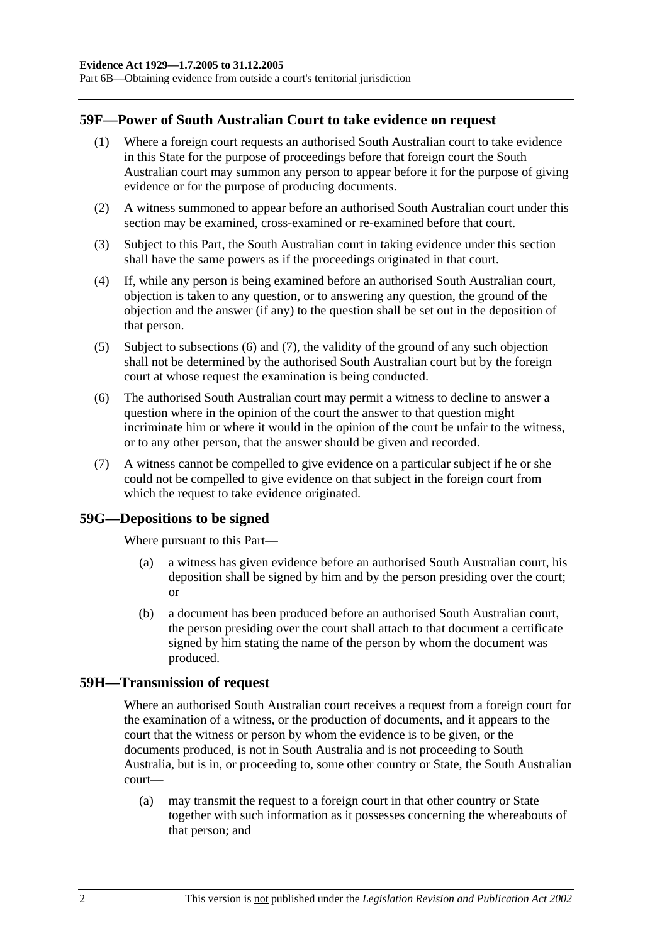Part 6B—Obtaining evidence from outside a court's territorial jurisdiction

#### **59F—Power of South Australian Court to take evidence on request**

- (1) Where a foreign court requests an authorised South Australian court to take evidence in this State for the purpose of proceedings before that foreign court the South Australian court may summon any person to appear before it for the purpose of giving evidence or for the purpose of producing documents.
- (2) A witness summoned to appear before an authorised South Australian court under this section may be examined, cross-examined or re-examined before that court.
- (3) Subject to this Part, the South Australian court in taking evidence under this section shall have the same powers as if the proceedings originated in that court.
- (4) If, while any person is being examined before an authorised South Australian court, objection is taken to any question, or to answering any question, the ground of the objection and the answer (if any) to the question shall be set out in the deposition of that person.
- (5) Subject to subsections (6) and (7), the validity of the ground of any such objection shall not be determined by the authorised South Australian court but by the foreign court at whose request the examination is being conducted.
- (6) The authorised South Australian court may permit a witness to decline to answer a question where in the opinion of the court the answer to that question might incriminate him or where it would in the opinion of the court be unfair to the witness, or to any other person, that the answer should be given and recorded.
- (7) A witness cannot be compelled to give evidence on a particular subject if he or she could not be compelled to give evidence on that subject in the foreign court from which the request to take evidence originated.

#### **59G—Depositions to be signed**

Where pursuant to this Part—

- (a) a witness has given evidence before an authorised South Australian court, his deposition shall be signed by him and by the person presiding over the court; or
- (b) a document has been produced before an authorised South Australian court, the person presiding over the court shall attach to that document a certificate signed by him stating the name of the person by whom the document was produced.

#### **59H—Transmission of request**

Where an authorised South Australian court receives a request from a foreign court for the examination of a witness, or the production of documents, and it appears to the court that the witness or person by whom the evidence is to be given, or the documents produced, is not in South Australia and is not proceeding to South Australia, but is in, or proceeding to, some other country or State, the South Australian court—

 (a) may transmit the request to a foreign court in that other country or State together with such information as it possesses concerning the whereabouts of that person; and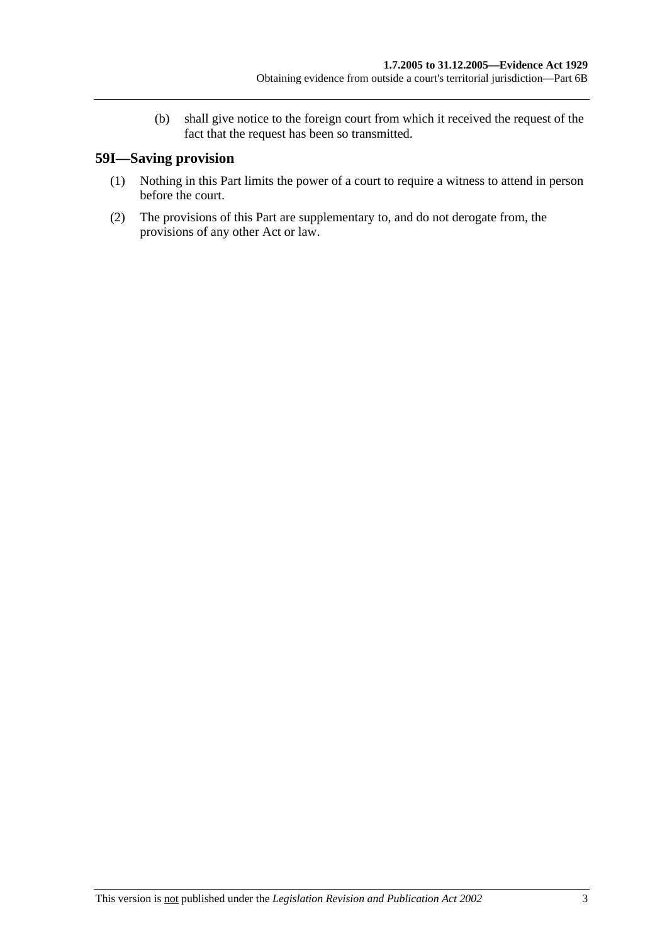(b) shall give notice to the foreign court from which it received the request of the fact that the request has been so transmitted.

# **59I—Saving provision**

- (1) Nothing in this Part limits the power of a court to require a witness to attend in person before the court.
- (2) The provisions of this Part are supplementary to, and do not derogate from, the provisions of any other Act or law.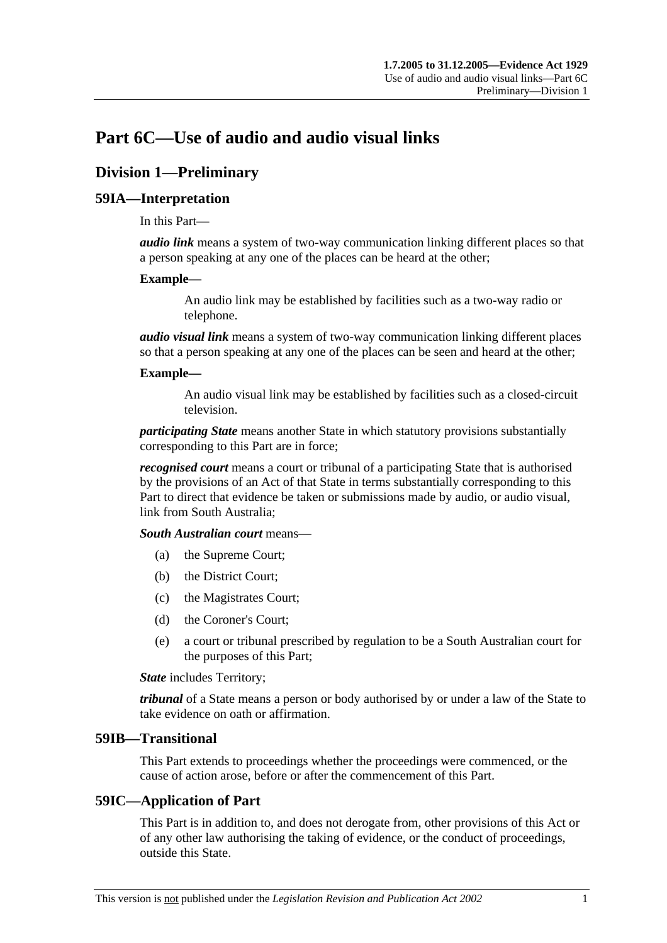# **Part 6C—Use of audio and audio visual links**

# **Division 1—Preliminary**

## **59IA—Interpretation**

In this Part—

*audio link* means a system of two-way communication linking different places so that a person speaking at any one of the places can be heard at the other;

#### **Example—**

An audio link may be established by facilities such as a two-way radio or telephone.

*audio visual link* means a system of two-way communication linking different places so that a person speaking at any one of the places can be seen and heard at the other;

#### **Example—**

An audio visual link may be established by facilities such as a closed-circuit television.

*participating State* means another State in which statutory provisions substantially corresponding to this Part are in force;

*recognised court* means a court or tribunal of a participating State that is authorised by the provisions of an Act of that State in terms substantially corresponding to this Part to direct that evidence be taken or submissions made by audio, or audio visual, link from South Australia;

*South Australian court* means—

- (a) the Supreme Court;
- (b) the District Court;
- (c) the Magistrates Court;
- (d) the Coroner's Court;
- (e) a court or tribunal prescribed by regulation to be a South Australian court for the purposes of this Part;

*State* includes Territory;

*tribunal* of a State means a person or body authorised by or under a law of the State to take evidence on oath or affirmation.

#### **59IB—Transitional**

This Part extends to proceedings whether the proceedings were commenced, or the cause of action arose, before or after the commencement of this Part.

## **59IC—Application of Part**

This Part is in addition to, and does not derogate from, other provisions of this Act or of any other law authorising the taking of evidence, or the conduct of proceedings, outside this State.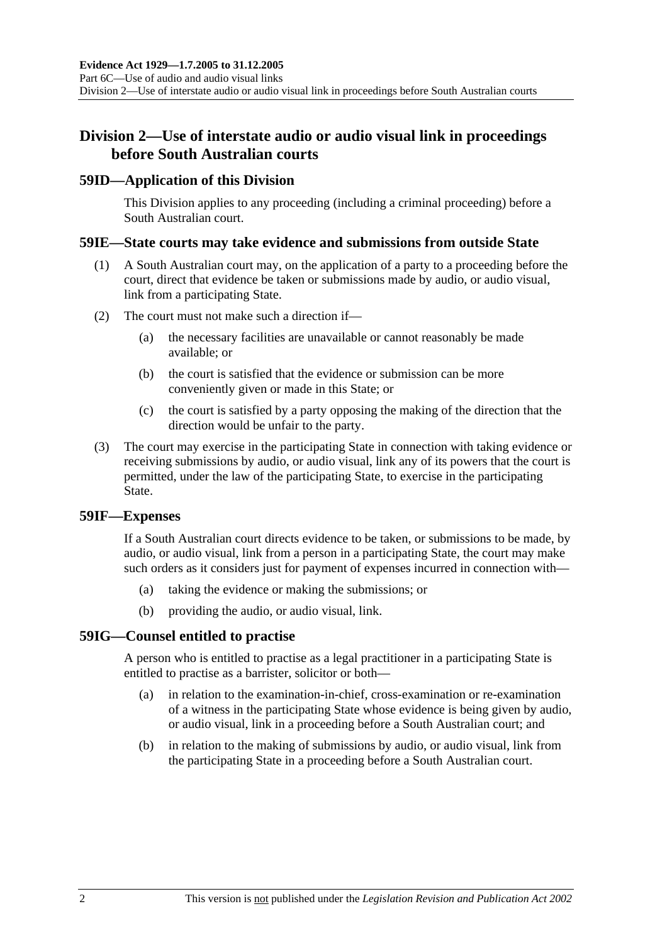# **Division 2—Use of interstate audio or audio visual link in proceedings before South Australian courts**

#### **59ID—Application of this Division**

This Division applies to any proceeding (including a criminal proceeding) before a South Australian court.

#### **59IE—State courts may take evidence and submissions from outside State**

- (1) A South Australian court may, on the application of a party to a proceeding before the court, direct that evidence be taken or submissions made by audio, or audio visual, link from a participating State.
- (2) The court must not make such a direction if—
	- (a) the necessary facilities are unavailable or cannot reasonably be made available; or
	- (b) the court is satisfied that the evidence or submission can be more conveniently given or made in this State; or
	- (c) the court is satisfied by a party opposing the making of the direction that the direction would be unfair to the party.
- (3) The court may exercise in the participating State in connection with taking evidence or receiving submissions by audio, or audio visual, link any of its powers that the court is permitted, under the law of the participating State, to exercise in the participating State.

#### **59IF—Expenses**

If a South Australian court directs evidence to be taken, or submissions to be made, by audio, or audio visual, link from a person in a participating State, the court may make such orders as it considers just for payment of expenses incurred in connection with—

- (a) taking the evidence or making the submissions; or
- (b) providing the audio, or audio visual, link.

#### **59IG—Counsel entitled to practise**

A person who is entitled to practise as a legal practitioner in a participating State is entitled to practise as a barrister, solicitor or both—

- (a) in relation to the examination-in-chief, cross-examination or re-examination of a witness in the participating State whose evidence is being given by audio, or audio visual, link in a proceeding before a South Australian court; and
- (b) in relation to the making of submissions by audio, or audio visual, link from the participating State in a proceeding before a South Australian court.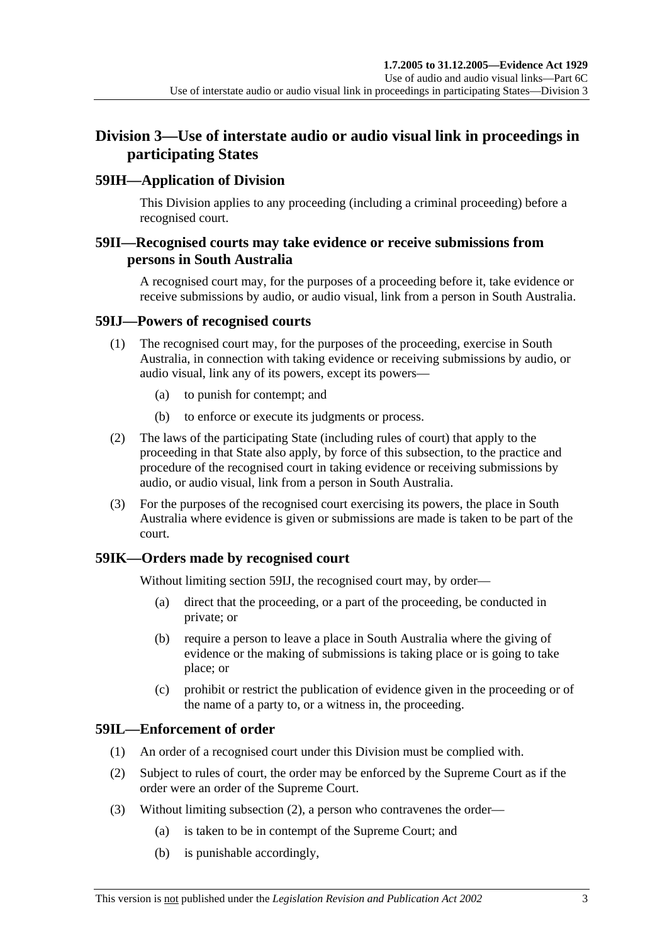# **Division 3—Use of interstate audio or audio visual link in proceedings in participating States**

## **59IH—Application of Division**

This Division applies to any proceeding (including a criminal proceeding) before a recognised court.

### **59II—Recognised courts may take evidence or receive submissions from persons in South Australia**

A recognised court may, for the purposes of a proceeding before it, take evidence or receive submissions by audio, or audio visual, link from a person in South Australia.

#### **59IJ—Powers of recognised courts**

- (1) The recognised court may, for the purposes of the proceeding, exercise in South Australia, in connection with taking evidence or receiving submissions by audio, or audio visual, link any of its powers, except its powers—
	- (a) to punish for contempt; and
	- (b) to enforce or execute its judgments or process.
- (2) The laws of the participating State (including rules of court) that apply to the proceeding in that State also apply, by force of this subsection, to the practice and procedure of the recognised court in taking evidence or receiving submissions by audio, or audio visual, link from a person in South Australia.
- (3) For the purposes of the recognised court exercising its powers, the place in South Australia where evidence is given or submissions are made is taken to be part of the court.

#### **59IK—Orders made by recognised court**

Without limiting section 59IJ, the recognised court may, by order—

- (a) direct that the proceeding, or a part of the proceeding, be conducted in private; or
- (b) require a person to leave a place in South Australia where the giving of evidence or the making of submissions is taking place or is going to take place; or
- (c) prohibit or restrict the publication of evidence given in the proceeding or of the name of a party to, or a witness in, the proceeding.

#### **59IL—Enforcement of order**

- (1) An order of a recognised court under this Division must be complied with.
- (2) Subject to rules of court, the order may be enforced by the Supreme Court as if the order were an order of the Supreme Court.
- (3) Without limiting subsection (2), a person who contravenes the order—
	- (a) is taken to be in contempt of the Supreme Court; and
	- (b) is punishable accordingly,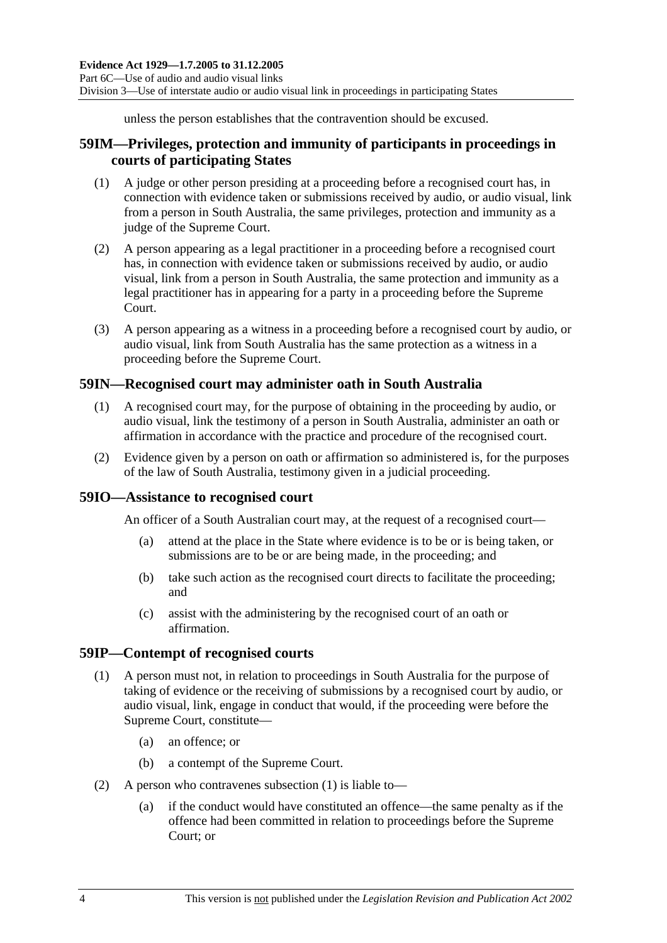unless the person establishes that the contravention should be excused.

## **59IM—Privileges, protection and immunity of participants in proceedings in courts of participating States**

- (1) A judge or other person presiding at a proceeding before a recognised court has, in connection with evidence taken or submissions received by audio, or audio visual, link from a person in South Australia, the same privileges, protection and immunity as a judge of the Supreme Court.
- (2) A person appearing as a legal practitioner in a proceeding before a recognised court has, in connection with evidence taken or submissions received by audio, or audio visual, link from a person in South Australia, the same protection and immunity as a legal practitioner has in appearing for a party in a proceeding before the Supreme Court.
- (3) A person appearing as a witness in a proceeding before a recognised court by audio, or audio visual, link from South Australia has the same protection as a witness in a proceeding before the Supreme Court.

## **59IN—Recognised court may administer oath in South Australia**

- (1) A recognised court may, for the purpose of obtaining in the proceeding by audio, or audio visual, link the testimony of a person in South Australia, administer an oath or affirmation in accordance with the practice and procedure of the recognised court.
- (2) Evidence given by a person on oath or affirmation so administered is, for the purposes of the law of South Australia, testimony given in a judicial proceeding.

#### **59IO—Assistance to recognised court**

An officer of a South Australian court may, at the request of a recognised court—

- (a) attend at the place in the State where evidence is to be or is being taken, or submissions are to be or are being made, in the proceeding; and
- (b) take such action as the recognised court directs to facilitate the proceeding; and
- (c) assist with the administering by the recognised court of an oath or affirmation.

#### **59IP—Contempt of recognised courts**

- (1) A person must not, in relation to proceedings in South Australia for the purpose of taking of evidence or the receiving of submissions by a recognised court by audio, or audio visual, link, engage in conduct that would, if the proceeding were before the Supreme Court, constitute—
	- (a) an offence; or
	- (b) a contempt of the Supreme Court.
- (2) A person who contravenes subsection (1) is liable to—
	- (a) if the conduct would have constituted an offence—the same penalty as if the offence had been committed in relation to proceedings before the Supreme Court; or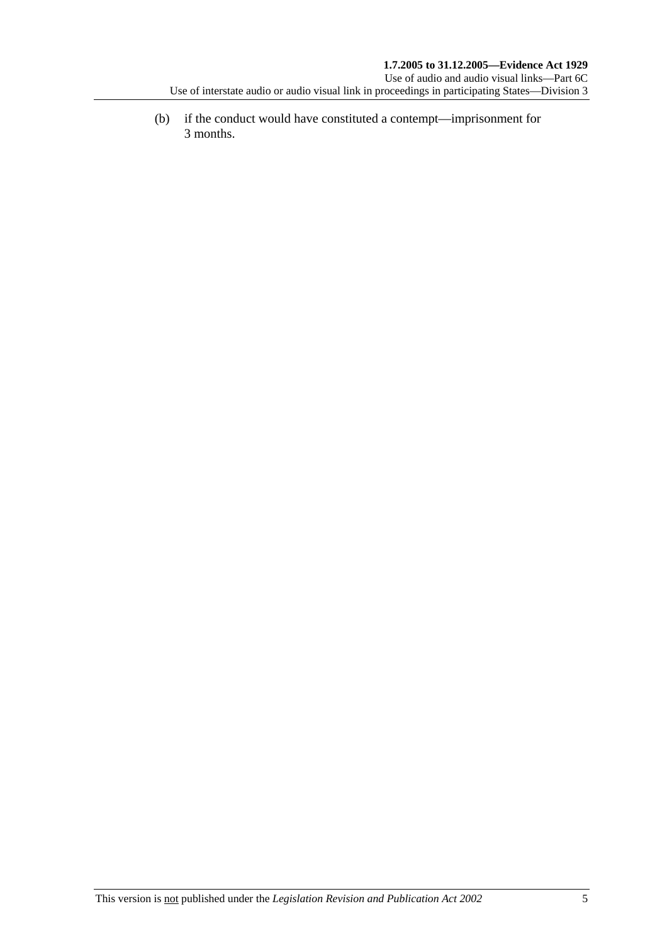(b) if the conduct would have constituted a contempt—imprisonment for 3 months.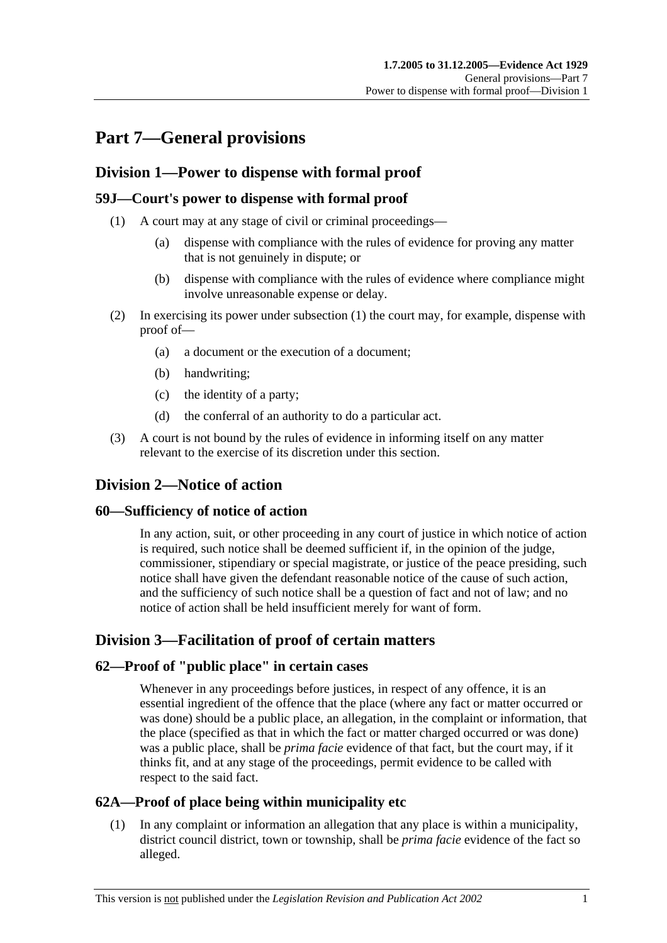# **Part 7—General provisions**

# **Division 1—Power to dispense with formal proof**

## **59J—Court's power to dispense with formal proof**

- (1) A court may at any stage of civil or criminal proceedings—
	- (a) dispense with compliance with the rules of evidence for proving any matter that is not genuinely in dispute; or
	- (b) dispense with compliance with the rules of evidence where compliance might involve unreasonable expense or delay.
- (2) In exercising its power under subsection (1) the court may, for example, dispense with proof of—
	- (a) a document or the execution of a document;
	- (b) handwriting;
	- (c) the identity of a party;
	- (d) the conferral of an authority to do a particular act.
- (3) A court is not bound by the rules of evidence in informing itself on any matter relevant to the exercise of its discretion under this section.

# **Division 2—Notice of action**

#### **60—Sufficiency of notice of action**

In any action, suit, or other proceeding in any court of justice in which notice of action is required, such notice shall be deemed sufficient if, in the opinion of the judge, commissioner, stipendiary or special magistrate, or justice of the peace presiding, such notice shall have given the defendant reasonable notice of the cause of such action, and the sufficiency of such notice shall be a question of fact and not of law; and no notice of action shall be held insufficient merely for want of form.

# **Division 3—Facilitation of proof of certain matters**

#### **62—Proof of "public place" in certain cases**

Whenever in any proceedings before justices, in respect of any offence, it is an essential ingredient of the offence that the place (where any fact or matter occurred or was done) should be a public place, an allegation, in the complaint or information, that the place (specified as that in which the fact or matter charged occurred or was done) was a public place, shall be *prima facie* evidence of that fact, but the court may, if it thinks fit, and at any stage of the proceedings, permit evidence to be called with respect to the said fact.

## **62A—Proof of place being within municipality etc**

 (1) In any complaint or information an allegation that any place is within a municipality, district council district, town or township, shall be *prima facie* evidence of the fact so alleged.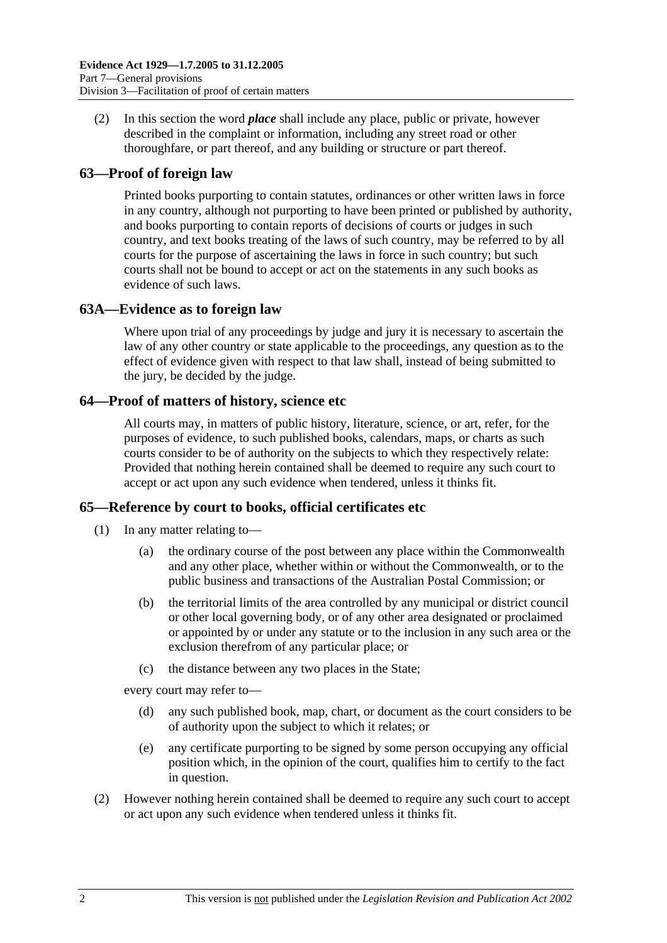(2) In this section the word *place* shall include any place, public or private, however described in the complaint or information, including any street road or other thoroughfare, or part thereof, and any building or structure or part thereof.

### **63—Proof of foreign law**

Printed books purporting to contain statutes, ordinances or other written laws in force in any country, although not purporting to have been printed or published by authority, and books purporting to contain reports of decisions of courts or judges in such country, and text books treating of the laws of such country, may be referred to by all courts for the purpose of ascertaining the laws in force in such country; but such courts shall not be bound to accept or act on the statements in any such books as evidence of such laws.

#### **63A—Evidence as to foreign law**

Where upon trial of any proceedings by judge and jury it is necessary to ascertain the law of any other country or state applicable to the proceedings, any question as to the effect of evidence given with respect to that law shall, instead of being submitted to the jury, be decided by the judge.

#### **64—Proof of matters of history, science etc**

All courts may, in matters of public history, literature, science, or art, refer, for the purposes of evidence, to such published books, calendars, maps, or charts as such courts consider to be of authority on the subjects to which they respectively relate: Provided that nothing herein contained shall be deemed to require any such court to accept or act upon any such evidence when tendered, unless it thinks fit.

#### **65—Reference by court to books, official certificates etc**

- (1) In any matter relating to—
	- (a) the ordinary course of the post between any place within the Commonwealth and any other place, whether within or without the Commonwealth, or to the public business and transactions of the Australian Postal Commission; or
	- (b) the territorial limits of the area controlled by any municipal or district council or other local governing body, or of any other area designated or proclaimed or appointed by or under any statute or to the inclusion in any such area or the exclusion therefrom of any particular place; or
	- (c) the distance between any two places in the State;

every court may refer to—

- (d) any such published book, map, chart, or document as the court considers to be of authority upon the subject to which it relates; or
- (e) any certificate purporting to be signed by some person occupying any official position which, in the opinion of the court, qualifies him to certify to the fact in question.
- (2) However nothing herein contained shall be deemed to require any such court to accept or act upon any such evidence when tendered unless it thinks fit.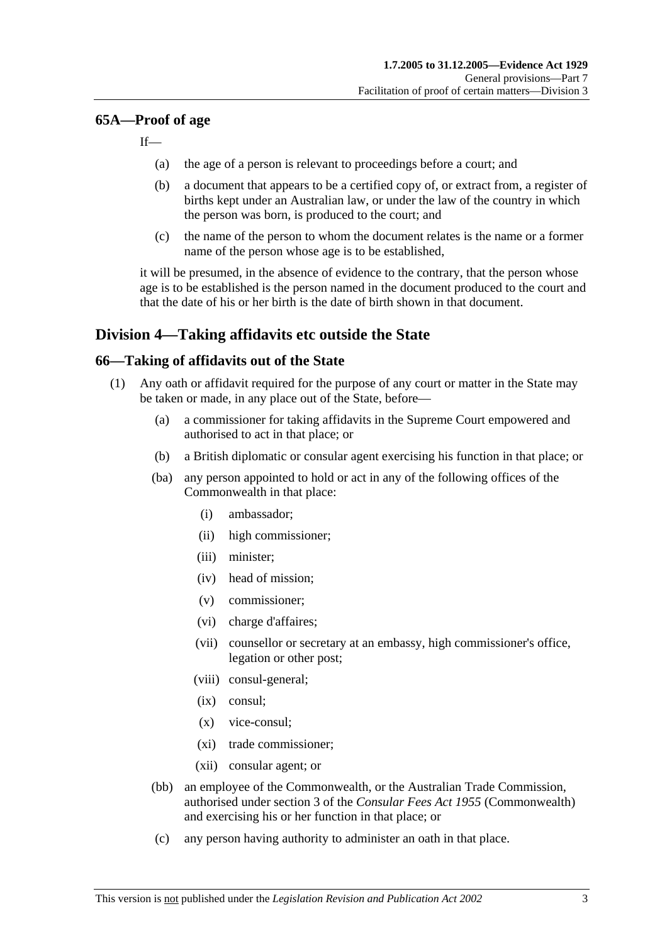#### **65A—Proof of age**

 $If$ 

- (a) the age of a person is relevant to proceedings before a court; and
- (b) a document that appears to be a certified copy of, or extract from, a register of births kept under an Australian law, or under the law of the country in which the person was born, is produced to the court; and
- (c) the name of the person to whom the document relates is the name or a former name of the person whose age is to be established,

it will be presumed, in the absence of evidence to the contrary, that the person whose age is to be established is the person named in the document produced to the court and that the date of his or her birth is the date of birth shown in that document.

## **Division 4—Taking affidavits etc outside the State**

#### **66—Taking of affidavits out of the State**

- (1) Any oath or affidavit required for the purpose of any court or matter in the State may be taken or made, in any place out of the State, before—
	- (a) a commissioner for taking affidavits in the Supreme Court empowered and authorised to act in that place; or
	- (b) a British diplomatic or consular agent exercising his function in that place; or
	- (ba) any person appointed to hold or act in any of the following offices of the Commonwealth in that place:
		- (i) ambassador;
		- (ii) high commissioner;
		- (iii) minister;
		- (iv) head of mission;
		- (v) commissioner;
		- (vi) charge d'affaires;
		- (vii) counsellor or secretary at an embassy, high commissioner's office, legation or other post;
		- (viii) consul-general;
		- (ix) consul;
		- (x) vice-consul;
		- (xi) trade commissioner;
		- (xii) consular agent; or
	- (bb) an employee of the Commonwealth, or the Australian Trade Commission, authorised under section 3 of the *Consular Fees Act 1955* (Commonwealth) and exercising his or her function in that place; or
	- (c) any person having authority to administer an oath in that place.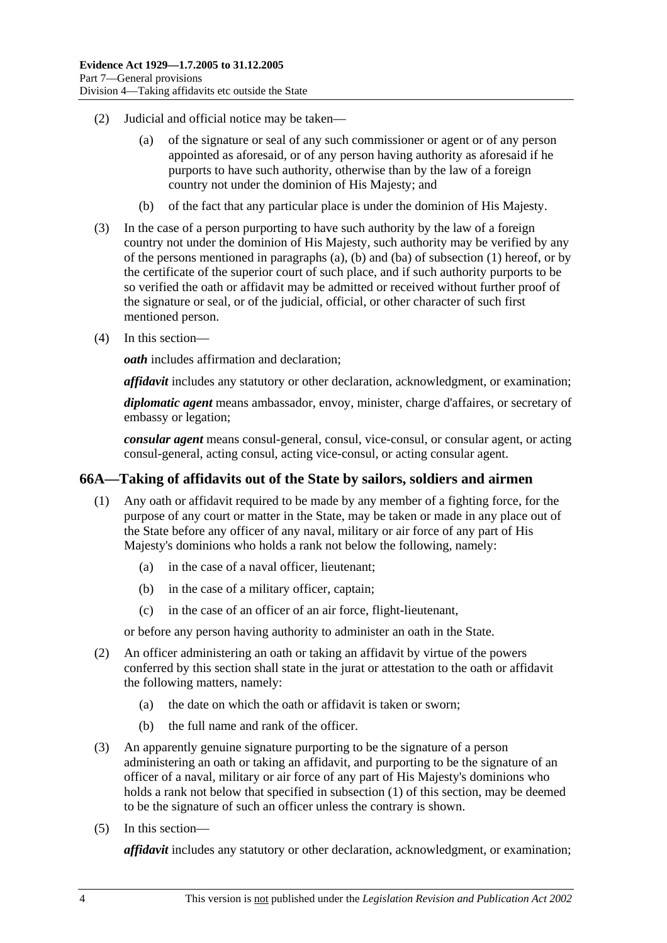- (2) Judicial and official notice may be taken—
	- (a) of the signature or seal of any such commissioner or agent or of any person appointed as aforesaid, or of any person having authority as aforesaid if he purports to have such authority, otherwise than by the law of a foreign country not under the dominion of His Majesty; and
	- (b) of the fact that any particular place is under the dominion of His Majesty.
- (3) In the case of a person purporting to have such authority by the law of a foreign country not under the dominion of His Majesty, such authority may be verified by any of the persons mentioned in paragraphs (a), (b) and (ba) of subsection (1) hereof, or by the certificate of the superior court of such place, and if such authority purports to be so verified the oath or affidavit may be admitted or received without further proof of the signature or seal, or of the judicial, official, or other character of such first mentioned person.
- (4) In this section—

*oath* includes affirmation and declaration;

*affidavit* includes any statutory or other declaration, acknowledgment, or examination;

*diplomatic agent* means ambassador, envoy, minister, charge d'affaires, or secretary of embassy or legation;

*consular agent* means consul-general, consul, vice-consul, or consular agent, or acting consul-general, acting consul, acting vice-consul, or acting consular agent.

#### **66A—Taking of affidavits out of the State by sailors, soldiers and airmen**

- (1) Any oath or affidavit required to be made by any member of a fighting force, for the purpose of any court or matter in the State, may be taken or made in any place out of the State before any officer of any naval, military or air force of any part of His Majesty's dominions who holds a rank not below the following, namely:
	- (a) in the case of a naval officer, lieutenant;
	- (b) in the case of a military officer, captain;
	- (c) in the case of an officer of an air force, flight-lieutenant,

or before any person having authority to administer an oath in the State.

- (2) An officer administering an oath or taking an affidavit by virtue of the powers conferred by this section shall state in the jurat or attestation to the oath or affidavit the following matters, namely:
	- (a) the date on which the oath or affidavit is taken or sworn;
	- (b) the full name and rank of the officer.
- (3) An apparently genuine signature purporting to be the signature of a person administering an oath or taking an affidavit, and purporting to be the signature of an officer of a naval, military or air force of any part of His Majesty's dominions who holds a rank not below that specified in subsection (1) of this section, may be deemed to be the signature of such an officer unless the contrary is shown.
- (5) In this section—

*affidavit* includes any statutory or other declaration, acknowledgment, or examination;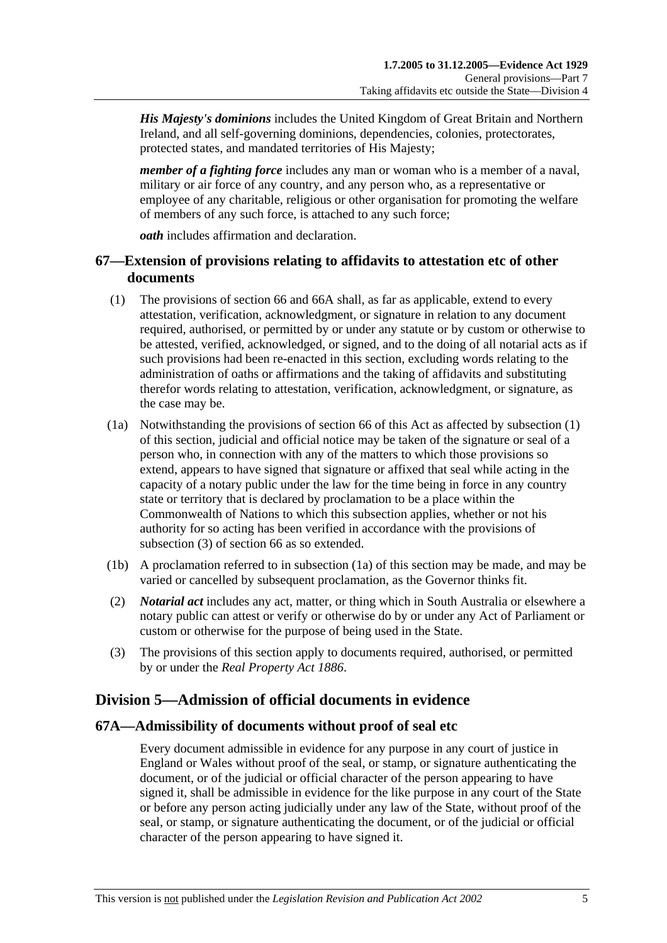*His Majesty's dominions* includes the United Kingdom of Great Britain and Northern Ireland, and all self-governing dominions, dependencies, colonies, protectorates, protected states, and mandated territories of His Majesty;

*member of a fighting force* includes any man or woman who is a member of a naval, military or air force of any country, and any person who, as a representative or employee of any charitable, religious or other organisation for promoting the welfare of members of any such force, is attached to any such force;

*oath* includes affirmation and declaration.

## **67—Extension of provisions relating to affidavits to attestation etc of other documents**

- (1) The provisions of section 66 and 66A shall, as far as applicable, extend to every attestation, verification, acknowledgment, or signature in relation to any document required, authorised, or permitted by or under any statute or by custom or otherwise to be attested, verified, acknowledged, or signed, and to the doing of all notarial acts as if such provisions had been re-enacted in this section, excluding words relating to the administration of oaths or affirmations and the taking of affidavits and substituting therefor words relating to attestation, verification, acknowledgment, or signature, as the case may be.
- (1a) Notwithstanding the provisions of section 66 of this Act as affected by subsection (1) of this section, judicial and official notice may be taken of the signature or seal of a person who, in connection with any of the matters to which those provisions so extend, appears to have signed that signature or affixed that seal while acting in the capacity of a notary public under the law for the time being in force in any country state or territory that is declared by proclamation to be a place within the Commonwealth of Nations to which this subsection applies, whether or not his authority for so acting has been verified in accordance with the provisions of subsection (3) of section 66 as so extended.
- (1b) A proclamation referred to in subsection (1a) of this section may be made, and may be varied or cancelled by subsequent proclamation, as the Governor thinks fit.
- (2) *Notarial act* includes any act, matter, or thing which in South Australia or elsewhere a notary public can attest or verify or otherwise do by or under any Act of Parliament or custom or otherwise for the purpose of being used in the State.
- (3) The provisions of this section apply to documents required, authorised, or permitted by or under the *Real Property Act 1886*.

# **Division 5—Admission of official documents in evidence**

#### **67A—Admissibility of documents without proof of seal etc**

Every document admissible in evidence for any purpose in any court of justice in England or Wales without proof of the seal, or stamp, or signature authenticating the document, or of the judicial or official character of the person appearing to have signed it, shall be admissible in evidence for the like purpose in any court of the State or before any person acting judicially under any law of the State, without proof of the seal, or stamp, or signature authenticating the document, or of the judicial or official character of the person appearing to have signed it.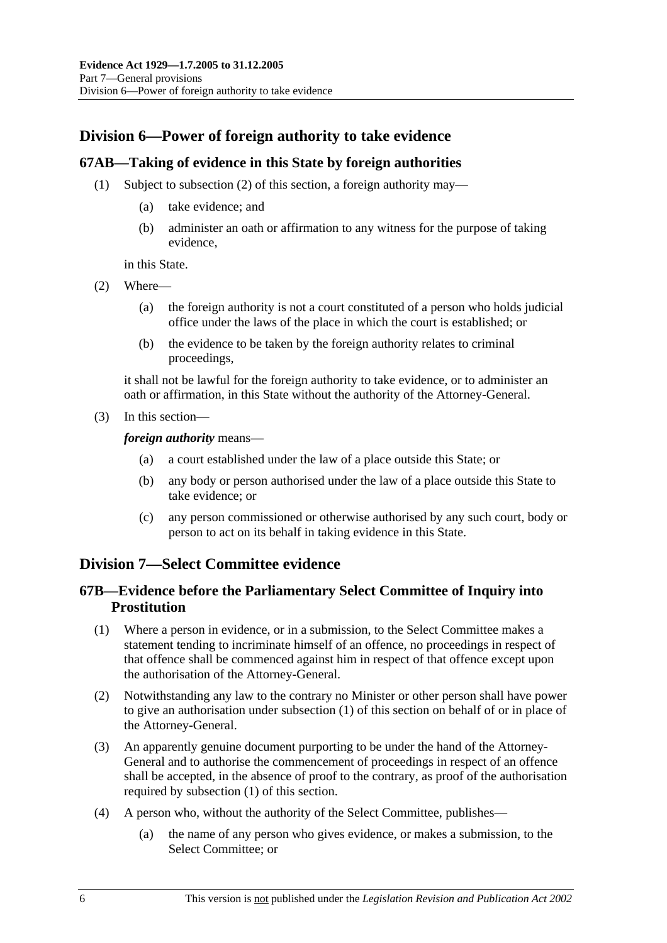# **Division 6—Power of foreign authority to take evidence**

### **67AB—Taking of evidence in this State by foreign authorities**

- (1) Subject to subsection (2) of this section, a foreign authority may—
	- (a) take evidence; and
	- (b) administer an oath or affirmation to any witness for the purpose of taking evidence,

in this State.

- (2) Where—
	- (a) the foreign authority is not a court constituted of a person who holds judicial office under the laws of the place in which the court is established; or
	- (b) the evidence to be taken by the foreign authority relates to criminal proceedings,

it shall not be lawful for the foreign authority to take evidence, or to administer an oath or affirmation, in this State without the authority of the Attorney-General.

(3) In this section—

*foreign authority* means—

- (a) a court established under the law of a place outside this State; or
- (b) any body or person authorised under the law of a place outside this State to take evidence; or
- (c) any person commissioned or otherwise authorised by any such court, body or person to act on its behalf in taking evidence in this State.

## **Division 7—Select Committee evidence**

## **67B—Evidence before the Parliamentary Select Committee of Inquiry into Prostitution**

- (1) Where a person in evidence, or in a submission, to the Select Committee makes a statement tending to incriminate himself of an offence, no proceedings in respect of that offence shall be commenced against him in respect of that offence except upon the authorisation of the Attorney-General.
- (2) Notwithstanding any law to the contrary no Minister or other person shall have power to give an authorisation under subsection (1) of this section on behalf of or in place of the Attorney-General.
- (3) An apparently genuine document purporting to be under the hand of the Attorney-General and to authorise the commencement of proceedings in respect of an offence shall be accepted, in the absence of proof to the contrary, as proof of the authorisation required by subsection (1) of this section.
- (4) A person who, without the authority of the Select Committee, publishes—
	- (a) the name of any person who gives evidence, or makes a submission, to the Select Committee; or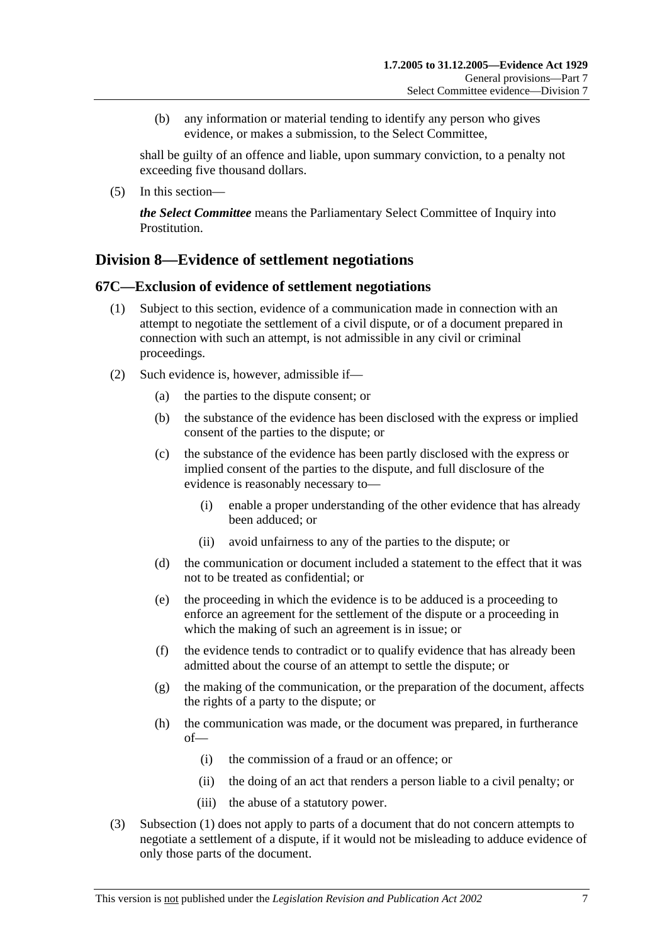(b) any information or material tending to identify any person who gives evidence, or makes a submission, to the Select Committee,

shall be guilty of an offence and liable, upon summary conviction, to a penalty not exceeding five thousand dollars.

(5) In this section—

*the Select Committee* means the Parliamentary Select Committee of Inquiry into Prostitution.

## **Division 8—Evidence of settlement negotiations**

#### **67C—Exclusion of evidence of settlement negotiations**

- (1) Subject to this section, evidence of a communication made in connection with an attempt to negotiate the settlement of a civil dispute, or of a document prepared in connection with such an attempt, is not admissible in any civil or criminal proceedings.
- (2) Such evidence is, however, admissible if—
	- (a) the parties to the dispute consent; or
	- (b) the substance of the evidence has been disclosed with the express or implied consent of the parties to the dispute; or
	- (c) the substance of the evidence has been partly disclosed with the express or implied consent of the parties to the dispute, and full disclosure of the evidence is reasonably necessary to—
		- (i) enable a proper understanding of the other evidence that has already been adduced; or
		- (ii) avoid unfairness to any of the parties to the dispute; or
	- (d) the communication or document included a statement to the effect that it was not to be treated as confidential; or
	- (e) the proceeding in which the evidence is to be adduced is a proceeding to enforce an agreement for the settlement of the dispute or a proceeding in which the making of such an agreement is in issue; or
	- (f) the evidence tends to contradict or to qualify evidence that has already been admitted about the course of an attempt to settle the dispute; or
	- (g) the making of the communication, or the preparation of the document, affects the rights of a party to the dispute; or
	- (h) the communication was made, or the document was prepared, in furtherance of—
		- (i) the commission of a fraud or an offence; or
		- (ii) the doing of an act that renders a person liable to a civil penalty; or
		- (iii) the abuse of a statutory power.
- (3) Subsection (1) does not apply to parts of a document that do not concern attempts to negotiate a settlement of a dispute, if it would not be misleading to adduce evidence of only those parts of the document.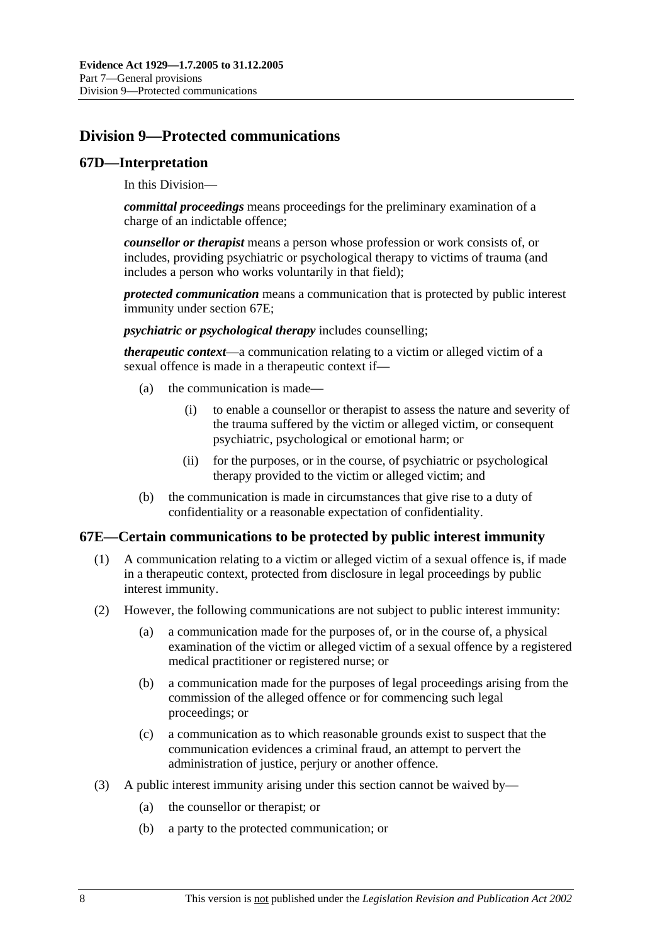# **Division 9—Protected communications**

#### **67D—Interpretation**

In this Division—

*committal proceedings* means proceedings for the preliminary examination of a charge of an indictable offence;

*counsellor or therapist* means a person whose profession or work consists of, or includes, providing psychiatric or psychological therapy to victims of trauma (and includes a person who works voluntarily in that field);

*protected communication* means a communication that is protected by public interest immunity under section 67E;

*psychiatric or psychological therapy* includes counselling;

*therapeutic context*—a communication relating to a victim or alleged victim of a sexual offence is made in a therapeutic context if—

- (a) the communication is made—
	- (i) to enable a counsellor or therapist to assess the nature and severity of the trauma suffered by the victim or alleged victim, or consequent psychiatric, psychological or emotional harm; or
	- (ii) for the purposes, or in the course, of psychiatric or psychological therapy provided to the victim or alleged victim; and
- (b) the communication is made in circumstances that give rise to a duty of confidentiality or a reasonable expectation of confidentiality.

#### **67E—Certain communications to be protected by public interest immunity**

- (1) A communication relating to a victim or alleged victim of a sexual offence is, if made in a therapeutic context, protected from disclosure in legal proceedings by public interest immunity.
- (2) However, the following communications are not subject to public interest immunity:
	- (a) a communication made for the purposes of, or in the course of, a physical examination of the victim or alleged victim of a sexual offence by a registered medical practitioner or registered nurse; or
	- (b) a communication made for the purposes of legal proceedings arising from the commission of the alleged offence or for commencing such legal proceedings; or
	- (c) a communication as to which reasonable grounds exist to suspect that the communication evidences a criminal fraud, an attempt to pervert the administration of justice, perjury or another offence.
- (3) A public interest immunity arising under this section cannot be waived by—
	- (a) the counsellor or therapist; or
	- (b) a party to the protected communication; or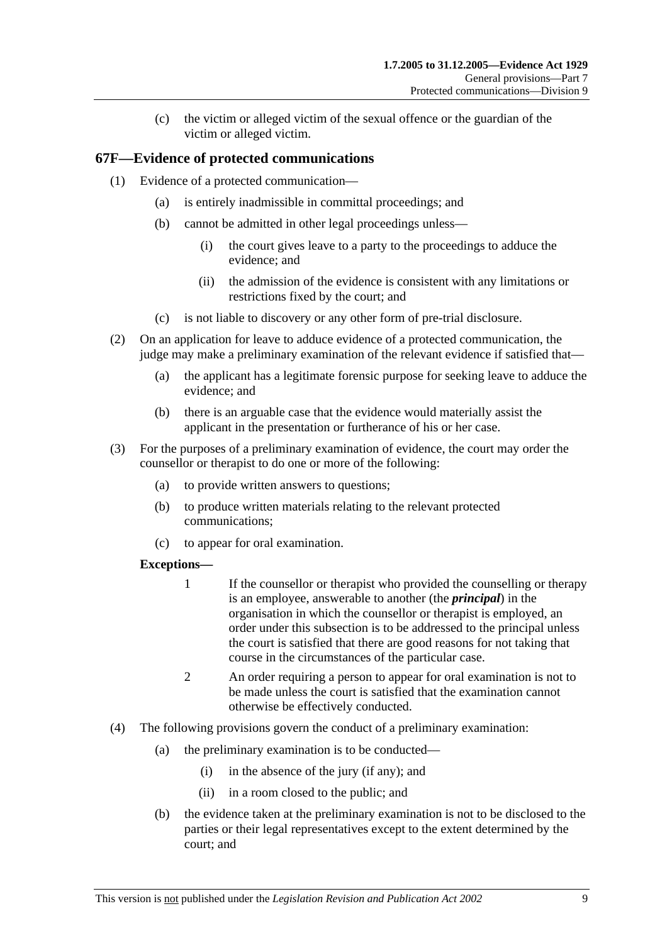(c) the victim or alleged victim of the sexual offence or the guardian of the victim or alleged victim.

## **67F—Evidence of protected communications**

- (1) Evidence of a protected communication—
	- (a) is entirely inadmissible in committal proceedings; and
	- (b) cannot be admitted in other legal proceedings unless—
		- (i) the court gives leave to a party to the proceedings to adduce the evidence; and
		- (ii) the admission of the evidence is consistent with any limitations or restrictions fixed by the court; and
	- (c) is not liable to discovery or any other form of pre-trial disclosure.
- (2) On an application for leave to adduce evidence of a protected communication, the judge may make a preliminary examination of the relevant evidence if satisfied that—
	- (a) the applicant has a legitimate forensic purpose for seeking leave to adduce the evidence; and
	- (b) there is an arguable case that the evidence would materially assist the applicant in the presentation or furtherance of his or her case.
- (3) For the purposes of a preliminary examination of evidence, the court may order the counsellor or therapist to do one or more of the following:
	- (a) to provide written answers to questions;
	- (b) to produce written materials relating to the relevant protected communications;
	- (c) to appear for oral examination.

#### **Exceptions—**

- 1 If the counsellor or therapist who provided the counselling or therapy is an employee, answerable to another (the *principal*) in the organisation in which the counsellor or therapist is employed, an order under this subsection is to be addressed to the principal unless the court is satisfied that there are good reasons for not taking that course in the circumstances of the particular case.
- 2 An order requiring a person to appear for oral examination is not to be made unless the court is satisfied that the examination cannot otherwise be effectively conducted.
- (4) The following provisions govern the conduct of a preliminary examination:
	- (a) the preliminary examination is to be conducted—
		- (i) in the absence of the jury (if any); and
		- (ii) in a room closed to the public; and
	- (b) the evidence taken at the preliminary examination is not to be disclosed to the parties or their legal representatives except to the extent determined by the court; and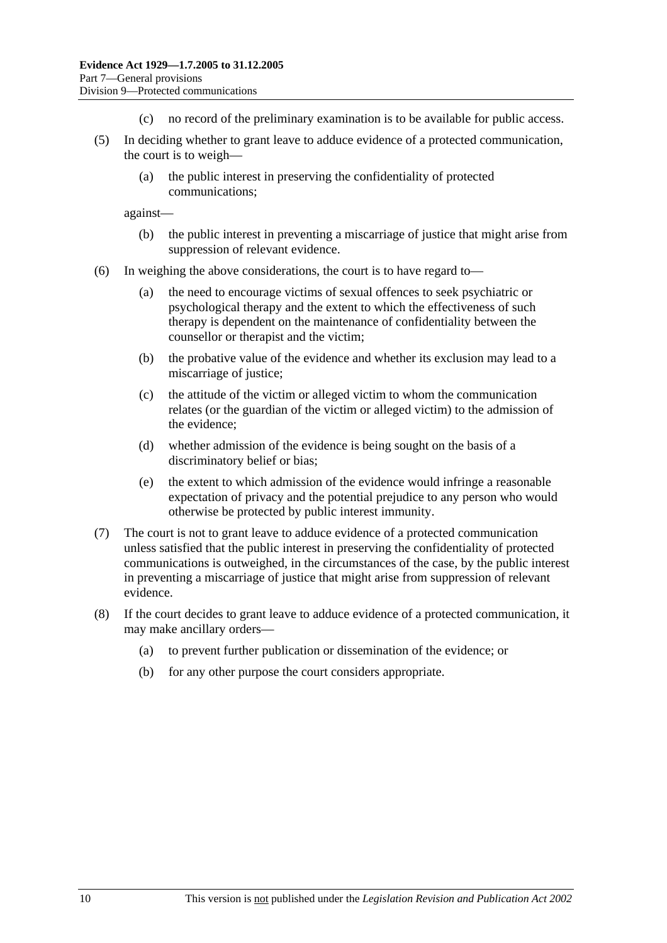- (c) no record of the preliminary examination is to be available for public access.
- (5) In deciding whether to grant leave to adduce evidence of a protected communication, the court is to weigh—
	- (a) the public interest in preserving the confidentiality of protected communications;

against—

- (b) the public interest in preventing a miscarriage of justice that might arise from suppression of relevant evidence.
- (6) In weighing the above considerations, the court is to have regard to—
	- (a) the need to encourage victims of sexual offences to seek psychiatric or psychological therapy and the extent to which the effectiveness of such therapy is dependent on the maintenance of confidentiality between the counsellor or therapist and the victim;
	- (b) the probative value of the evidence and whether its exclusion may lead to a miscarriage of justice;
	- (c) the attitude of the victim or alleged victim to whom the communication relates (or the guardian of the victim or alleged victim) to the admission of the evidence;
	- (d) whether admission of the evidence is being sought on the basis of a discriminatory belief or bias;
	- (e) the extent to which admission of the evidence would infringe a reasonable expectation of privacy and the potential prejudice to any person who would otherwise be protected by public interest immunity.
- (7) The court is not to grant leave to adduce evidence of a protected communication unless satisfied that the public interest in preserving the confidentiality of protected communications is outweighed, in the circumstances of the case, by the public interest in preventing a miscarriage of justice that might arise from suppression of relevant evidence.
- (8) If the court decides to grant leave to adduce evidence of a protected communication, it may make ancillary orders—
	- (a) to prevent further publication or dissemination of the evidence; or
	- (b) for any other purpose the court considers appropriate.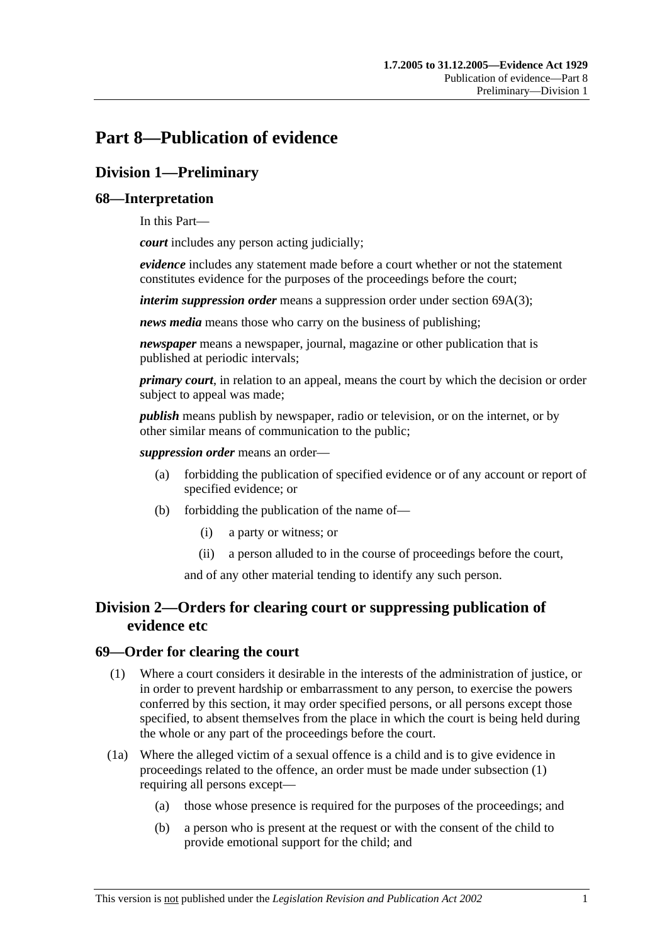# **Part 8—Publication of evidence**

# **Division 1—Preliminary**

## **68—Interpretation**

In this Part—

*court* includes any person acting judicially;

*evidence* includes any statement made before a court whether or not the statement constitutes evidence for the purposes of the proceedings before the court;

*interim suppression order* means a suppression order under section 69A(3);

*news media* means those who carry on the business of publishing;

*newspaper* means a newspaper, journal, magazine or other publication that is published at periodic intervals;

*primary court*, in relation to an appeal, means the court by which the decision or order subject to appeal was made;

*publish* means publish by newspaper, radio or television, or on the internet, or by other similar means of communication to the public;

*suppression order* means an order—

- (a) forbidding the publication of specified evidence or of any account or report of specified evidence; or
- (b) forbidding the publication of the name of—
	- (i) a party or witness; or
	- (ii) a person alluded to in the course of proceedings before the court,

and of any other material tending to identify any such person.

# **Division 2—Orders for clearing court or suppressing publication of evidence etc**

#### **69—Order for clearing the court**

- (1) Where a court considers it desirable in the interests of the administration of justice, or in order to prevent hardship or embarrassment to any person, to exercise the powers conferred by this section, it may order specified persons, or all persons except those specified, to absent themselves from the place in which the court is being held during the whole or any part of the proceedings before the court.
- (1a) Where the alleged victim of a sexual offence is a child and is to give evidence in proceedings related to the offence, an order must be made under subsection (1) requiring all persons except—
	- (a) those whose presence is required for the purposes of the proceedings; and
	- (b) a person who is present at the request or with the consent of the child to provide emotional support for the child; and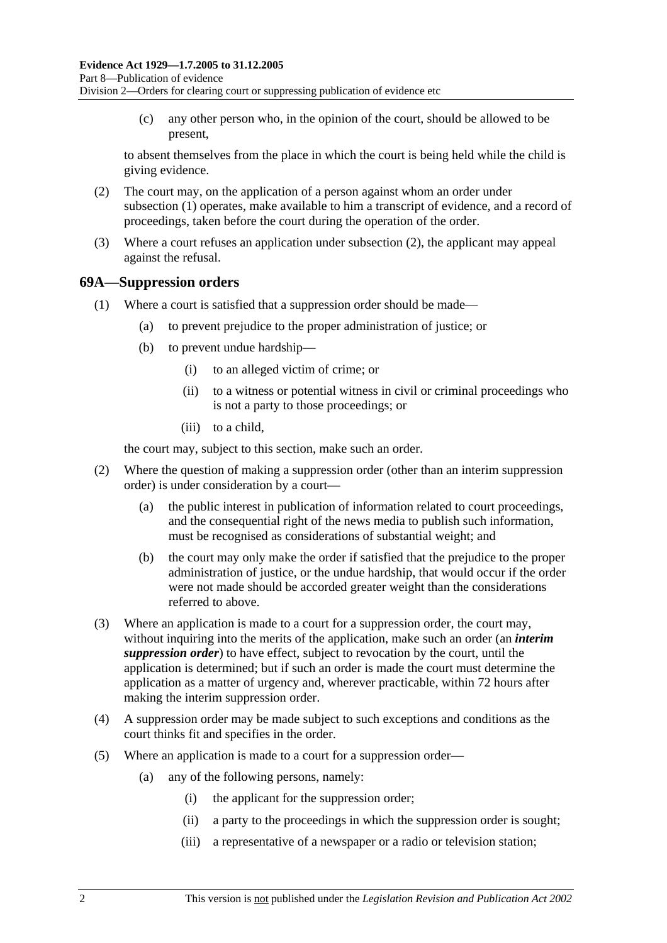(c) any other person who, in the opinion of the court, should be allowed to be present,

to absent themselves from the place in which the court is being held while the child is giving evidence.

- (2) The court may, on the application of a person against whom an order under subsection (1) operates, make available to him a transcript of evidence, and a record of proceedings, taken before the court during the operation of the order.
- (3) Where a court refuses an application under subsection (2), the applicant may appeal against the refusal.

#### **69A—Suppression orders**

- (1) Where a court is satisfied that a suppression order should be made—
	- (a) to prevent prejudice to the proper administration of justice; or
	- (b) to prevent undue hardship—
		- (i) to an alleged victim of crime; or
		- (ii) to a witness or potential witness in civil or criminal proceedings who is not a party to those proceedings; or
		- (iii) to a child,

the court may, subject to this section, make such an order.

- (2) Where the question of making a suppression order (other than an interim suppression order) is under consideration by a court—
	- (a) the public interest in publication of information related to court proceedings, and the consequential right of the news media to publish such information, must be recognised as considerations of substantial weight; and
	- (b) the court may only make the order if satisfied that the prejudice to the proper administration of justice, or the undue hardship, that would occur if the order were not made should be accorded greater weight than the considerations referred to above.
- (3) Where an application is made to a court for a suppression order, the court may, without inquiring into the merits of the application, make such an order (an *interim suppression order*) to have effect, subject to revocation by the court, until the application is determined; but if such an order is made the court must determine the application as a matter of urgency and, wherever practicable, within 72 hours after making the interim suppression order.
- (4) A suppression order may be made subject to such exceptions and conditions as the court thinks fit and specifies in the order.
- (5) Where an application is made to a court for a suppression order—
	- (a) any of the following persons, namely:
		- (i) the applicant for the suppression order;
		- (ii) a party to the proceedings in which the suppression order is sought;
		- (iii) a representative of a newspaper or a radio or television station;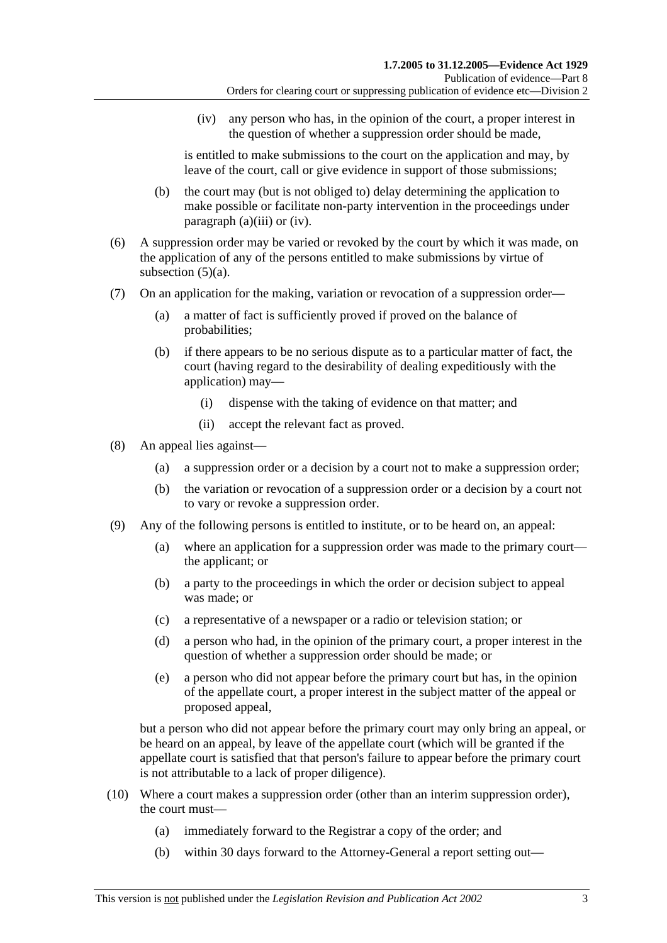(iv) any person who has, in the opinion of the court, a proper interest in the question of whether a suppression order should be made,

is entitled to make submissions to the court on the application and may, by leave of the court, call or give evidence in support of those submissions;

- (b) the court may (but is not obliged to) delay determining the application to make possible or facilitate non-party intervention in the proceedings under paragraph  $(a)(iii)$  or  $(iv)$ .
- (6) A suppression order may be varied or revoked by the court by which it was made, on the application of any of the persons entitled to make submissions by virtue of subsection  $(5)(a)$ .
- (7) On an application for the making, variation or revocation of a suppression order—
	- (a) a matter of fact is sufficiently proved if proved on the balance of probabilities;
	- (b) if there appears to be no serious dispute as to a particular matter of fact, the court (having regard to the desirability of dealing expeditiously with the application) may—
		- (i) dispense with the taking of evidence on that matter; and
		- (ii) accept the relevant fact as proved.
- (8) An appeal lies against—
	- (a) a suppression order or a decision by a court not to make a suppression order;
	- (b) the variation or revocation of a suppression order or a decision by a court not to vary or revoke a suppression order.
- (9) Any of the following persons is entitled to institute, or to be heard on, an appeal:
	- (a) where an application for a suppression order was made to the primary court the applicant; or
	- (b) a party to the proceedings in which the order or decision subject to appeal was made; or
	- (c) a representative of a newspaper or a radio or television station; or
	- (d) a person who had, in the opinion of the primary court, a proper interest in the question of whether a suppression order should be made; or
	- (e) a person who did not appear before the primary court but has, in the opinion of the appellate court, a proper interest in the subject matter of the appeal or proposed appeal,

but a person who did not appear before the primary court may only bring an appeal, or be heard on an appeal, by leave of the appellate court (which will be granted if the appellate court is satisfied that that person's failure to appear before the primary court is not attributable to a lack of proper diligence).

- (10) Where a court makes a suppression order (other than an interim suppression order), the court must—
	- (a) immediately forward to the Registrar a copy of the order; and
	- (b) within 30 days forward to the Attorney-General a report setting out—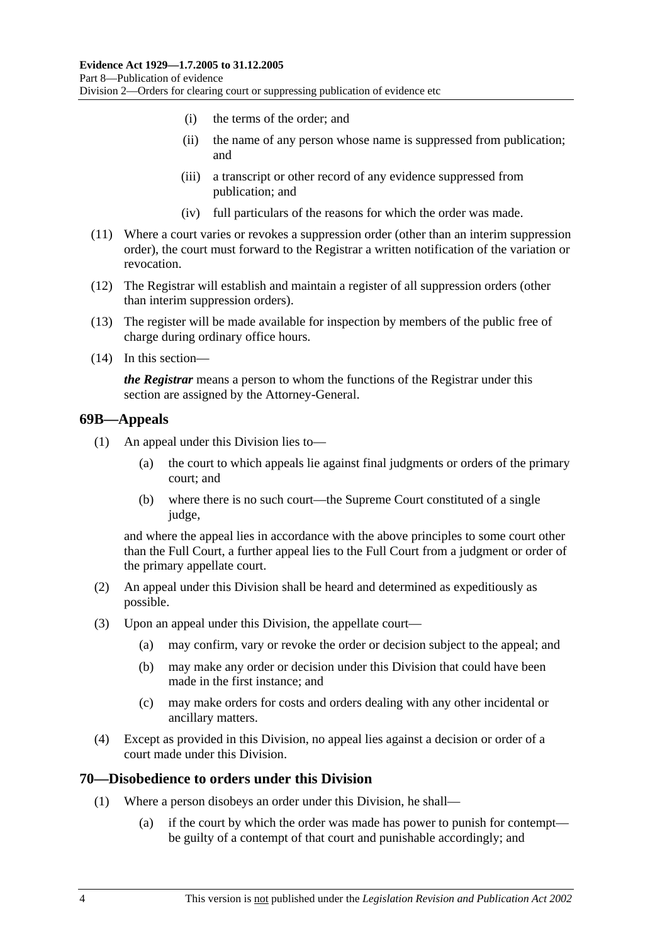- (i) the terms of the order; and
- (ii) the name of any person whose name is suppressed from publication; and
- (iii) a transcript or other record of any evidence suppressed from publication; and
- (iv) full particulars of the reasons for which the order was made.
- (11) Where a court varies or revokes a suppression order (other than an interim suppression order), the court must forward to the Registrar a written notification of the variation or revocation.
- (12) The Registrar will establish and maintain a register of all suppression orders (other than interim suppression orders).
- (13) The register will be made available for inspection by members of the public free of charge during ordinary office hours.
- (14) In this section—

*the Registrar* means a person to whom the functions of the Registrar under this section are assigned by the Attorney-General.

#### **69B—Appeals**

- (1) An appeal under this Division lies to—
	- (a) the court to which appeals lie against final judgments or orders of the primary court; and
	- (b) where there is no such court—the Supreme Court constituted of a single judge,

and where the appeal lies in accordance with the above principles to some court other than the Full Court, a further appeal lies to the Full Court from a judgment or order of the primary appellate court.

- (2) An appeal under this Division shall be heard and determined as expeditiously as possible.
- (3) Upon an appeal under this Division, the appellate court—
	- (a) may confirm, vary or revoke the order or decision subject to the appeal; and
	- (b) may make any order or decision under this Division that could have been made in the first instance; and
	- (c) may make orders for costs and orders dealing with any other incidental or ancillary matters.
- (4) Except as provided in this Division, no appeal lies against a decision or order of a court made under this Division.

#### **70—Disobedience to orders under this Division**

- (1) Where a person disobeys an order under this Division, he shall—
	- (a) if the court by which the order was made has power to punish for contempt be guilty of a contempt of that court and punishable accordingly; and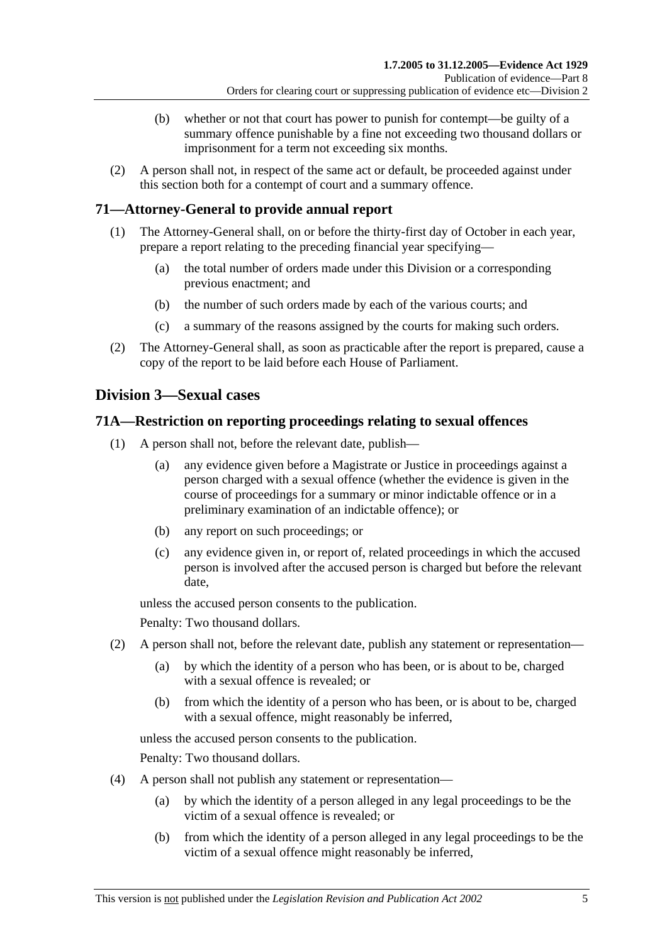- (b) whether or not that court has power to punish for contempt—be guilty of a summary offence punishable by a fine not exceeding two thousand dollars or imprisonment for a term not exceeding six months.
- (2) A person shall not, in respect of the same act or default, be proceeded against under this section both for a contempt of court and a summary offence.

## **71—Attorney-General to provide annual report**

- (1) The Attorney-General shall, on or before the thirty-first day of October in each year, prepare a report relating to the preceding financial year specifying—
	- (a) the total number of orders made under this Division or a corresponding previous enactment; and
	- (b) the number of such orders made by each of the various courts; and
	- (c) a summary of the reasons assigned by the courts for making such orders.
- (2) The Attorney-General shall, as soon as practicable after the report is prepared, cause a copy of the report to be laid before each House of Parliament.

#### **Division 3—Sexual cases**

#### **71A—Restriction on reporting proceedings relating to sexual offences**

- (1) A person shall not, before the relevant date, publish—
	- (a) any evidence given before a Magistrate or Justice in proceedings against a person charged with a sexual offence (whether the evidence is given in the course of proceedings for a summary or minor indictable offence or in a preliminary examination of an indictable offence); or
	- (b) any report on such proceedings; or
	- (c) any evidence given in, or report of, related proceedings in which the accused person is involved after the accused person is charged but before the relevant date,

unless the accused person consents to the publication.

Penalty: Two thousand dollars.

- (2) A person shall not, before the relevant date, publish any statement or representation—
	- (a) by which the identity of a person who has been, or is about to be, charged with a sexual offence is revealed; or
	- (b) from which the identity of a person who has been, or is about to be, charged with a sexual offence, might reasonably be inferred,

unless the accused person consents to the publication.

Penalty: Two thousand dollars.

- (4) A person shall not publish any statement or representation—
	- (a) by which the identity of a person alleged in any legal proceedings to be the victim of a sexual offence is revealed; or
	- (b) from which the identity of a person alleged in any legal proceedings to be the victim of a sexual offence might reasonably be inferred,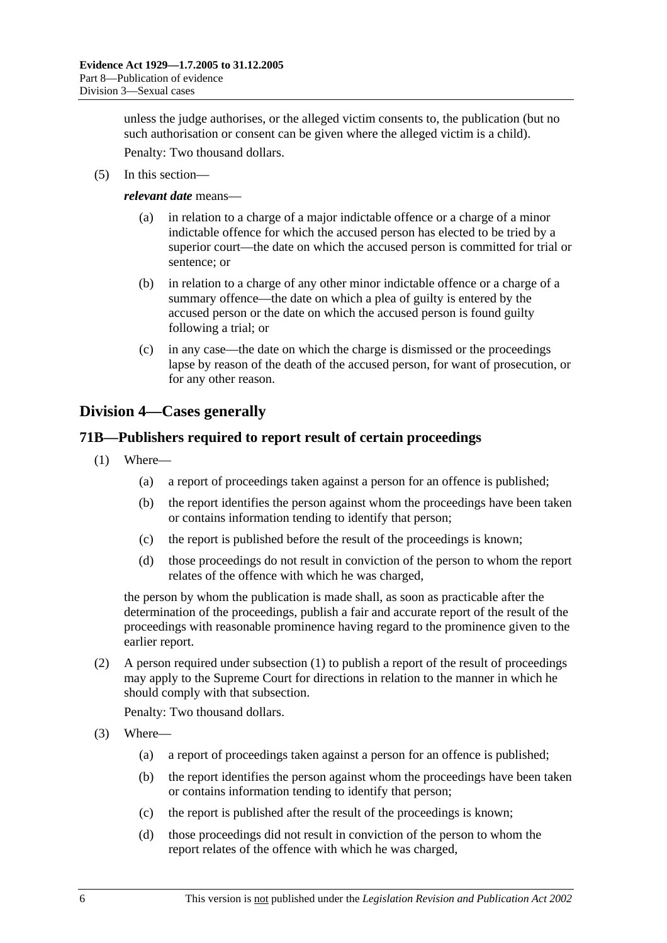unless the judge authorises, or the alleged victim consents to, the publication (but no such authorisation or consent can be given where the alleged victim is a child).

Penalty: Two thousand dollars.

(5) In this section—

*relevant date* means—

- (a) in relation to a charge of a major indictable offence or a charge of a minor indictable offence for which the accused person has elected to be tried by a superior court—the date on which the accused person is committed for trial or sentence; or
- (b) in relation to a charge of any other minor indictable offence or a charge of a summary offence—the date on which a plea of guilty is entered by the accused person or the date on which the accused person is found guilty following a trial; or
- (c) in any case—the date on which the charge is dismissed or the proceedings lapse by reason of the death of the accused person, for want of prosecution, or for any other reason.

## **Division 4—Cases generally**

#### **71B—Publishers required to report result of certain proceedings**

- (1) Where—
	- (a) a report of proceedings taken against a person for an offence is published;
	- (b) the report identifies the person against whom the proceedings have been taken or contains information tending to identify that person;
	- (c) the report is published before the result of the proceedings is known;
	- (d) those proceedings do not result in conviction of the person to whom the report relates of the offence with which he was charged,

the person by whom the publication is made shall, as soon as practicable after the determination of the proceedings, publish a fair and accurate report of the result of the proceedings with reasonable prominence having regard to the prominence given to the earlier report.

 (2) A person required under subsection (1) to publish a report of the result of proceedings may apply to the Supreme Court for directions in relation to the manner in which he should comply with that subsection.

Penalty: Two thousand dollars.

- (3) Where—
	- (a) a report of proceedings taken against a person for an offence is published;
	- (b) the report identifies the person against whom the proceedings have been taken or contains information tending to identify that person;
	- (c) the report is published after the result of the proceedings is known;
	- (d) those proceedings did not result in conviction of the person to whom the report relates of the offence with which he was charged,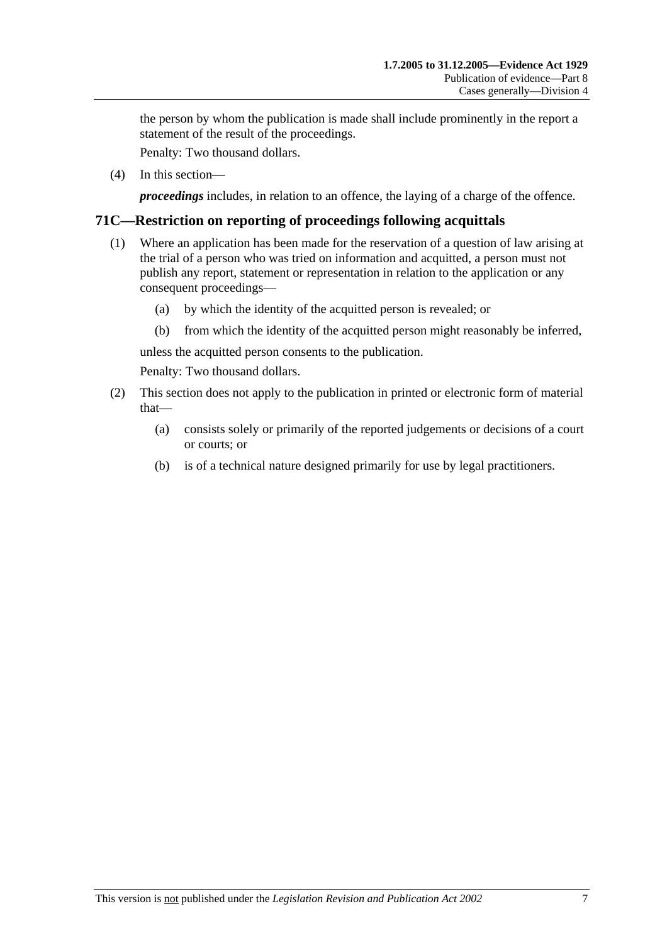the person by whom the publication is made shall include prominently in the report a statement of the result of the proceedings.

Penalty: Two thousand dollars.

(4) In this section—

*proceedings* includes, in relation to an offence, the laying of a charge of the offence.

## **71C—Restriction on reporting of proceedings following acquittals**

- (1) Where an application has been made for the reservation of a question of law arising at the trial of a person who was tried on information and acquitted, a person must not publish any report, statement or representation in relation to the application or any consequent proceedings—
	- (a) by which the identity of the acquitted person is revealed; or
	- (b) from which the identity of the acquitted person might reasonably be inferred,

unless the acquitted person consents to the publication.

Penalty: Two thousand dollars.

- (2) This section does not apply to the publication in printed or electronic form of material that—
	- (a) consists solely or primarily of the reported judgements or decisions of a court or courts; or
	- (b) is of a technical nature designed primarily for use by legal practitioners.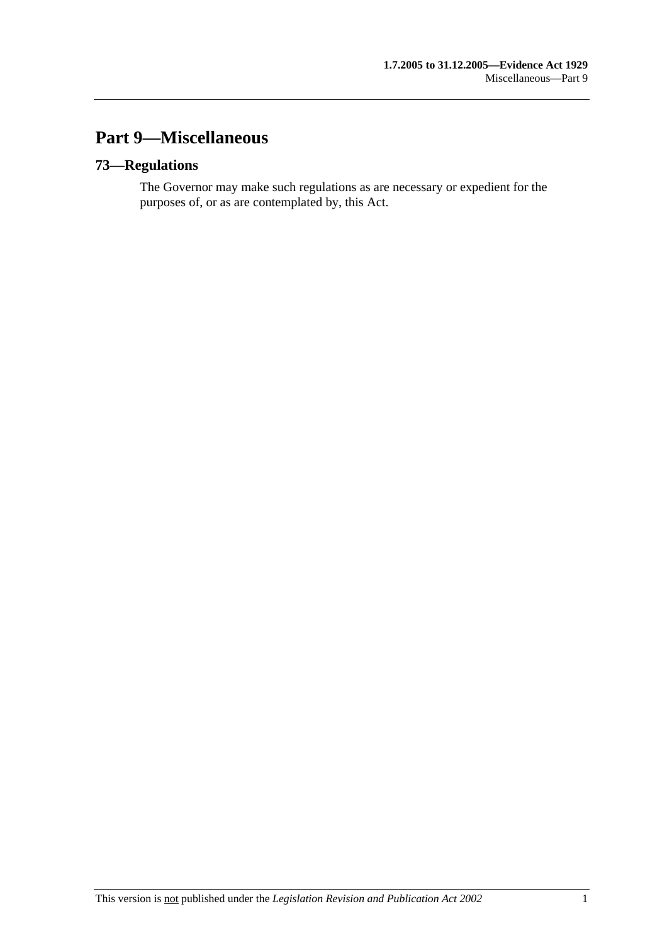# **Part 9—Miscellaneous**

## **73—Regulations**

The Governor may make such regulations as are necessary or expedient for the purposes of, or as are contemplated by, this Act.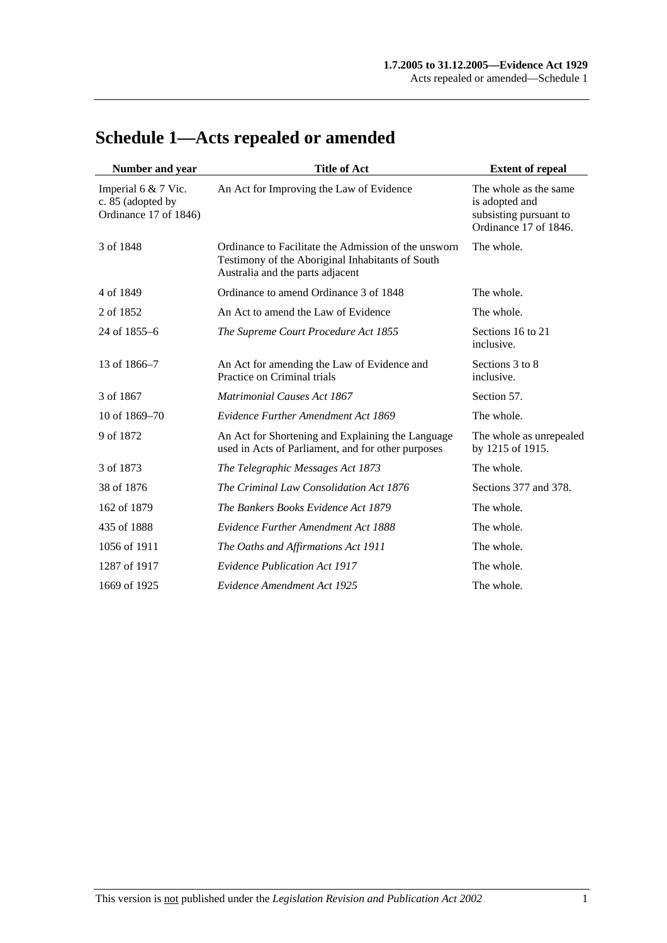| <b>Number and year</b>                                            | <b>Title of Act</b>                                                                                                                          | <b>Extent of repeal</b>                                                                    |
|-------------------------------------------------------------------|----------------------------------------------------------------------------------------------------------------------------------------------|--------------------------------------------------------------------------------------------|
| Imperial 6 & 7 Vic.<br>c. 85 (adopted by<br>Ordinance 17 of 1846) | An Act for Improving the Law of Evidence                                                                                                     | The whole as the same<br>is adopted and<br>subsisting pursuant to<br>Ordinance 17 of 1846. |
| 3 of 1848                                                         | Ordinance to Facilitate the Admission of the unsworn<br>Testimony of the Aboriginal Inhabitants of South<br>Australia and the parts adjacent | The whole.                                                                                 |
| 4 of 1849                                                         | Ordinance to amend Ordinance 3 of 1848                                                                                                       | The whole.                                                                                 |
| 2 of 1852                                                         | An Act to amend the Law of Evidence                                                                                                          | The whole.                                                                                 |
| 24 of 1855-6                                                      | The Supreme Court Procedure Act 1855                                                                                                         | Sections 16 to 21<br>inclusive.                                                            |
| 13 of 1866–7                                                      | An Act for amending the Law of Evidence and<br>Practice on Criminal trials                                                                   | Sections 3 to 8<br>inclusive.                                                              |
| 3 of 1867                                                         | <b>Matrimonial Causes Act 1867</b>                                                                                                           | Section 57.                                                                                |
| 10 of 1869-70                                                     | Evidence Further Amendment Act 1869                                                                                                          | The whole.                                                                                 |
| 9 of 1872                                                         | An Act for Shortening and Explaining the Language<br>used in Acts of Parliament, and for other purposes                                      | The whole as unrepealed<br>by 1215 of 1915.                                                |
| 3 of 1873                                                         | The Telegraphic Messages Act 1873                                                                                                            | The whole.                                                                                 |
| 38 of 1876                                                        | The Criminal Law Consolidation Act 1876                                                                                                      | Sections 377 and 378.                                                                      |
| 162 of 1879                                                       | The Bankers Books Evidence Act 1879                                                                                                          | The whole.                                                                                 |
| 435 of 1888                                                       | Evidence Further Amendment Act 1888                                                                                                          | The whole.                                                                                 |
| 1056 of 1911                                                      | The Oaths and Affirmations Act 1911                                                                                                          | The whole.                                                                                 |
| 1287 of 1917                                                      | <b>Evidence Publication Act 1917</b>                                                                                                         | The whole.                                                                                 |
| 1669 of 1925                                                      | Evidence Amendment Act 1925                                                                                                                  | The whole.                                                                                 |

# **Schedule 1—Acts repealed or amended**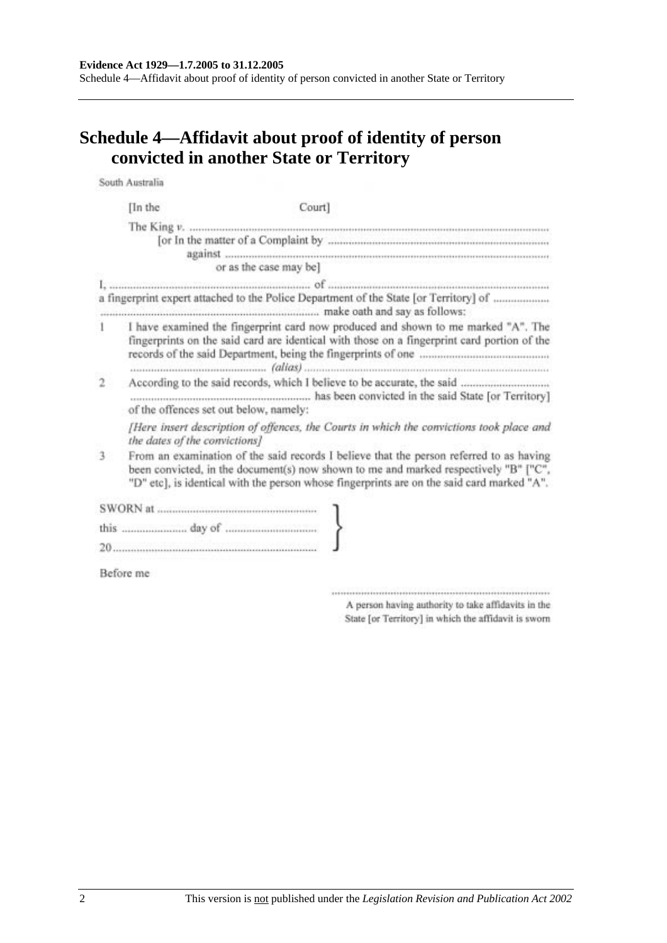# **Schedule 4—Affidavit about proof of identity of person convicted in another State or Territory**

South Australia

|              | [In the                                                                                                                                                                          | Court]                                                                                                                                                                                                                                                                        |  |
|--------------|----------------------------------------------------------------------------------------------------------------------------------------------------------------------------------|-------------------------------------------------------------------------------------------------------------------------------------------------------------------------------------------------------------------------------------------------------------------------------|--|
|              |                                                                                                                                                                                  | or as the case may be]                                                                                                                                                                                                                                                        |  |
|              |                                                                                                                                                                                  |                                                                                                                                                                                                                                                                               |  |
|              |                                                                                                                                                                                  | a fingerprint expert attached to the Police Department of the State [or Territory] of                                                                                                                                                                                         |  |
|              | I have examined the fingerprint card now produced and shown to me marked "A". The<br>fingerprints on the said card are identical with those on a fingerprint card portion of the |                                                                                                                                                                                                                                                                               |  |
| $\mathbf{2}$ |                                                                                                                                                                                  | of the offences set out below, namely:                                                                                                                                                                                                                                        |  |
|              | the dates of the convictions]                                                                                                                                                    | [Here insert description of offences, the Courts in which the convictions took place and                                                                                                                                                                                      |  |
| 3            |                                                                                                                                                                                  | From an examination of the said records I believe that the person referred to as having<br>been convicted, in the document(s) now shown to me and marked respectively "B" ["C",<br>"D" etc], is identical with the person whose fingerprints are on the said card marked "A". |  |
|              |                                                                                                                                                                                  |                                                                                                                                                                                                                                                                               |  |
|              |                                                                                                                                                                                  |                                                                                                                                                                                                                                                                               |  |
|              |                                                                                                                                                                                  |                                                                                                                                                                                                                                                                               |  |
|              | Before me                                                                                                                                                                        |                                                                                                                                                                                                                                                                               |  |

 $\begin{minipage}{0.9\linewidth} \begin{minipage}{0.9\linewidth} \begin{minipage}{0.9\linewidth} \end{minipage} \begin{minipage}{0.9\linewidth} \begin{minipage}{0.9\linewidth} \end{minipage} \begin{minipage}{0.9\linewidth} \end{minipage} \begin{minipage}{0.9\linewidth} \end{minipage} \begin{minipage}{0.9\linewidth} \end{minipage} \begin{minipage}{0.9\linewidth} \end{minipage} \begin{minipage}{0.9\linewidth} \end{minipage} \begin{minipage}{0.9\linewidth} \end{minipage} \begin{minipage}{0.9\linewidth} \end{minipage} \$ A person having authority to take affidavits in the State [or Territory] in which the affidavit is sworn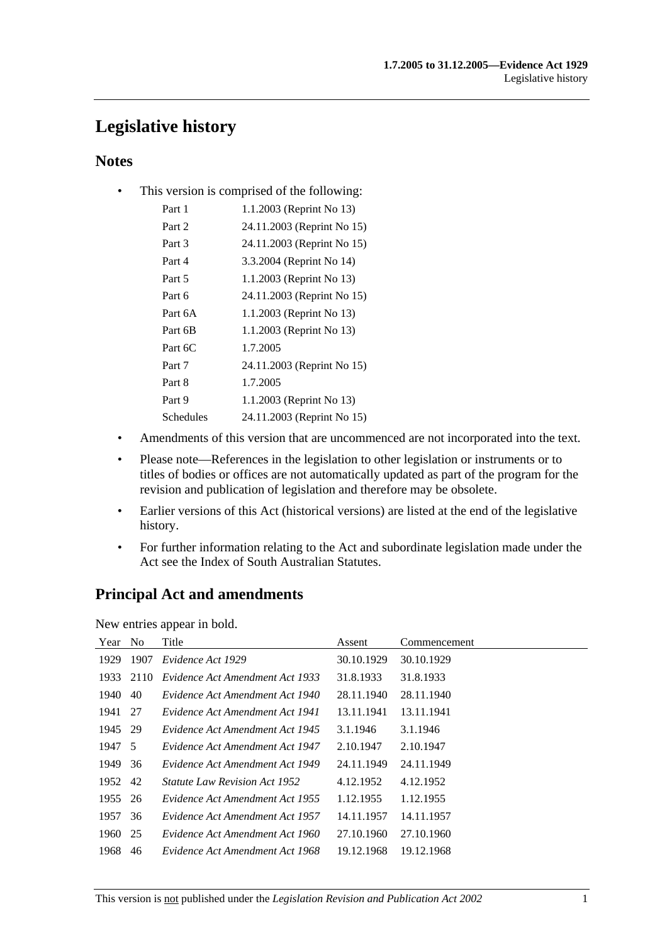# **Legislative history**

## **Notes**

• This version is comprised of the following:

| Part 1    | 1.1.2003 (Reprint No 13)   |
|-----------|----------------------------|
| Part 2    | 24.11.2003 (Reprint No 15) |
| Part 3    | 24.11.2003 (Reprint No 15) |
| Part 4    | 3.3.2004 (Reprint No 14)   |
| Part 5    | 1.1.2003 (Reprint No 13)   |
| Part 6    | 24.11.2003 (Reprint No 15) |
| Part 6A   | 1.1.2003 (Reprint No 13)   |
| Part 6B   | 1.1.2003 (Reprint No 13)   |
| Part 6C   | 1.7.2005                   |
| Part 7    | 24.11.2003 (Reprint No 15) |
| Part 8    | 1.7.2005                   |
| Part 9    | 1.1.2003 (Reprint No 13)   |
| Schedules | 24.11.2003 (Reprint No 15) |

- Amendments of this version that are uncommenced are not incorporated into the text.
- Please note—References in the legislation to other legislation or instruments or to titles of bodies or offices are not automatically updated as part of the program for the revision and publication of legislation and therefore may be obsolete.
- Earlier versions of this Act (historical versions) are listed at the end of the legislative history.
- For further information relating to the Act and subordinate legislation made under the Act see the Index of South Australian Statutes.

## **Principal Act and amendments**

New entries appear in bold.

| Year No |      | Title                                | Assent     | Commencement |
|---------|------|--------------------------------------|------------|--------------|
| 1929    | 1907 | Evidence Act 1929                    | 30.10.1929 | 30.10.1929   |
| 1933    | 2110 | Evidence Act Amendment Act 1933      | 31.8.1933  | 31.8.1933    |
| 1940    | 40   | Evidence Act Amendment Act 1940      | 28.11.1940 | 28.11.1940   |
| 1941 27 |      | Evidence Act Amendment Act 1941      | 13.11.1941 | 13.11.1941   |
| 1945 29 |      | Evidence Act Amendment Act 1945      | 3.1.1946   | 3.1.1946     |
| 1947 5  |      | Evidence Act Amendment Act 1947      | 2.10.1947  | 2.10.1947    |
| 1949 36 |      | Evidence Act Amendment Act 1949      | 24.11.1949 | 24.11.1949   |
| 1952 42 |      | <i>Statute Law Revision Act 1952</i> | 4.12.1952  | 4.12.1952    |
| 1955    | 26   | Evidence Act Amendment Act 1955      | 1.12.1955  | 1.12.1955    |
| 1957    | 36   | Evidence Act Amendment Act 1957      | 14.11.1957 | 14.11.1957   |
| 1960 25 |      | Evidence Act Amendment Act 1960      | 27.10.1960 | 27.10.1960   |
| 1968    | 46   | Evidence Act Amendment Act 1968      | 19.12.1968 | 19.12.1968   |
|         |      |                                      |            |              |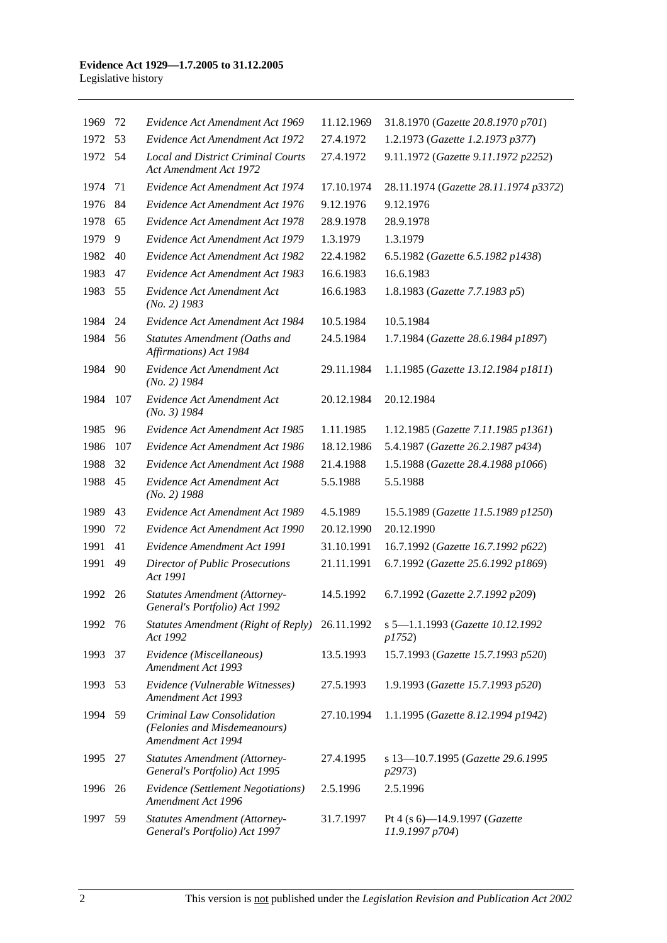| 1969    | 72  | Evidence Act Amendment Act 1969                                                  | 11.12.1969 | 31.8.1970 (Gazette 20.8.1970 p701)                  |
|---------|-----|----------------------------------------------------------------------------------|------------|-----------------------------------------------------|
| 1972    | 53  | Evidence Act Amendment Act 1972                                                  | 27.4.1972  | 1.2.1973 (Gazette 1.2.1973 p377)                    |
| 1972    | 54  | <b>Local and District Criminal Courts</b><br>Act Amendment Act 1972              | 27.4.1972  | 9.11.1972 (Gazette 9.11.1972 p2252)                 |
| 1974    | 71  | Evidence Act Amendment Act 1974                                                  | 17.10.1974 | 28.11.1974 (Gazette 28.11.1974 p3372)               |
| 1976    | 84  | Evidence Act Amendment Act 1976                                                  | 9.12.1976  | 9.12.1976                                           |
| 1978    | 65  | Evidence Act Amendment Act 1978                                                  | 28.9.1978  | 28.9.1978                                           |
| 1979    | 9   | Evidence Act Amendment Act 1979                                                  | 1.3.1979   | 1.3.1979                                            |
| 1982    | 40  | Evidence Act Amendment Act 1982                                                  | 22.4.1982  | 6.5.1982 (Gazette 6.5.1982 p1438)                   |
| 1983    | 47  | Evidence Act Amendment Act 1983                                                  | 16.6.1983  | 16.6.1983                                           |
| 1983    | 55  | Evidence Act Amendment Act<br>$(No. 2)$ 1983                                     | 16.6.1983  | 1.8.1983 (Gazette 7.7.1983 p5)                      |
| 1984    | 24  | Evidence Act Amendment Act 1984                                                  | 10.5.1984  | 10.5.1984                                           |
| 1984    | 56  | Statutes Amendment (Oaths and<br>Affirmations) Act 1984                          | 24.5.1984  | 1.7.1984 (Gazette 28.6.1984 p1897)                  |
| 1984    | 90  | Evidence Act Amendment Act<br>$(No. 2)$ 1984                                     | 29.11.1984 | 1.1.1985 (Gazette 13.12.1984 p1811)                 |
| 1984    | 107 | Evidence Act Amendment Act<br>$(No. 3)$ 1984                                     | 20.12.1984 | 20.12.1984                                          |
| 1985    | 96  | Evidence Act Amendment Act 1985                                                  | 1.11.1985  | 1.12.1985 (Gazette 7.11.1985 p1361)                 |
| 1986    | 107 | Evidence Act Amendment Act 1986                                                  | 18.12.1986 | 5.4.1987 (Gazette 26.2.1987 p434)                   |
| 1988    | 32  | Evidence Act Amendment Act 1988                                                  | 21.4.1988  | 1.5.1988 (Gazette 28.4.1988 p1066)                  |
| 1988    | 45  | Evidence Act Amendment Act<br>$(No. 2)$ 1988                                     | 5.5.1988   | 5.5.1988                                            |
| 1989    | 43  | Evidence Act Amendment Act 1989                                                  | 4.5.1989   | 15.5.1989 (Gazette 11.5.1989 p1250)                 |
| 1990    | 72  | Evidence Act Amendment Act 1990                                                  | 20.12.1990 | 20.12.1990                                          |
| 1991    | 41  | Evidence Amendment Act 1991                                                      | 31.10.1991 | 16.7.1992 (Gazette 16.7.1992 p622)                  |
| 1991    | 49  | Director of Public Prosecutions<br>Act 1991                                      | 21.11.1991 | 6.7.1992 (Gazette 25.6.1992 p1869)                  |
| 1992    | 26  | <b>Statutes Amendment (Attorney-</b><br>General's Portfolio) Act 1992            | 14.5.1992  | 6.7.1992 (Gazette 2.7.1992 p209)                    |
| 1992 76 |     | <b>Statutes Amendment (Right of Reply)</b><br>Act 1992                           | 26.11.1992 | s 5-1.1.1993 (Gazette 10.12.1992<br><i>p1752</i> )  |
| 1993    | 37  | Evidence (Miscellaneous)<br>Amendment Act 1993                                   | 13.5.1993  | 15.7.1993 (Gazette 15.7.1993 p520)                  |
| 1993    | 53  | Evidence (Vulnerable Witnesses)<br>Amendment Act 1993                            | 27.5.1993  | 1.9.1993 (Gazette 15.7.1993 p520)                   |
| 1994    | 59  | Criminal Law Consolidation<br>(Felonies and Misdemeanours)<br>Amendment Act 1994 | 27.10.1994 | 1.1.1995 (Gazette 8.12.1994 p1942)                  |
| 1995    | 27  | <b>Statutes Amendment (Attorney-</b><br>General's Portfolio) Act 1995            | 27.4.1995  | s 13-10.7.1995 (Gazette 29.6.1995<br><i>p</i> 2973) |
| 1996    | 26  | Evidence (Settlement Negotiations)<br>Amendment Act 1996                         | 2.5.1996   | 2.5.1996                                            |
| 1997    | 59  | <b>Statutes Amendment (Attorney-</b><br>General's Portfolio) Act 1997            | 31.7.1997  | Pt 4 (s 6)-14.9.1997 (Gazette<br>11.9.1997 p704)    |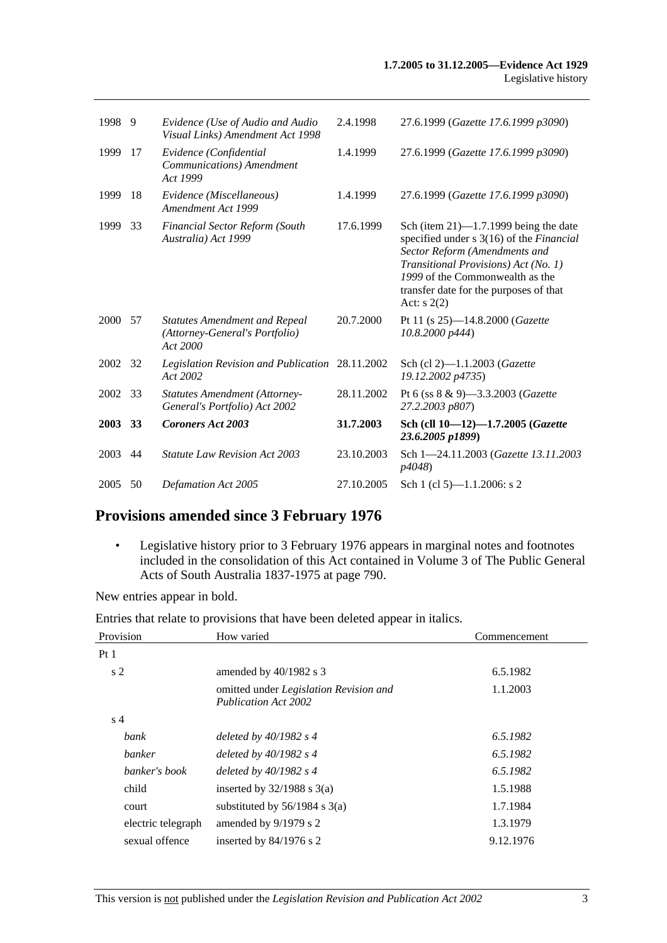| 1998 | 9  | Evidence (Use of Audio and Audio<br>Visual Links) Amendment Act 1998               | 2.4.1998   | 27.6.1999 (Gazette 17.6.1999 p3090)                                                                                                                                                                                                                       |
|------|----|------------------------------------------------------------------------------------|------------|-----------------------------------------------------------------------------------------------------------------------------------------------------------------------------------------------------------------------------------------------------------|
| 1999 | 17 | Evidence (Confidential<br>Communications) Amendment<br>Act 1999                    | 1.4.1999   | 27.6.1999 (Gazette 17.6.1999 p3090)                                                                                                                                                                                                                       |
| 1999 | 18 | Evidence (Miscellaneous)<br>Amendment Act 1999                                     | 1.4.1999   | 27.6.1999 (Gazette 17.6.1999 p3090)                                                                                                                                                                                                                       |
| 1999 | 33 | Financial Sector Reform (South<br>Australia) Act 1999                              | 17.6.1999  | Sch (item $21$ )—1.7.1999 being the date<br>specified under s 3(16) of the Financial<br>Sector Reform (Amendments and<br>Transitional Provisions) Act (No. 1)<br>1999 of the Commonwealth as the<br>transfer date for the purposes of that<br>Act: $s(2)$ |
| 2000 | 57 | <b>Statutes Amendment and Repeal</b><br>(Attorney-General's Portfolio)<br>Act 2000 | 20.7.2000  | Pt 11 (s 25)-14.8.2000 (Gazette<br>10.8.2000 p444)                                                                                                                                                                                                        |
| 2002 | 32 | Legislation Revision and Publication 28.11.2002<br>Act 2002                        |            | Sch (cl 2)-1.1.2003 ( <i>Gazette</i><br>19.12.2002 p4735)                                                                                                                                                                                                 |
| 2002 | 33 | <b>Statutes Amendment (Attorney-</b><br>General's Portfolio) Act 2002              | 28.11.2002 | Pt 6 (ss 8 & 9)-3.3.2003 (Gazette<br>27.2.2003 p807)                                                                                                                                                                                                      |
| 2003 | 33 | <b>Coroners Act 2003</b>                                                           | 31.7.2003  | Sch (cll 10-12)-1.7.2005 (Gazette<br>23.6.2005 p1899)                                                                                                                                                                                                     |
| 2003 | 44 | <i>Statute Law Revision Act 2003</i>                                               | 23.10.2003 | Sch 1-24.11.2003 (Gazette 13.11.2003<br>p4048)                                                                                                                                                                                                            |
| 2005 | 50 | Defamation Act 2005                                                                | 27.10.2005 | Sch 1 (cl 5)-1.1.2006: s 2                                                                                                                                                                                                                                |

# **Provisions amended since 3 February 1976**

 • Legislative history prior to 3 February 1976 appears in marginal notes and footnotes included in the consolidation of this Act contained in Volume 3 of The Public General Acts of South Australia 1837-1975 at page 790.

New entries appear in bold.

Entries that relate to provisions that have been deleted appear in italics.

| Provision          | How varied                                                                   | Commencement |
|--------------------|------------------------------------------------------------------------------|--------------|
| Pt1                |                                                                              |              |
| s <sub>2</sub>     | amended by 40/1982 s 3                                                       | 6.5.1982     |
|                    | omitted under <i>Legislation Revision and</i><br><b>Publication Act 2002</b> | 1.1.2003     |
| s <sub>4</sub>     |                                                                              |              |
| bank               | deleted by $40/1982$ s 4                                                     | 6.5.1982     |
| banker             | deleted by $40/1982$ s 4                                                     | 6.5.1982     |
| banker's book      | deleted by $40/1982$ s 4                                                     | 6.5.1982     |
| child              | inserted by $32/1988$ s $3(a)$                                               | 1.5.1988     |
| court              | substituted by $56/1984$ s $3(a)$                                            | 1.7.1984     |
| electric telegraph | amended by 9/1979 s 2                                                        | 1.3.1979     |
| sexual offence     | inserted by $84/1976$ s 2                                                    | 9.12.1976    |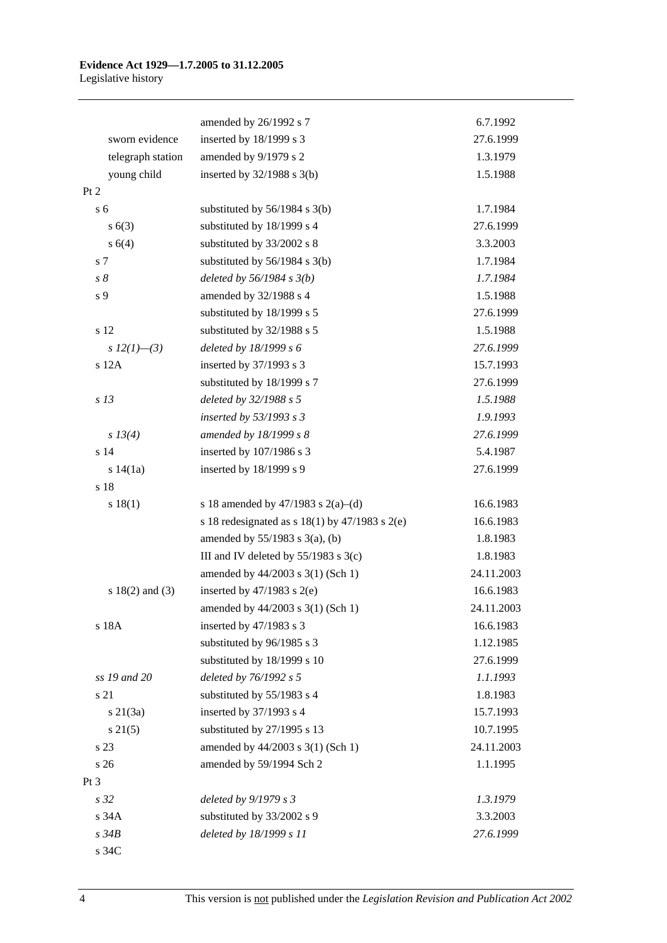|                     | amended by 26/1992 s 7                               | 6.7.1992   |
|---------------------|------------------------------------------------------|------------|
| sworn evidence      | inserted by 18/1999 s 3                              | 27.6.1999  |
| telegraph station   | amended by 9/1979 s 2                                | 1.3.1979   |
| young child         | inserted by $32/1988$ s $3(b)$                       | 1.5.1988   |
| Pt 2                |                                                      |            |
| s <sub>6</sub>      | substituted by $56/1984$ s $3(b)$                    | 1.7.1984   |
| s(6(3))             | substituted by 18/1999 s 4                           | 27.6.1999  |
| s 6(4)              | substituted by 33/2002 s 8                           | 3.3.2003   |
| s 7                 | substituted by $56/1984$ s $3(b)$                    | 1.7.1984   |
| $s\,\delta$         | deleted by $56/1984 s 3(b)$                          | 1.7.1984   |
| s 9                 | amended by 32/1988 s 4                               | 1.5.1988   |
|                     | substituted by 18/1999 s 5                           | 27.6.1999  |
| s 12                | substituted by 32/1988 s 5                           | 1.5.1988   |
| s $12(1)$ —(3)      | deleted by 18/1999 s 6                               | 27.6.1999  |
| s 12A               | inserted by 37/1993 s 3                              | 15.7.1993  |
|                     | substituted by 18/1999 s 7                           | 27.6.1999  |
| s <sub>13</sub>     | deleted by 32/1988 s 5                               | 1.5.1988   |
|                     | inserted by $53/1993$ s 3                            | 1.9.1993   |
| s 13(4)             | amended by 18/1999 s 8                               | 27.6.1999  |
| s 14                | inserted by 107/1986 s 3                             | 5.4.1987   |
| s 14(1a)            | inserted by 18/1999 s 9                              | 27.6.1999  |
| s 18                |                                                      |            |
| s 18(1)             | s 18 amended by 47/1983 s 2(a)–(d)                   | 16.6.1983  |
|                     | s 18 redesignated as s $18(1)$ by $47/1983$ s $2(e)$ | 16.6.1983  |
|                     | amended by $55/1983$ s $3(a)$ , (b)                  | 1.8.1983   |
|                     | III and IV deleted by $55/1983$ s $3(c)$             | 1.8.1983   |
|                     | amended by 44/2003 s 3(1) (Sch 1)                    | 24.11.2003 |
| s $18(2)$ and $(3)$ | inserted by $47/1983$ s $2(e)$                       | 16.6.1983  |
|                     | amended by 44/2003 s 3(1) (Sch 1)                    | 24.11.2003 |
| s 18A               | inserted by 47/1983 s 3                              | 16.6.1983  |
|                     | substituted by 96/1985 s 3                           | 1.12.1985  |
|                     | substituted by 18/1999 s 10                          | 27.6.1999  |
| ss 19 and 20        | deleted by 76/1992 s 5                               | 1.1.1993   |
| s 21                | substituted by 55/1983 s 4                           | 1.8.1983   |
| $s \, 21(3a)$       | inserted by 37/1993 s 4                              | 15.7.1993  |
| $s \, 21(5)$        | substituted by 27/1995 s 13                          | 10.7.1995  |
| s 23                | amended by 44/2003 s 3(1) (Sch 1)                    | 24.11.2003 |
| s 26                | amended by 59/1994 Sch 2                             | 1.1.1995   |
| $Pt\,3$             |                                                      |            |
| s <sub>32</sub>     | deleted by $9/1979 s 3$                              | 1.3.1979   |
| s 34A               | substituted by 33/2002 s 9                           | 3.3.2003   |
| $s\,34B$            | deleted by 18/1999 s 11                              | 27.6.1999  |
| s 34C               |                                                      |            |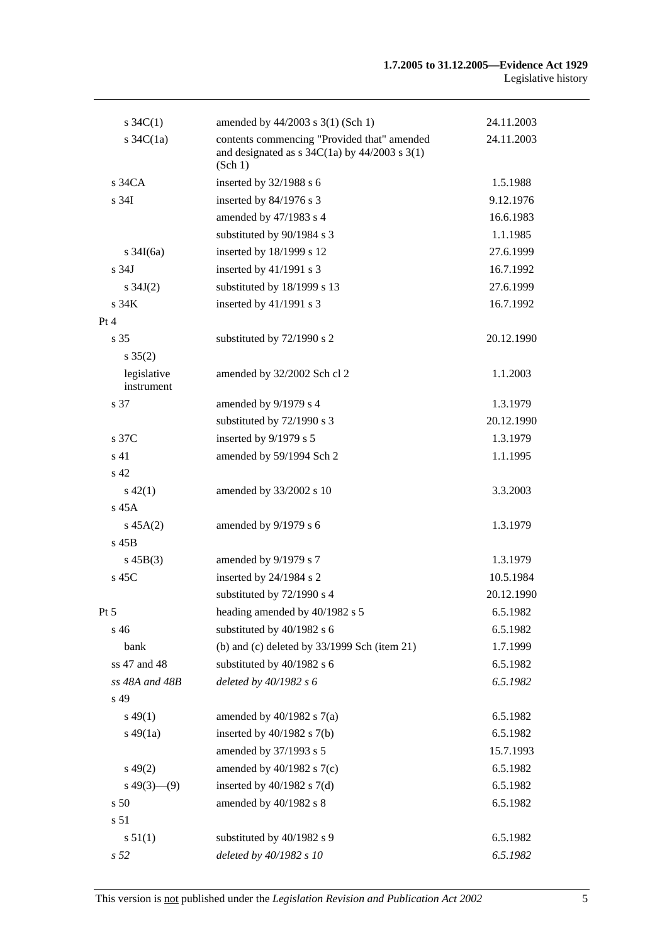| s $34C(1)$                | amended by $44/2003$ s 3(1) (Sch 1)                                                                                                           | 24.11.2003 |
|---------------------------|-----------------------------------------------------------------------------------------------------------------------------------------------|------------|
| s $34C(1a)$               | contents commencing "Provided that" amended<br>and designated as $s \frac{34C(1a)}{y}$ by $\frac{44}{2003} \frac{s \cdot 3(1)}{y}$<br>(Sch 1) | 24.11.2003 |
| $s\,34CA$                 | inserted by 32/1988 s 6                                                                                                                       | 1.5.1988   |
| s 34I                     | inserted by 84/1976 s 3                                                                                                                       | 9.12.1976  |
|                           | amended by 47/1983 s 4                                                                                                                        | 16.6.1983  |
|                           | substituted by 90/1984 s 3                                                                                                                    | 1.1.1985   |
| s $34I(6a)$               | inserted by 18/1999 s 12                                                                                                                      | 27.6.1999  |
| s <sub>34J</sub>          | inserted by 41/1991 s 3                                                                                                                       | 16.7.1992  |
| s $34J(2)$                | substituted by 18/1999 s 13                                                                                                                   | 27.6.1999  |
| s <sub>34K</sub>          | inserted by 41/1991 s 3                                                                                                                       | 16.7.1992  |
| Pt 4                      |                                                                                                                                               |            |
| s 35                      | substituted by 72/1990 s 2                                                                                                                    | 20.12.1990 |
| $s \, 35(2)$              |                                                                                                                                               |            |
| legislative<br>instrument | amended by 32/2002 Sch cl 2                                                                                                                   | 1.1.2003   |
| s 37                      | amended by 9/1979 s 4                                                                                                                         | 1.3.1979   |
|                           | substituted by 72/1990 s 3                                                                                                                    | 20.12.1990 |
| s 37C                     | inserted by 9/1979 s 5                                                                                                                        | 1.3.1979   |
| s 41                      | amended by 59/1994 Sch 2                                                                                                                      | 1.1.1995   |
| s 42                      |                                                                                                                                               |            |
| $s\ 42(1)$                | amended by 33/2002 s 10                                                                                                                       | 3.3.2003   |
| s 45A                     |                                                                                                                                               |            |
| $s\,45A(2)$               | amended by 9/1979 s 6                                                                                                                         | 1.3.1979   |
| $s$ 45B                   |                                                                                                                                               |            |
| $s\,45B(3)$               | amended by 9/1979 s 7                                                                                                                         | 1.3.1979   |
| s 45C                     | inserted by 24/1984 s 2                                                                                                                       | 10.5.1984  |
|                           | substituted by 72/1990 s 4                                                                                                                    | 20.12.1990 |
| Pt 5                      | heading amended by 40/1982 s 5                                                                                                                | 6.5.1982   |
| $s\,46$                   | substituted by 40/1982 s 6                                                                                                                    | 6.5.1982   |
| bank                      | (b) and (c) deleted by 33/1999 Sch (item 21)                                                                                                  | 1.7.1999   |
| ss 47 and 48              | substituted by 40/1982 s 6                                                                                                                    | 6.5.1982   |
| ss 48A and 48B            | deleted by 40/1982 s 6                                                                                                                        | 6.5.1982   |
| s 49                      |                                                                                                                                               |            |
| $s\,49(1)$                | amended by $40/1982$ s $7(a)$                                                                                                                 | 6.5.1982   |
| $s\,49(1a)$               | inserted by $40/1982$ s $7(b)$                                                                                                                | 6.5.1982   |
|                           | amended by 37/1993 s 5                                                                                                                        | 15.7.1993  |
| $s\,49(2)$                | amended by $40/1982$ s $7(c)$                                                                                                                 | 6.5.1982   |
| $s\ 49(3)$ (9)            | inserted by $40/1982$ s $7(d)$                                                                                                                | 6.5.1982   |
| s 50                      | amended by 40/1982 s 8                                                                                                                        | 6.5.1982   |
| s 51                      |                                                                                                                                               |            |
| s 51(1)                   | substituted by 40/1982 s 9                                                                                                                    | 6.5.1982   |
| s <sub>52</sub>           | deleted by 40/1982 s 10                                                                                                                       | 6.5.1982   |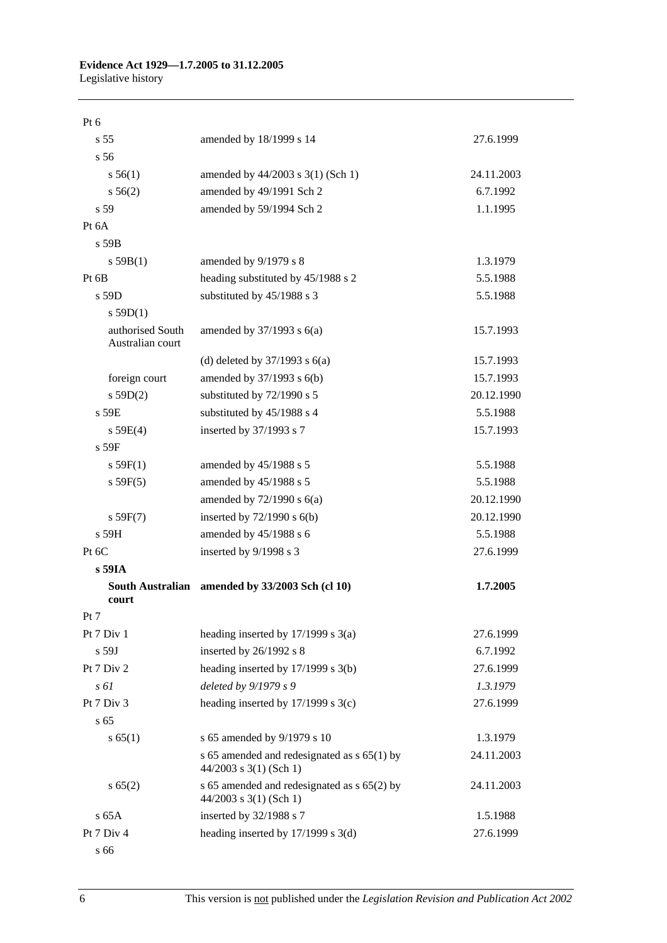# **Evidence Act 1929—1.7.2005 to 31.12.2005**

Legislative history

| Pt 6                                 |                                                                           |            |
|--------------------------------------|---------------------------------------------------------------------------|------------|
| s <sub>55</sub>                      | amended by 18/1999 s 14                                                   | 27.6.1999  |
| s 56                                 |                                                                           |            |
| s 56(1)                              | amended by 44/2003 s 3(1) (Sch 1)                                         | 24.11.2003 |
| $s\,56(2)$                           | amended by 49/1991 Sch 2                                                  | 6.7.1992   |
| s 59                                 | amended by 59/1994 Sch 2                                                  | 1.1.1995   |
| Pt 6A                                |                                                                           |            |
| $s$ 59 $B$                           |                                                                           |            |
| s 59B(1)                             | amended by 9/1979 s 8                                                     | 1.3.1979   |
| Pt 6B                                | heading substituted by 45/1988 s 2                                        | 5.5.1988   |
| $s$ 59D                              | substituted by 45/1988 s 3                                                | 5.5.1988   |
| $s$ 59D(1)                           |                                                                           |            |
| authorised South<br>Australian court | amended by $37/1993$ s $6(a)$                                             | 15.7.1993  |
|                                      | (d) deleted by $37/1993$ s $6(a)$                                         | 15.7.1993  |
| foreign court                        | amended by $37/1993$ s $6(b)$                                             | 15.7.1993  |
| s 59D(2)                             | substituted by 72/1990 s 5                                                | 20.12.1990 |
| s 59E                                | substituted by 45/1988 s 4                                                | 5.5.1988   |
| s 59E(4)                             | inserted by 37/1993 s 7                                                   | 15.7.1993  |
| s 59F                                |                                                                           |            |
| s 59F(1)                             | amended by 45/1988 s 5                                                    | 5.5.1988   |
| s 59F(5)                             | amended by 45/1988 s 5                                                    | 5.5.1988   |
|                                      | amended by $72/1990$ s $6(a)$                                             | 20.12.1990 |
| s 59F(7)                             | inserted by $72/1990$ s $6(b)$                                            | 20.12.1990 |
| s 59H                                | amended by 45/1988 s 6                                                    | 5.5.1988   |
| Pt 6C                                | inserted by 9/1998 s 3                                                    | 27.6.1999  |
| s 59IA                               |                                                                           |            |
| court                                | South Australian amended by 33/2003 Sch (cl 10)                           | 1.7.2005   |
| Pt 7                                 |                                                                           |            |
| Pt 7 Div 1                           | heading inserted by $17/1999$ s $3(a)$                                    | 27.6.1999  |
| s 59J                                | inserted by 26/1992 s 8                                                   | 6.7.1992   |
| Pt 7 Div 2                           | heading inserted by 17/1999 s 3(b)                                        | 27.6.1999  |
| s 61                                 | deleted by $9/1979 s 9$                                                   | 1.3.1979   |
| Pt 7 Div 3                           | heading inserted by $17/1999$ s $3(c)$                                    | 27.6.1999  |
| s <sub>65</sub>                      |                                                                           |            |
| s 65(1)                              | s 65 amended by 9/1979 s 10                                               | 1.3.1979   |
|                                      | s 65 amended and redesignated as $s$ 65(1) by<br>$44/2003$ s 3(1) (Sch 1) | 24.11.2003 |
| s 65(2)                              | s 65 amended and redesignated as $s$ 65(2) by<br>$44/2003$ s 3(1) (Sch 1) | 24.11.2003 |
| $s$ 65A                              | inserted by 32/1988 s 7                                                   | 1.5.1988   |
| Pt 7 Div 4                           | heading inserted by $17/1999$ s $3(d)$                                    | 27.6.1999  |

s 66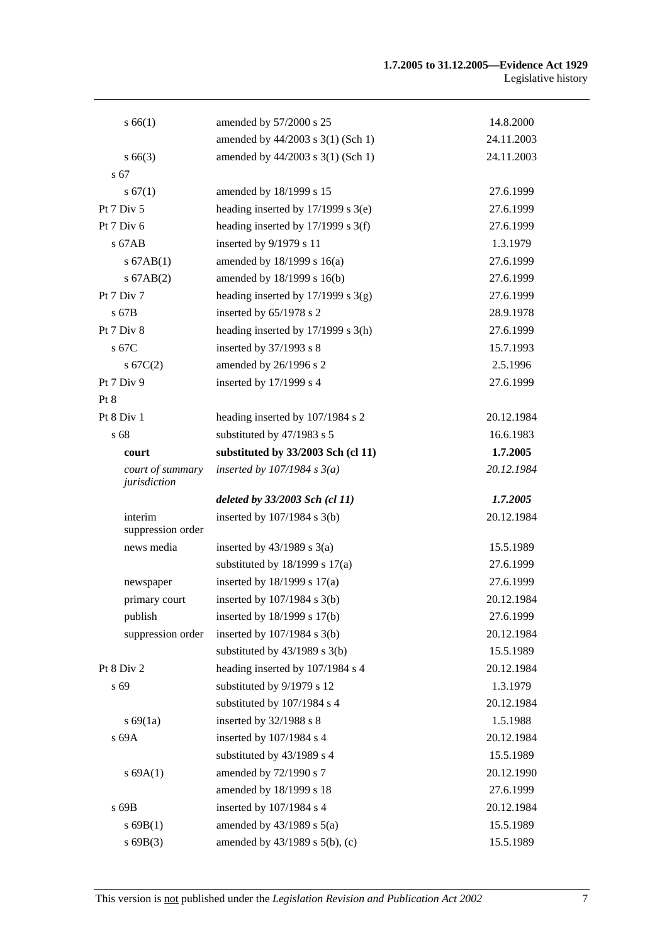| s 66(1)                          | amended by 57/2000 s 25                | 14.8.2000  |
|----------------------------------|----------------------------------------|------------|
|                                  | amended by 44/2003 s 3(1) (Sch 1)      | 24.11.2003 |
| $s\,66(3)$                       | amended by 44/2003 s 3(1) (Sch 1)      | 24.11.2003 |
| s 67                             |                                        |            |
| s 67(1)                          | amended by 18/1999 s 15                | 27.6.1999  |
| Pt 7 Div 5                       | heading inserted by $17/1999$ s $3(e)$ | 27.6.1999  |
| Pt $7$ Div $6$                   | heading inserted by 17/1999 s 3(f)     | 27.6.1999  |
| $s$ 67AB                         | inserted by 9/1979 s 11                | 1.3.1979   |
| $s$ 67AB $(1)$                   | amended by 18/1999 s 16(a)             | 27.6.1999  |
| $s$ 67AB $(2)$                   | amended by 18/1999 s 16(b)             | 27.6.1999  |
| Pt 7 Div 7                       | heading inserted by $17/1999$ s 3(g)   | 27.6.1999  |
| s 67B                            | inserted by 65/1978 s 2                | 28.9.1978  |
| Pt 7 Div 8                       | heading inserted by $17/1999$ s $3(h)$ | 27.6.1999  |
| s 67C                            | inserted by 37/1993 s 8                | 15.7.1993  |
| s 67C(2)                         | amended by 26/1996 s 2                 | 2.5.1996   |
| Pt 7 Div 9                       | inserted by 17/1999 s 4                | 27.6.1999  |
| Pt 8                             |                                        |            |
| Pt 8 Div 1                       | heading inserted by 107/1984 s 2       | 20.12.1984 |
| s 68                             | substituted by 47/1983 s 5             | 16.6.1983  |
| court                            | substituted by 33/2003 Sch (cl 11)     | 1.7.2005   |
| court of summary<br>jurisdiction | inserted by $107/1984$ s $3(a)$        | 20.12.1984 |
|                                  | deleted by 33/2003 Sch (cl 11)         | 1.7.2005   |
| interim<br>suppression order     | inserted by $107/1984$ s $3(b)$        | 20.12.1984 |
| news media                       | inserted by $43/1989$ s $3(a)$         | 15.5.1989  |
|                                  | substituted by $18/1999$ s $17(a)$     | 27.6.1999  |
| newspaper                        | inserted by $18/1999$ s $17(a)$        | 27.6.1999  |
| primary court                    | inserted by $107/1984$ s $3(b)$        | 20.12.1984 |
| publish                          | inserted by 18/1999 s 17(b)            | 27.6.1999  |
| suppression order                | inserted by $107/1984$ s $3(b)$        | 20.12.1984 |
|                                  |                                        |            |
|                                  | substituted by $43/1989$ s $3(b)$      | 15.5.1989  |
| Pt 8 Div 2                       | heading inserted by 107/1984 s 4       | 20.12.1984 |
| s 69                             | substituted by 9/1979 s 12             | 1.3.1979   |
|                                  | substituted by 107/1984 s 4            | 20.12.1984 |
| $s\,69(1a)$                      | inserted by 32/1988 s 8                | 1.5.1988   |
| s 69A                            | inserted by 107/1984 s 4               | 20.12.1984 |
|                                  | substituted by 43/1989 s 4             | 15.5.1989  |
| s 69A(1)                         | amended by 72/1990 s 7                 | 20.12.1990 |
|                                  | amended by 18/1999 s 18                | 27.6.1999  |
| s 69B                            | inserted by 107/1984 s 4               | 20.12.1984 |
| s69B(1)                          | amended by $43/1989$ s $5(a)$          | 15.5.1989  |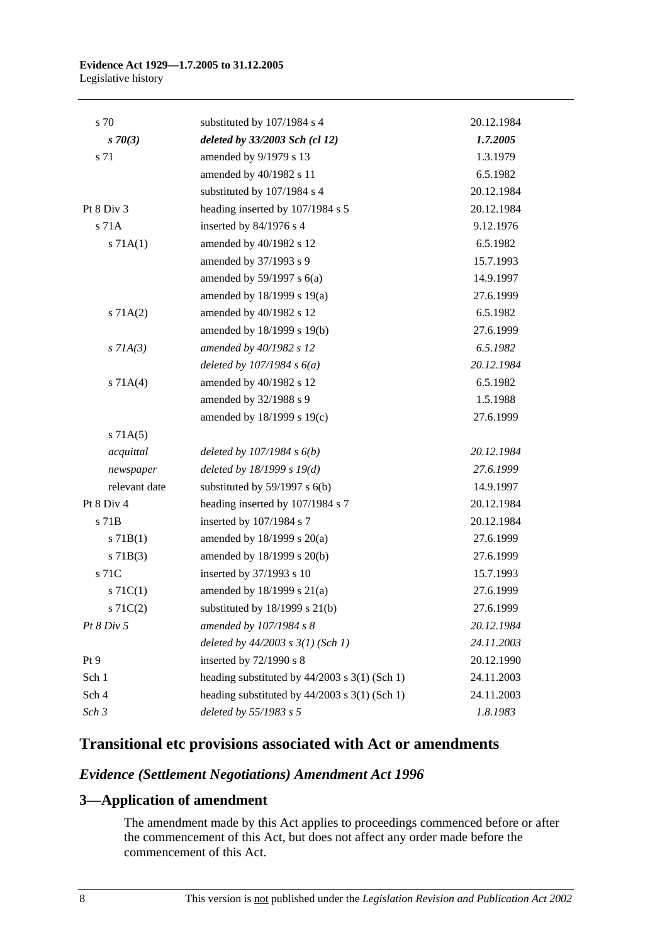#### **Evidence Act 1929—1.7.2005 to 31.12.2005**  Legislative history

| s 70          | substituted by 107/1984 s 4                     | 20.12.1984 |
|---------------|-------------------------------------------------|------------|
| $s \, 70(3)$  | deleted by 33/2003 Sch (cl 12)                  | 1.7.2005   |
| s 71          | amended by 9/1979 s 13                          | 1.3.1979   |
|               | amended by 40/1982 s 11                         | 6.5.1982   |
|               | substituted by 107/1984 s 4                     | 20.12.1984 |
| Pt 8 Div 3    | heading inserted by 107/1984 s 5                | 20.12.1984 |
| s 71A         | inserted by 84/1976 s 4                         | 9.12.1976  |
| s 71A(1)      | amended by 40/1982 s 12                         | 6.5.1982   |
|               | amended by 37/1993 s 9                          | 15.7.1993  |
|               | amended by $59/1997$ s $6(a)$                   | 14.9.1997  |
|               | amended by 18/1999 s 19(a)                      | 27.6.1999  |
| s 71A(2)      | amended by 40/1982 s 12                         | 6.5.1982   |
|               | amended by 18/1999 s 19(b)                      | 27.6.1999  |
| $s$ 71A(3)    | amended by 40/1982 s 12                         | 6.5.1982   |
|               | deleted by $107/1984 s 6(a)$                    | 20.12.1984 |
| s $71A(4)$    | amended by 40/1982 s 12                         | 6.5.1982   |
|               | amended by 32/1988 s 9                          | 1.5.1988   |
|               | amended by 18/1999 s 19(c)                      | 27.6.1999  |
| s 71A(5)      |                                                 |            |
| acquittal     | deleted by $107/1984 s 6(b)$                    | 20.12.1984 |
| newspaper     | deleted by $18/1999 s 19(d)$                    | 27.6.1999  |
| relevant date | substituted by $59/1997$ s $6(b)$               | 14.9.1997  |
| Pt 8 Div 4    | heading inserted by 107/1984 s 7                | 20.12.1984 |
| s 71B         | inserted by 107/1984 s 7                        | 20.12.1984 |
| s 71B(1)      | amended by 18/1999 s 20(a)                      | 27.6.1999  |
| $s$ 71B(3)    | amended by 18/1999 s 20(b)                      | 27.6.1999  |
| s 71C         | inserted by 37/1993 s 10                        | 15.7.1993  |
| $s \, 71C(1)$ | amended by 18/1999 s 21(a)                      | 27.6.1999  |
| s $71C(2)$    | substituted by $18/1999$ s $21(b)$              | 27.6.1999  |
| Pt 8 Div 5    | amended by 107/1984 s 8                         | 20.12.1984 |
|               | deleted by $44/2003$ s $3(1)$ (Sch 1)           | 24.11.2003 |
| Pt 9          | inserted by 72/1990 s 8                         | 20.12.1990 |
| Sch 1         | heading substituted by 44/2003 s 3(1) (Sch 1)   | 24.11.2003 |
| Sch 4         | heading substituted by $44/2003$ s 3(1) (Sch 1) | 24.11.2003 |
| Sch 3         | deleted by 55/1983 s 5                          | 1.8.1983   |

# **Transitional etc provisions associated with Act or amendments**

## *Evidence (Settlement Negotiations) Amendment Act 1996*

## **3—Application of amendment**

The amendment made by this Act applies to proceedings commenced before or after the commencement of this Act, but does not affect any order made before the commencement of this Act.